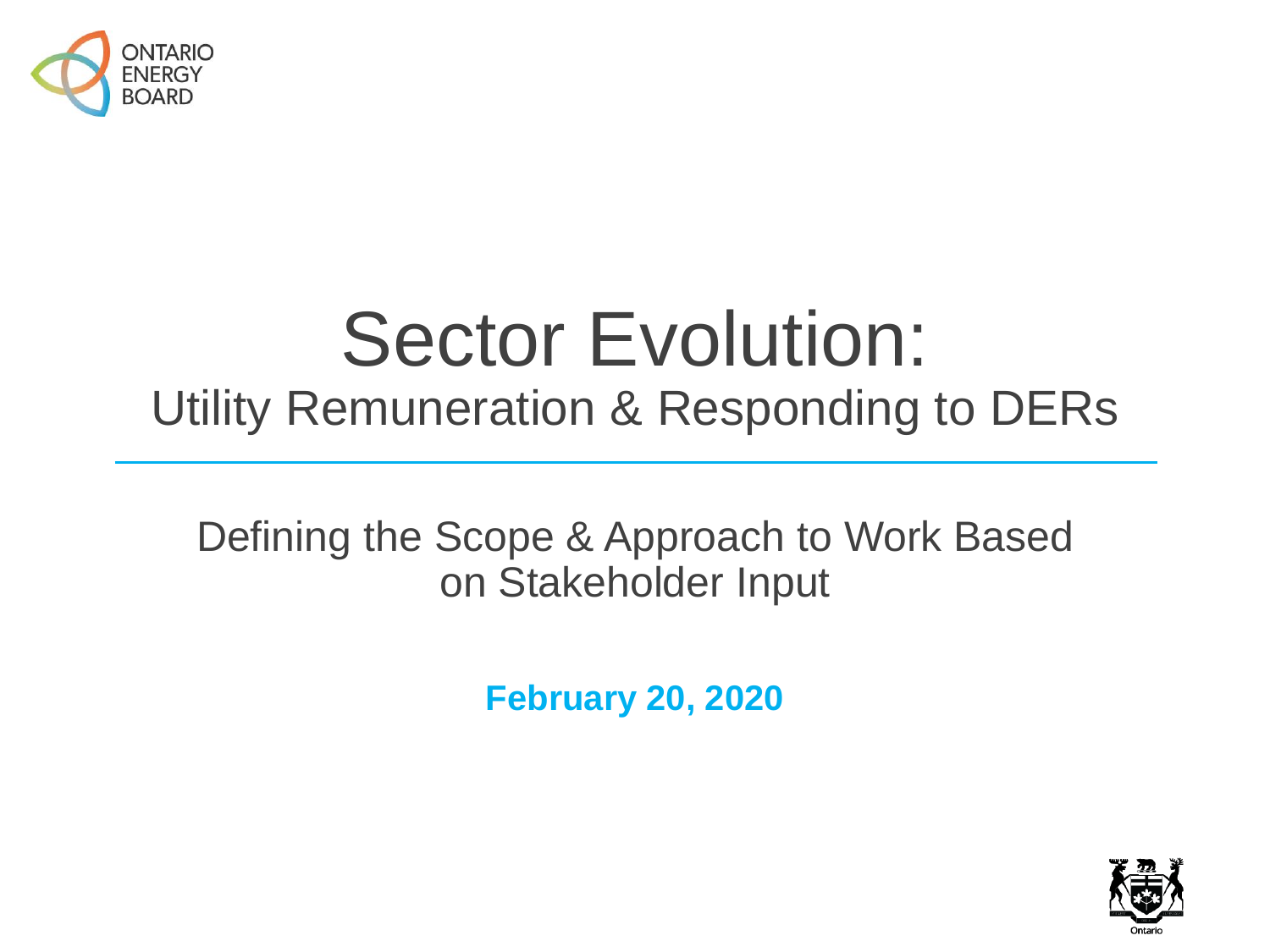

# Sector Evolution: Utility Remuneration & Responding to DERs

Defining the Scope & Approach to Work Based on Stakeholder Input

**February 20, 2020**

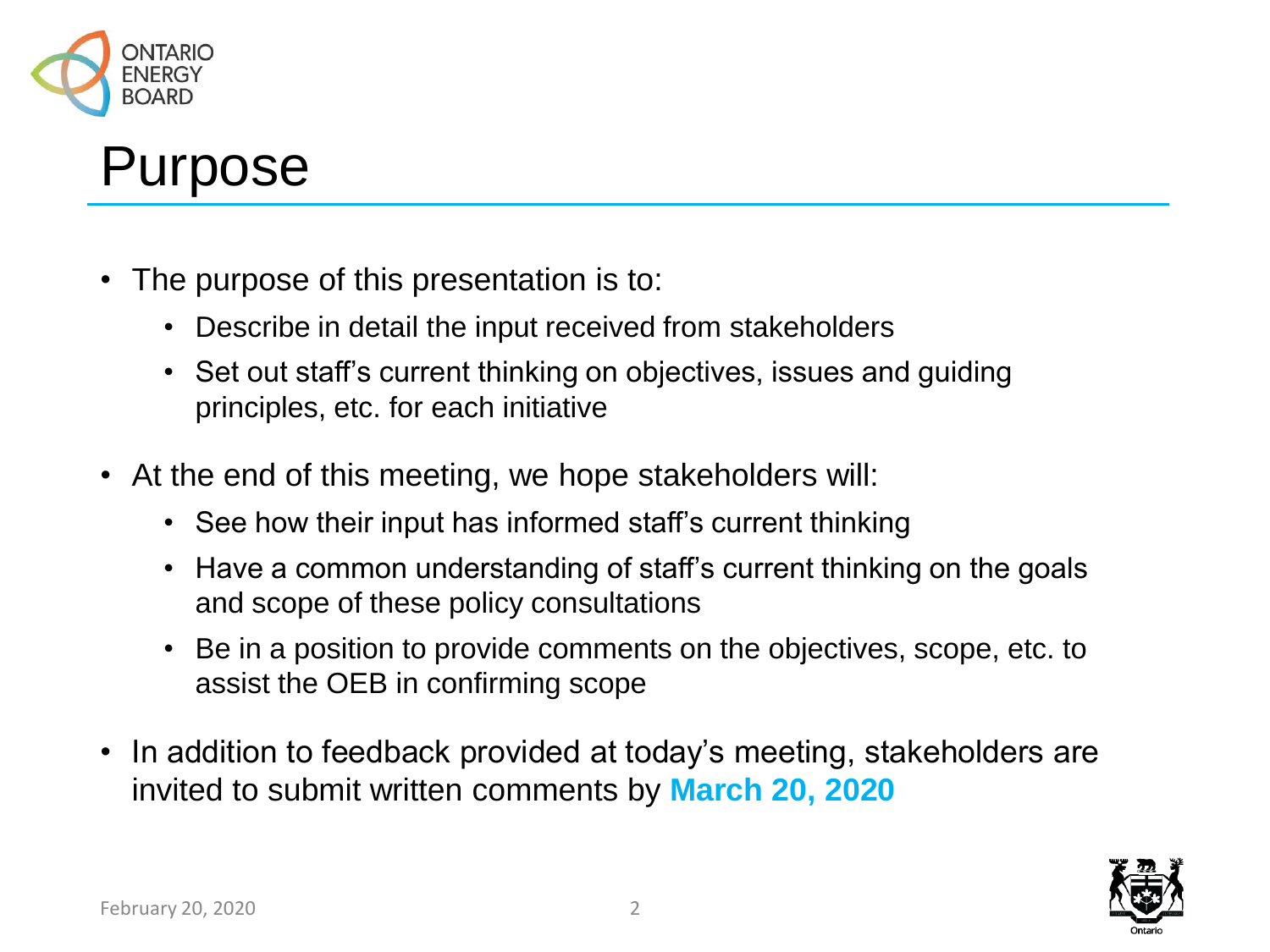

#### Purpose

- The purpose of this presentation is to:
	- Describe in detail the input received from stakeholders
	- Set out staff's current thinking on objectives, issues and guiding principles, etc. for each initiative
- At the end of this meeting, we hope stakeholders will:
	- See how their input has informed staff's current thinking
	- Have a common understanding of staff's current thinking on the goals and scope of these policy consultations
	- Be in a position to provide comments on the objectives, scope, etc. to assist the OEB in confirming scope
- In addition to feedback provided at today's meeting, stakeholders are invited to submit written comments by **March 20, 2020**

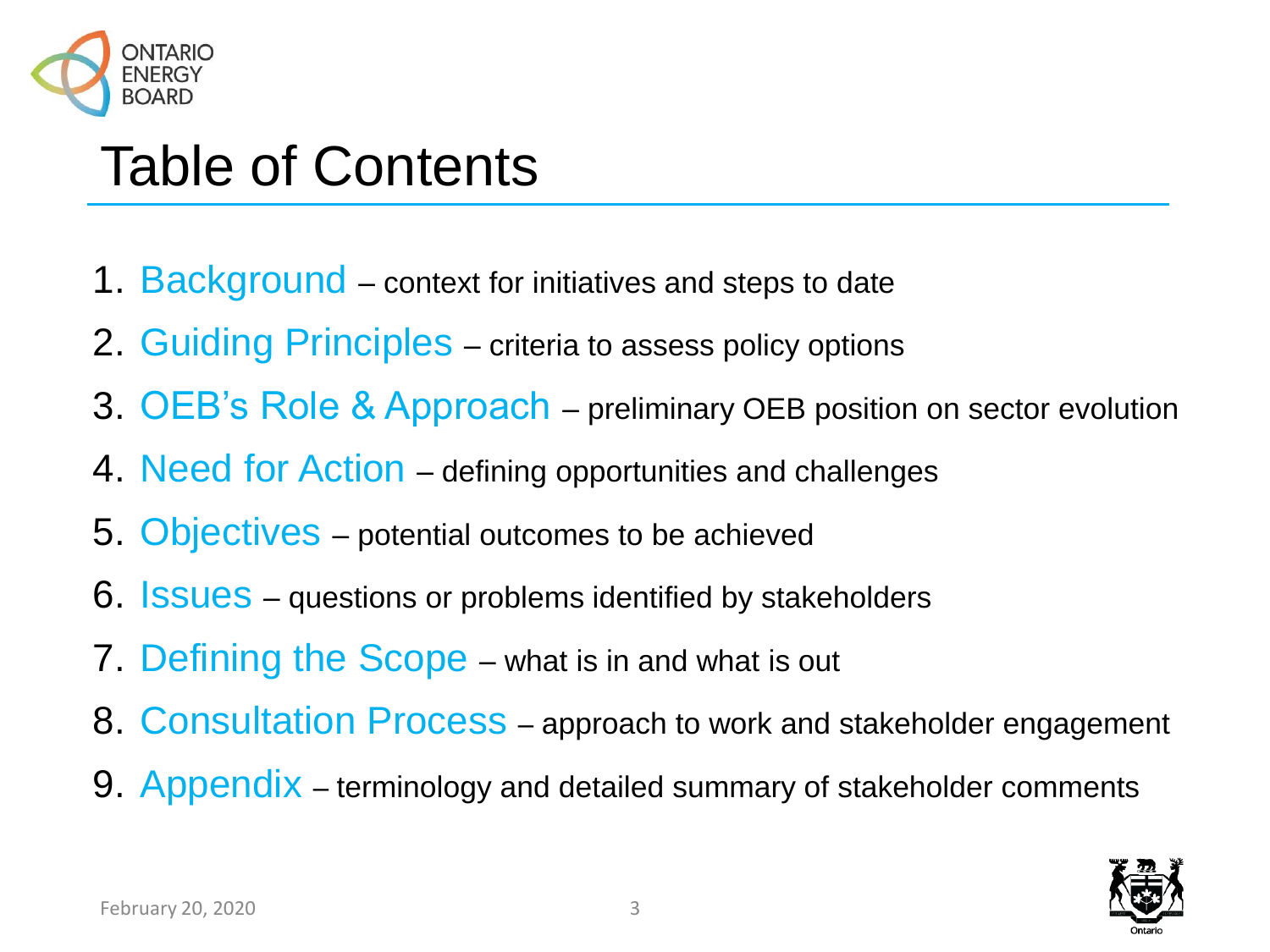

### Table of Contents

- 1. Background context for initiatives and steps to date
- 2. Guiding Principles criteria to assess policy options
- 3. OEB's Role & Approach preliminary OEB position on sector evolution
- 4. Need for Action defining opportunities and challenges
- 5. Objectives potential outcomes to be achieved
- 6. **ISSUES** questions or problems identified by stakeholders
- 7. Defining the Scope what is in and what is out
- 8. Consultation Process approach to work and stakeholder engagement
- 9. Appendix terminology and detailed summary of stakeholder comments

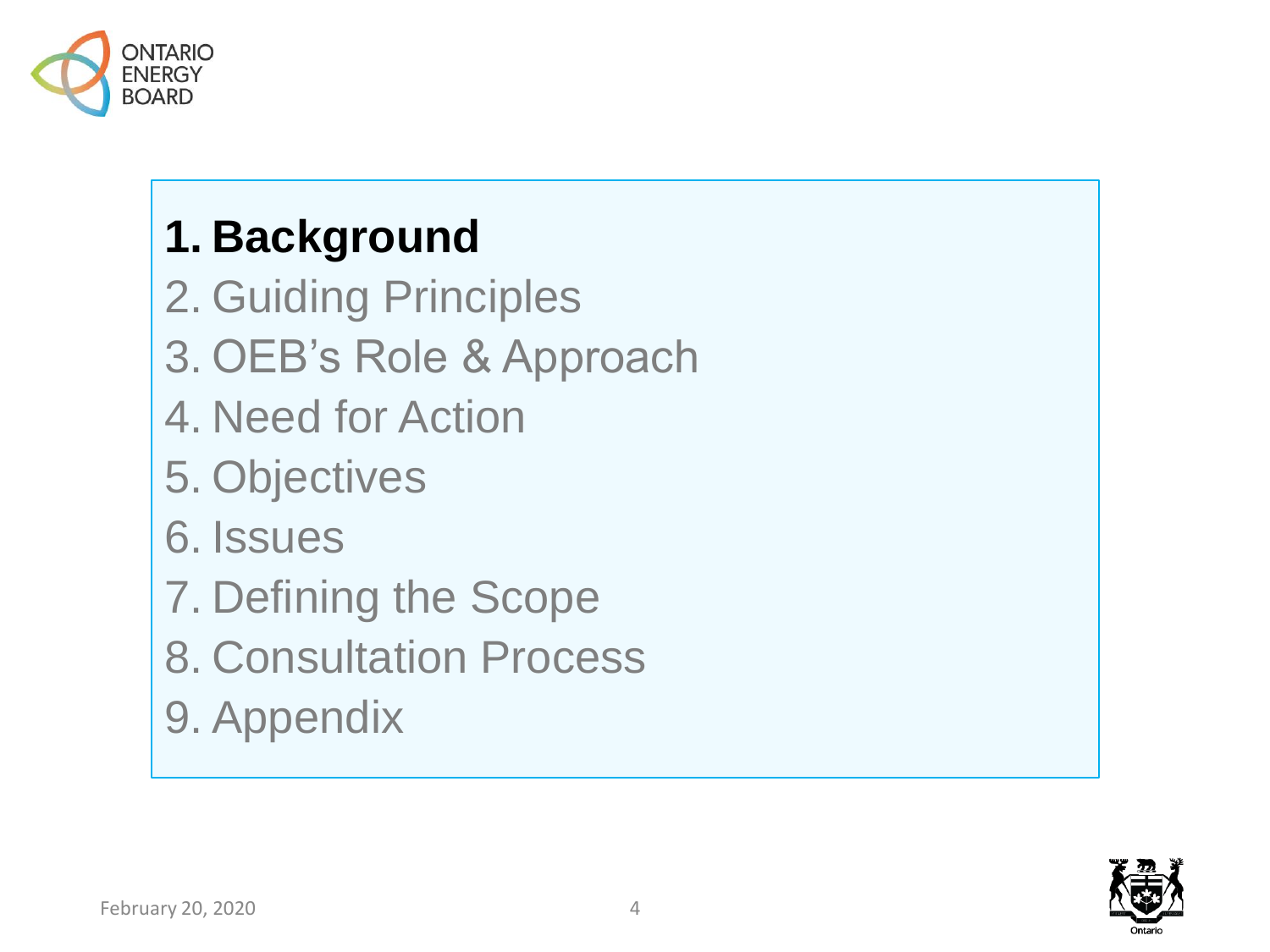

### **1. Background**

- 2. Guiding Principles
- 3. OEB's Role & Approach
- 4. Need for Action
- 5. Objectives
- 6. Issues
- 7. Defining the Scope
- 8. Consultation Process
- 9. Appendix

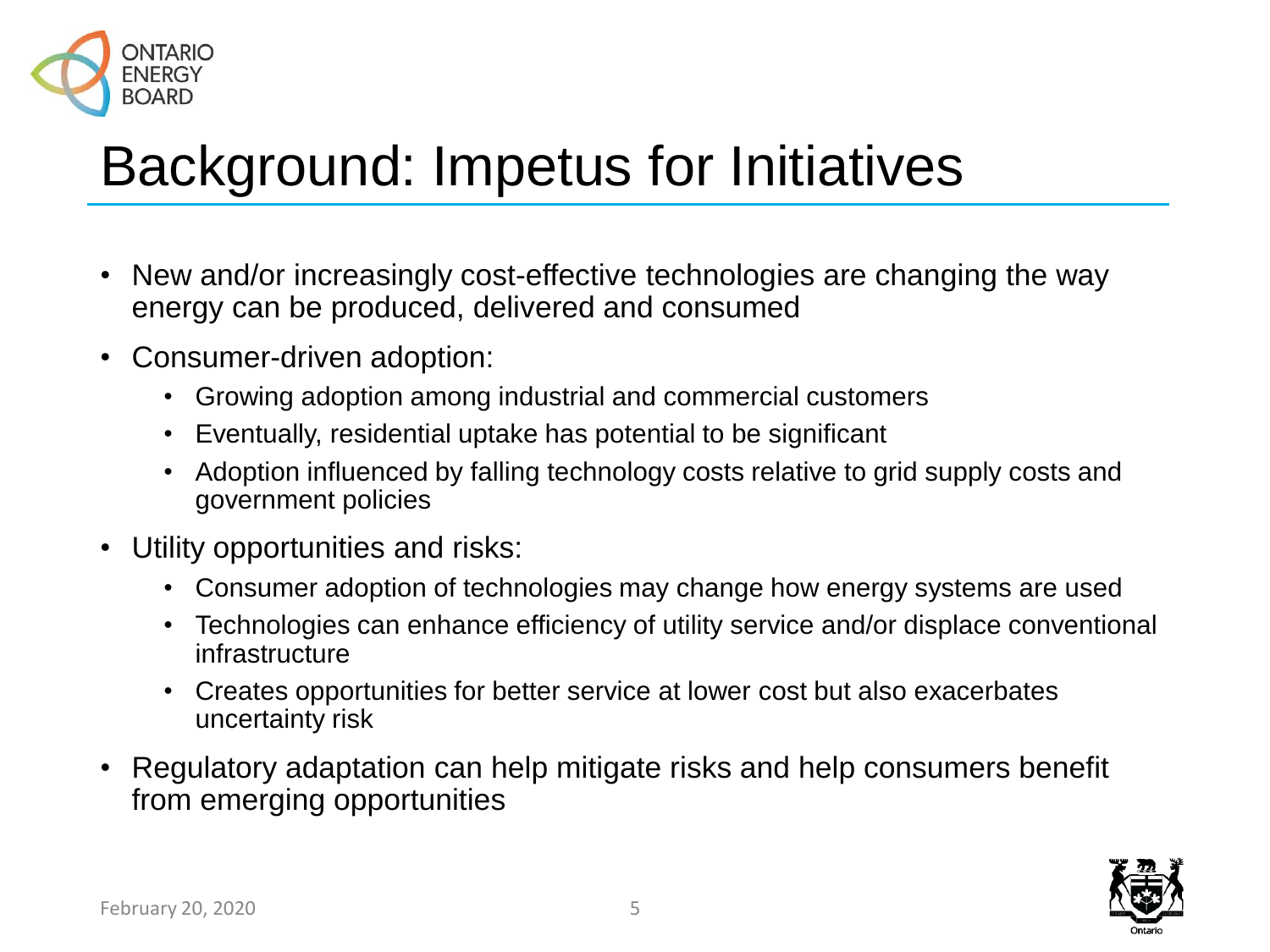

# Background: Impetus for Initiatives

- New and/or increasingly cost-effective technologies are changing the way energy can be produced, delivered and consumed
- Consumer-driven adoption:
	- Growing adoption among industrial and commercial customers
	- Eventually, residential uptake has potential to be significant
	- Adoption influenced by falling technology costs relative to grid supply costs and government policies
- Utility opportunities and risks:
	- Consumer adoption of technologies may change how energy systems are used
	- Technologies can enhance efficiency of utility service and/or displace conventional infrastructure
	- Creates opportunities for better service at lower cost but also exacerbates uncertainty risk
- Regulatory adaptation can help mitigate risks and help consumers benefit from emerging opportunities

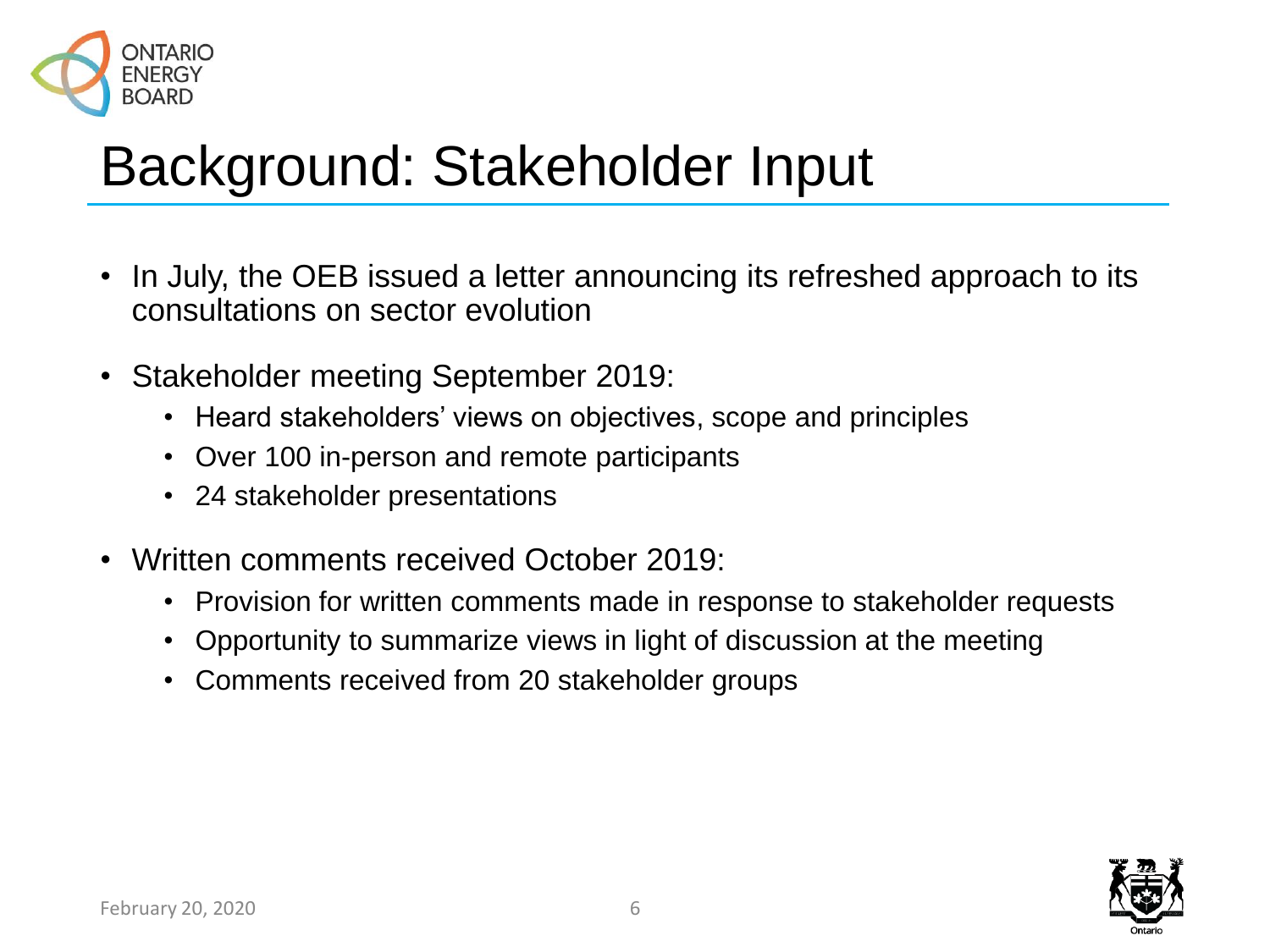

# Background: Stakeholder Input

- In July, the OEB issued a letter announcing its refreshed approach to its consultations on sector evolution
- Stakeholder meeting September 2019:
	- Heard stakeholders' views on objectives, scope and principles
	- Over 100 in-person and remote participants
	- 24 stakeholder presentations
- Written comments received October 2019:
	- Provision for written comments made in response to stakeholder requests
	- Opportunity to summarize views in light of discussion at the meeting
	- Comments received from 20 stakeholder groups

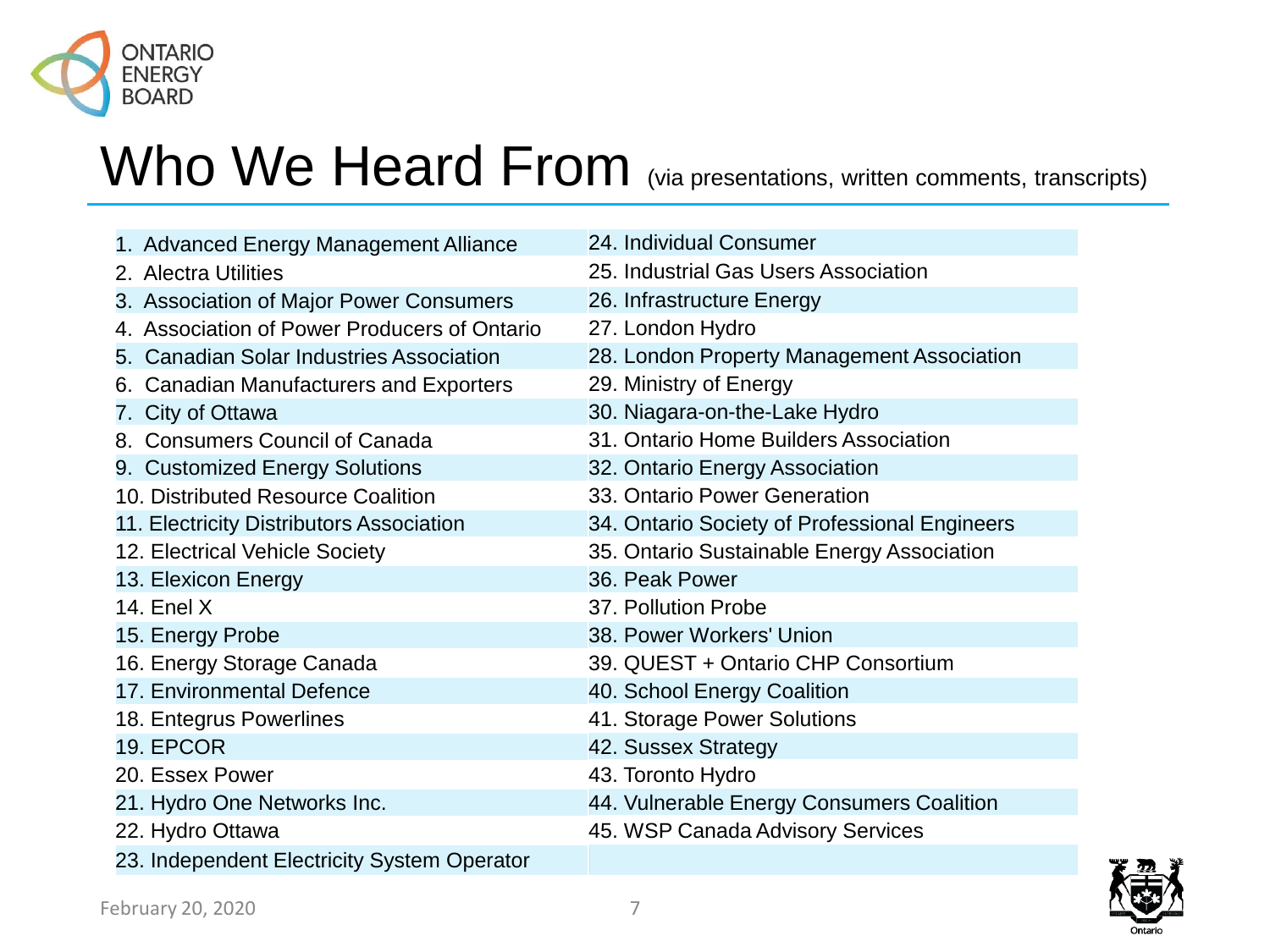

### Who We Heard From (via presentations, written comments, transcripts)

| 1. Advanced Energy Management Alliance       | 24. Individual Consumer                       |
|----------------------------------------------|-----------------------------------------------|
| 2. Alectra Utilities                         | 25. Industrial Gas Users Association          |
| 3. Association of Major Power Consumers      | 26. Infrastructure Energy                     |
| 4. Association of Power Producers of Ontario | 27. London Hydro                              |
| 5. Canadian Solar Industries Association     | 28. London Property Management Association    |
| 6. Canadian Manufacturers and Exporters      | 29. Ministry of Energy                        |
| 7. City of Ottawa                            | 30. Niagara-on-the-Lake Hydro                 |
| 8. Consumers Council of Canada               | 31. Ontario Home Builders Association         |
| 9. Customized Energy Solutions               | 32. Ontario Energy Association                |
| 10. Distributed Resource Coalition           | 33. Ontario Power Generation                  |
| 11. Electricity Distributors Association     | 34. Ontario Society of Professional Engineers |
| 12. Electrical Vehicle Society               | 35. Ontario Sustainable Energy Association    |
| 13. Elexicon Energy                          | 36. Peak Power                                |
| <b>14. Enel X</b>                            | 37. Pollution Probe                           |
| 15. Energy Probe                             | 38. Power Workers' Union                      |
| 16. Energy Storage Canada                    | 39. QUEST + Ontario CHP Consortium            |
| 17. Environmental Defence                    | 40. School Energy Coalition                   |
| 18. Entegrus Powerlines                      | 41. Storage Power Solutions                   |
| 19. EPCOR                                    | 42. Sussex Strategy                           |
| 20. Essex Power                              | 43. Toronto Hydro                             |
| 21. Hydro One Networks Inc.                  | 44. Vulnerable Energy Consumers Coalition     |
| 22. Hydro Ottawa                             | 45. WSP Canada Advisory Services              |
| 23. Independent Electricity System Operator  |                                               |

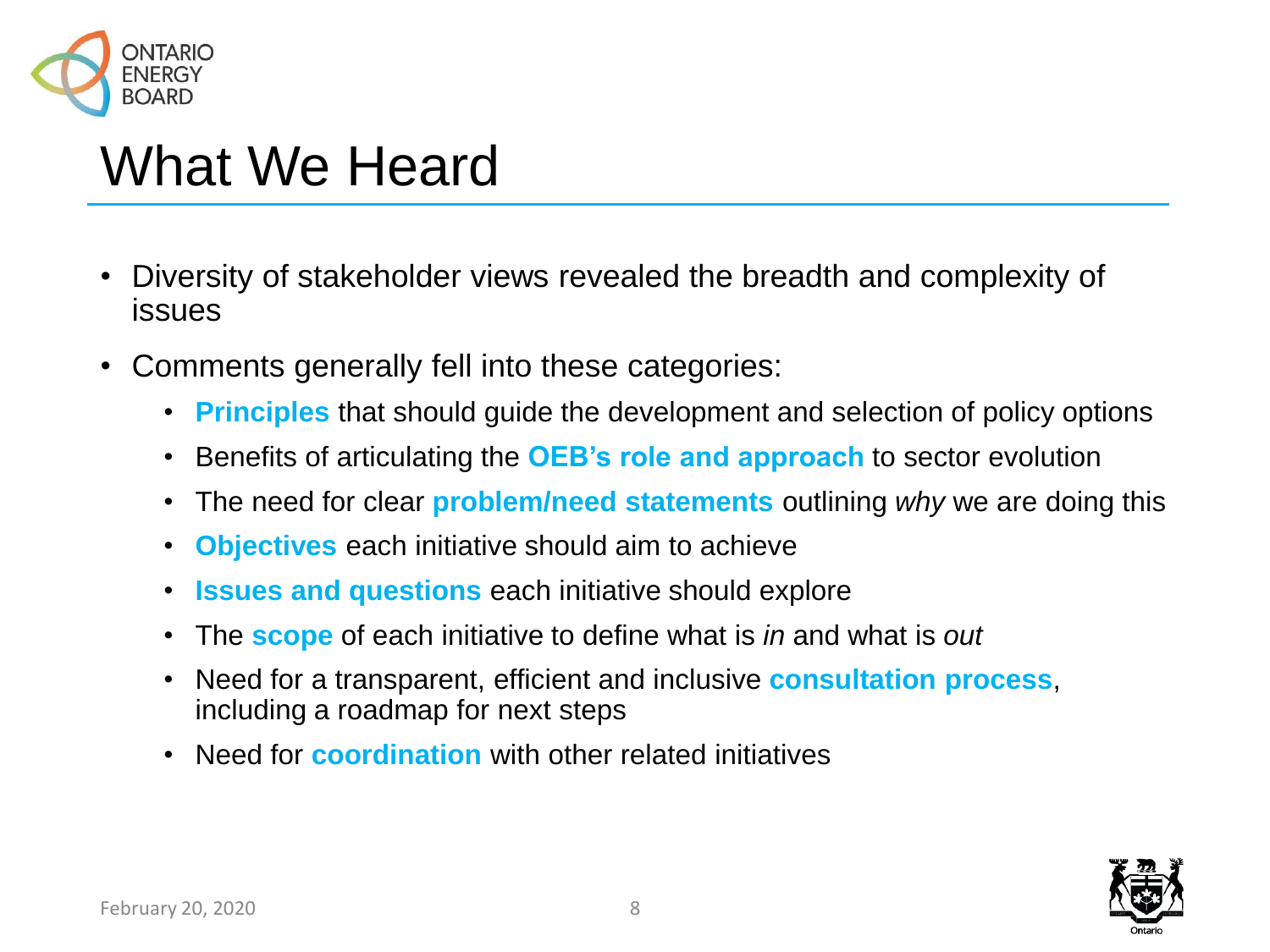

## What We Heard

- Diversity of stakeholder views revealed the breadth and complexity of issues
- Comments generally fell into these categories:
	- **Principles** that should guide the development and selection of policy options
	- Benefits of articulating the **OEB's role and approach** to sector evolution
	- The need for clear **problem/need statements** outlining *why* we are doing this
	- **Objectives** each initiative should aim to achieve
	- **Issues and questions** each initiative should explore
	- The **scope** of each initiative to define what is *in* and what is *out*
	- Need for a transparent, efficient and inclusive **consultation process**, including a roadmap for next steps
	- Need for **coordination** with other related initiatives

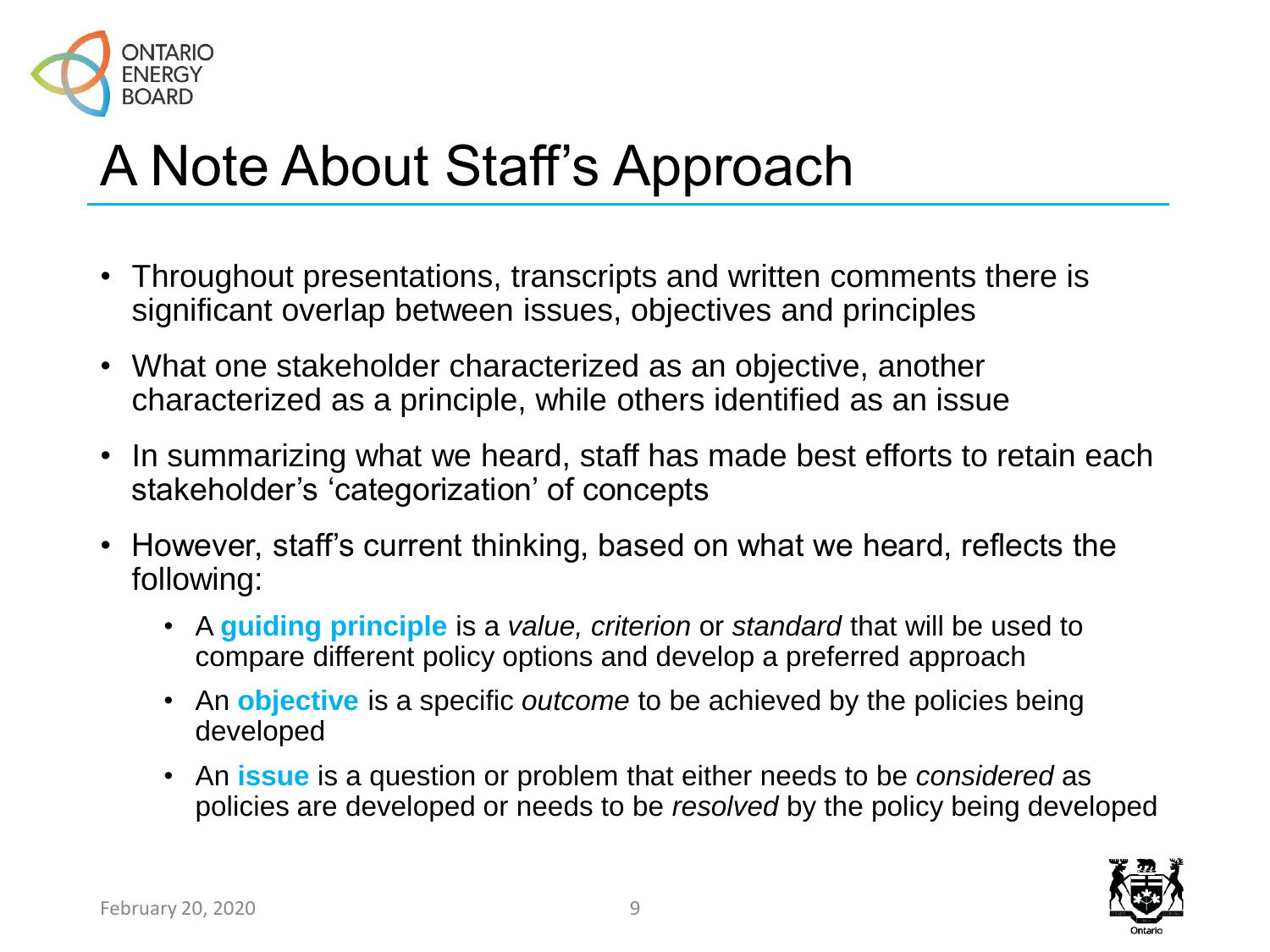

# A Note About Staff's Approach

- Throughout presentations, transcripts and written comments there is significant overlap between issues, objectives and principles
- What one stakeholder characterized as an objective, another characterized as a principle, while others identified as an issue
- In summarizing what we heard, staff has made best efforts to retain each stakeholder's 'categorization' of concepts
- However, staff's current thinking, based on what we heard, reflects the following:
	- A **guiding principle** is a *value, criterion* or *standard* that will be used to compare different policy options and develop a preferred approach
	- An **objective** is a specific *outcome* to be achieved by the policies being developed
	- An **issue** is a question or problem that either needs to be *considered* as policies are developed or needs to be *resolved* by the policy being developed

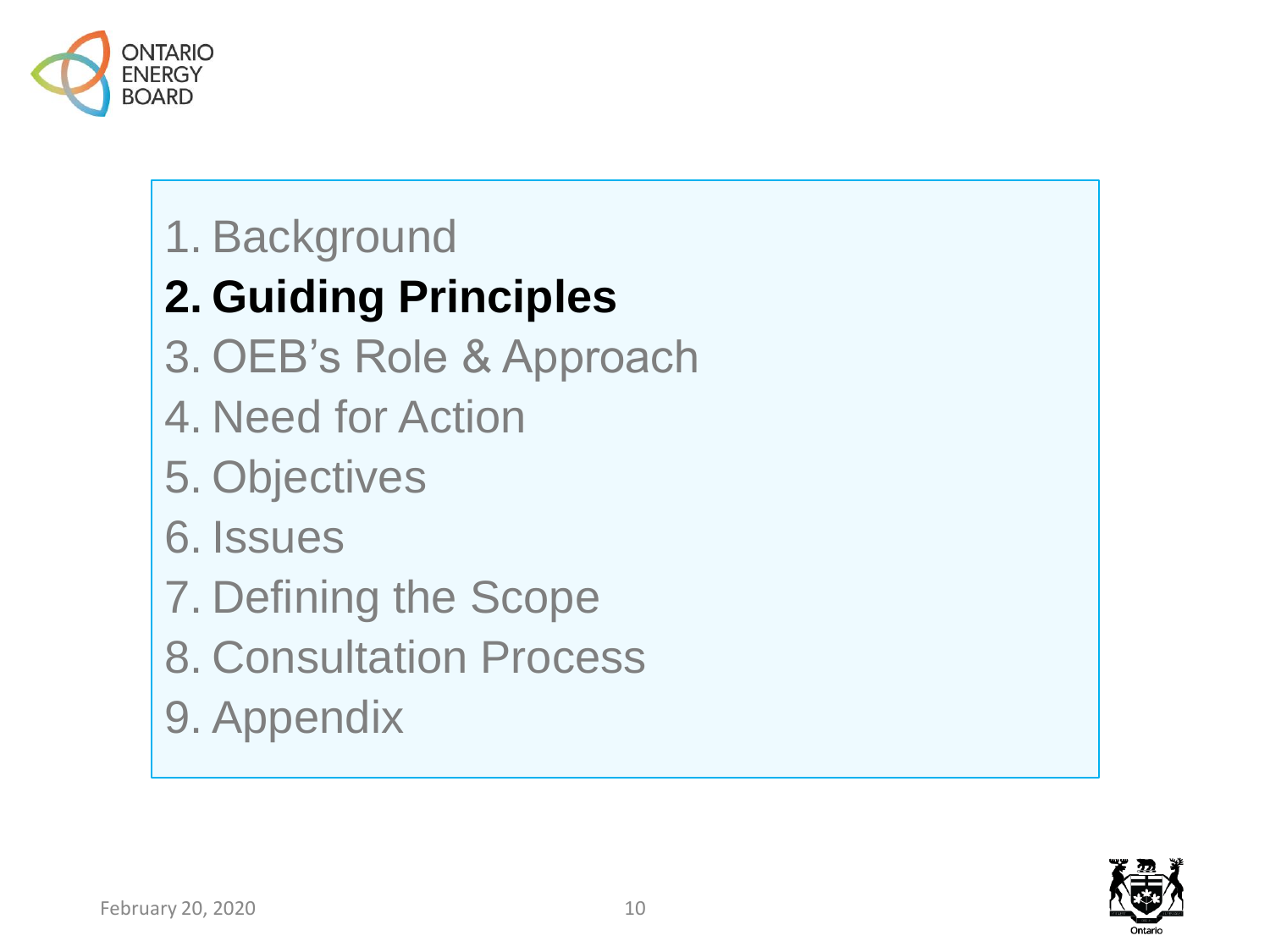

#### 1. Background

#### **2. Guiding Principles**

- 3. OEB's Role & Approach
- 4. Need for Action
- 5. Objectives
- 6. Issues
- 7. Defining the Scope
- 8. Consultation Process
- 9. Appendix

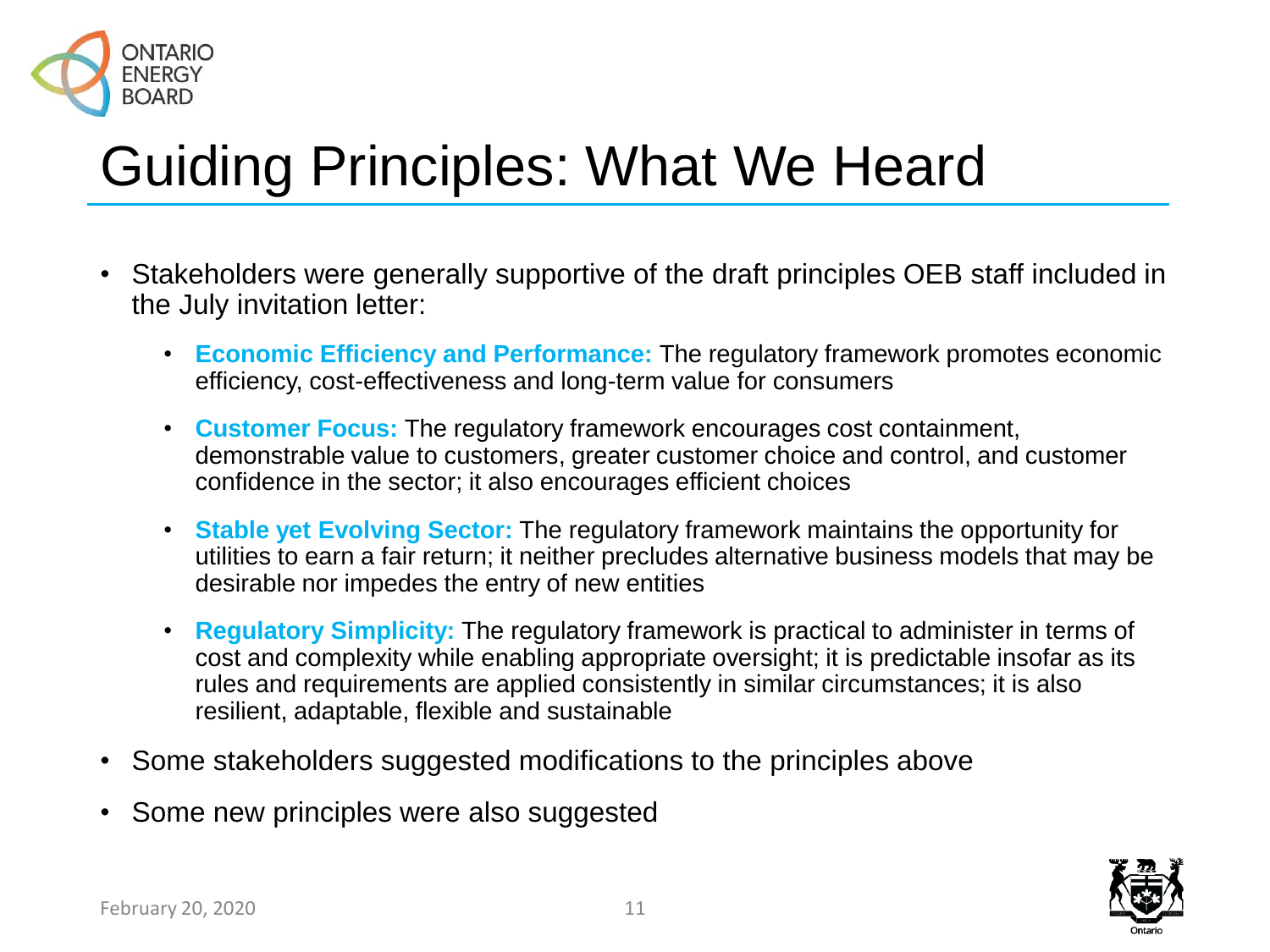

# Guiding Principles: What We Heard

- Stakeholders were generally supportive of the draft principles OEB staff included in the July invitation letter:
	- **Economic Efficiency and Performance:** The regulatory framework promotes economic efficiency, cost-effectiveness and long-term value for consumers
	- **Customer Focus:** The regulatory framework encourages cost containment, demonstrable value to customers, greater customer choice and control, and customer confidence in the sector; it also encourages efficient choices
	- **Stable yet Evolving Sector:** The regulatory framework maintains the opportunity for utilities to earn a fair return; it neither precludes alternative business models that may be desirable nor impedes the entry of new entities
	- **Regulatory Simplicity:** The regulatory framework is practical to administer in terms of cost and complexity while enabling appropriate oversight; it is predictable insofar as its rules and requirements are applied consistently in similar circumstances; it is also resilient, adaptable, flexible and sustainable
- Some stakeholders suggested modifications to the principles above
- Some new principles were also suggested

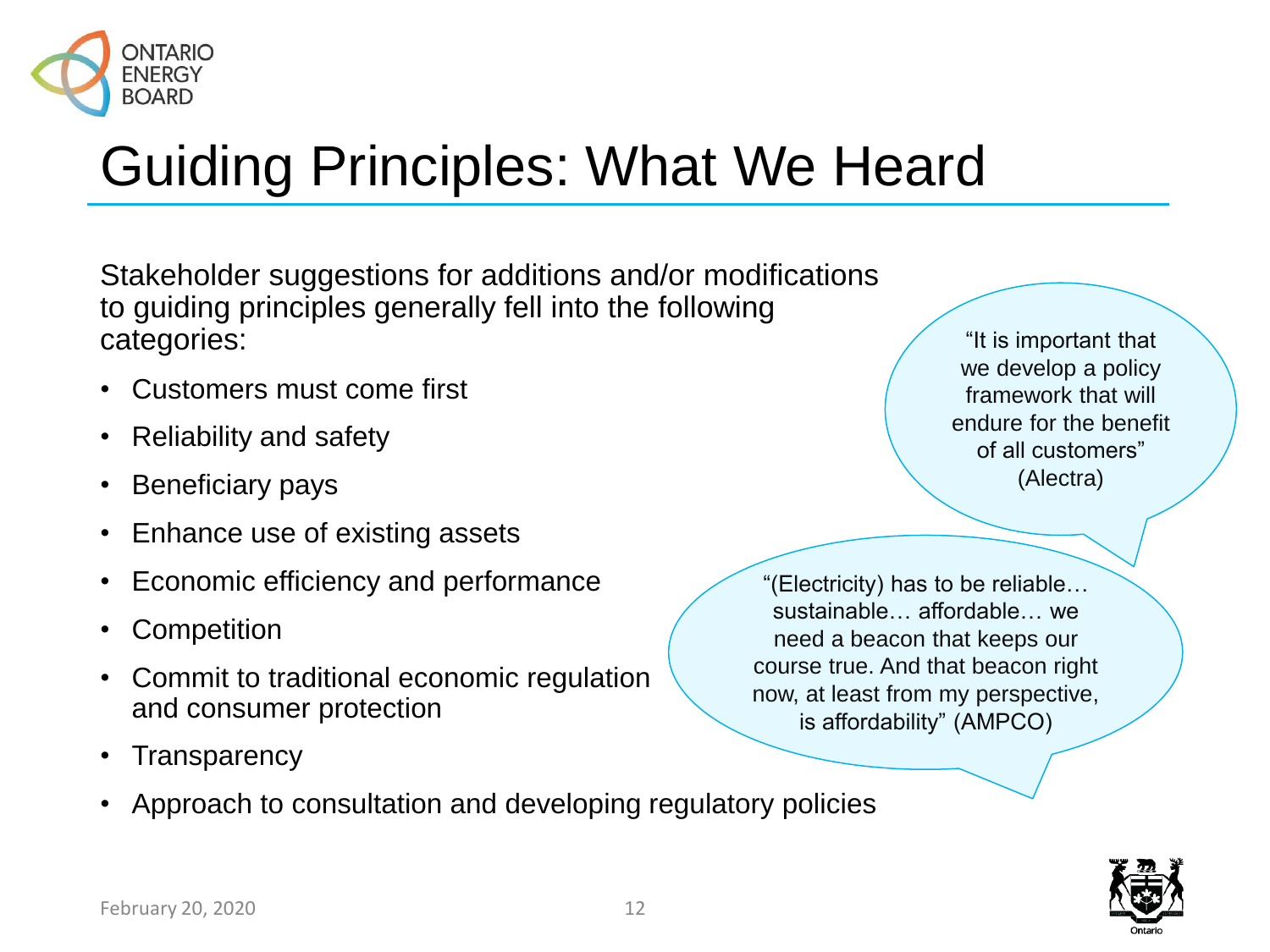

# Guiding Principles: What We Heard

Stakeholder suggestions for additions and/or modifications to guiding principles generally fell into the following categories:

- Customers must come first
- Reliability and safety
- Beneficiary pays
- Enhance use of existing assets
- Economic efficiency and performance
- **Competition**
- Commit to traditional economic regulation and consumer protection
- **Transparency**
- Approach to consultation and developing regulatory policies

"It is important that we develop a policy framework that will endure for the benefit of all customers" (Alectra)

"(Electricity) has to be reliable… sustainable… affordable… we need a beacon that keeps our course true. And that beacon right now, at least from my perspective, is affordability" (AMPCO)

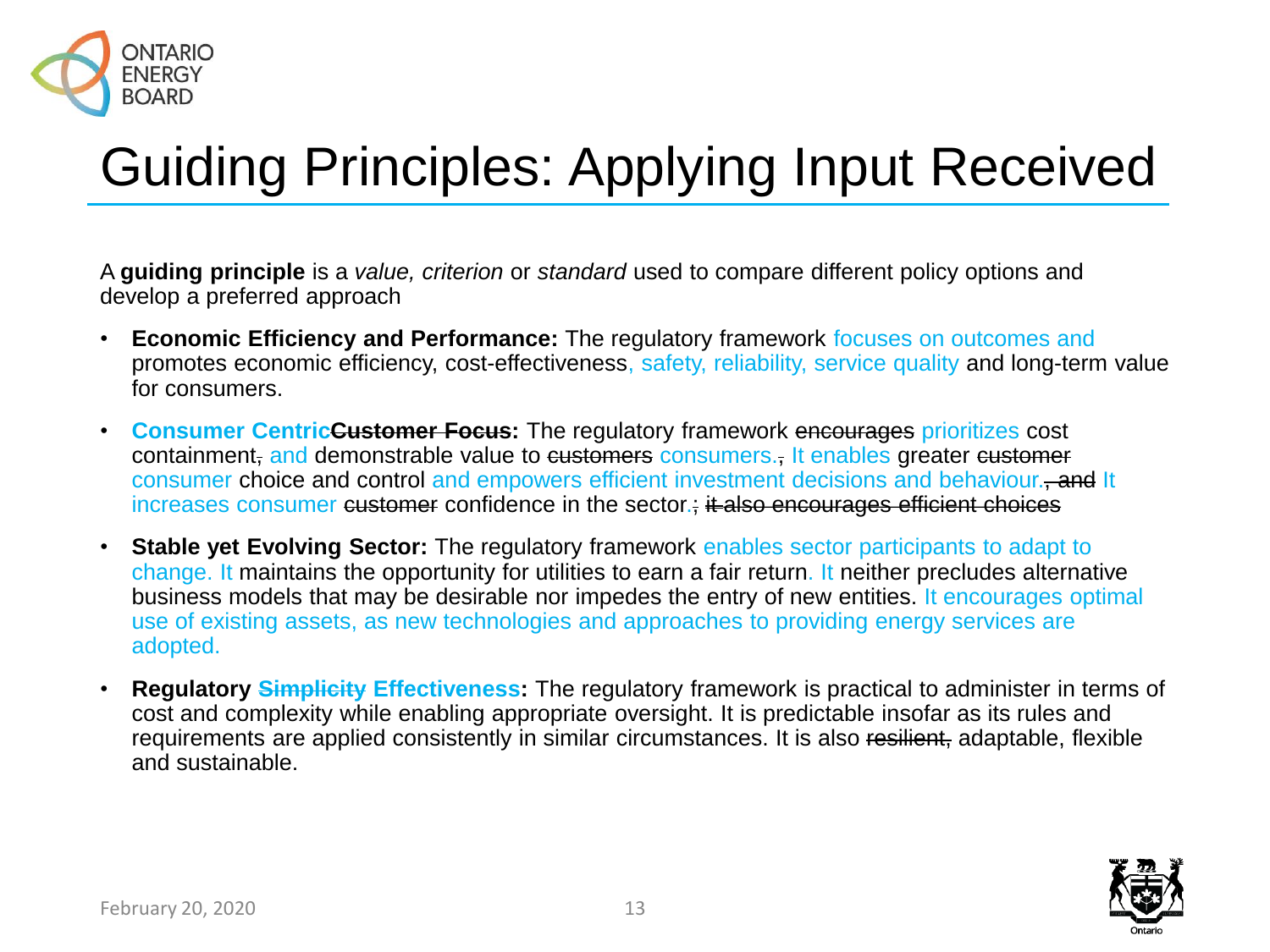

# Guiding Principles: Applying Input Received

A **guiding principle** is a *value, criterion* or *standard* used to compare different policy options and develop a preferred approach

- **Economic Efficiency and Performance:** The regulatory framework focuses on outcomes and promotes economic efficiency, cost-effectiveness, safety, reliability, service quality and long-term value for consumers.
- **Consumer CentricCustomer Focus:** The regulatory framework encourages prioritizes cost containment, and demonstrable value to customers consumers., It enables greater customer consumer choice and control and empowers efficient investment decisions and behaviour., and It increases consumer customer confidence in the sector.; it also encourages efficient choices
- **Stable yet Evolving Sector:** The regulatory framework enables sector participants to adapt to change. It maintains the opportunity for utilities to earn a fair return. It neither precludes alternative business models that may be desirable nor impedes the entry of new entities. It encourages optimal use of existing assets, as new technologies and approaches to providing energy services are adopted.
- **Regulatory Simplicity Effectiveness:** The regulatory framework is practical to administer in terms of cost and complexity while enabling appropriate oversight. It is predictable insofar as its rules and requirements are applied consistently in similar circumstances. It is also resilient, adaptable, flexible and sustainable.

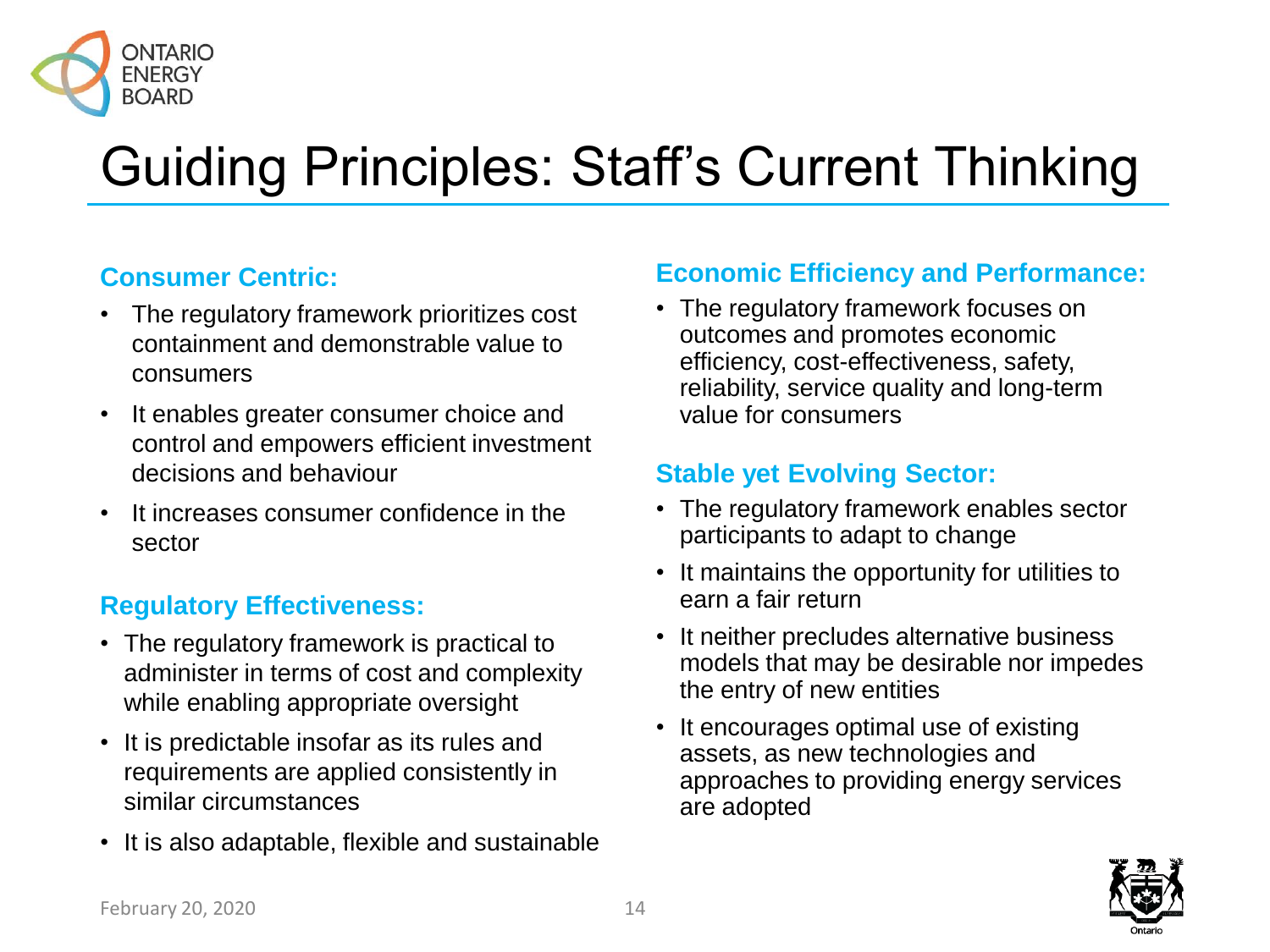

# Guiding Principles: Staff's Current Thinking

#### **Consumer Centric:**

- The regulatory framework prioritizes cost containment and demonstrable value to consumers
- It enables greater consumer choice and control and empowers efficient investment decisions and behaviour
- It increases consumer confidence in the sector

#### **Regulatory Effectiveness:**

- The regulatory framework is practical to administer in terms of cost and complexity while enabling appropriate oversight
- It is predictable insofar as its rules and requirements are applied consistently in similar circumstances
- It is also adaptable, flexible and sustainable

#### **Economic Efficiency and Performance:**

• The regulatory framework focuses on outcomes and promotes economic efficiency, cost-effectiveness, safety, reliability, service quality and long-term value for consumers

#### **Stable yet Evolving Sector:**

- The regulatory framework enables sector participants to adapt to change
- It maintains the opportunity for utilities to earn a fair return
- It neither precludes alternative business models that may be desirable nor impedes the entry of new entities
- It encourages optimal use of existing assets, as new technologies and approaches to providing energy services are adopted

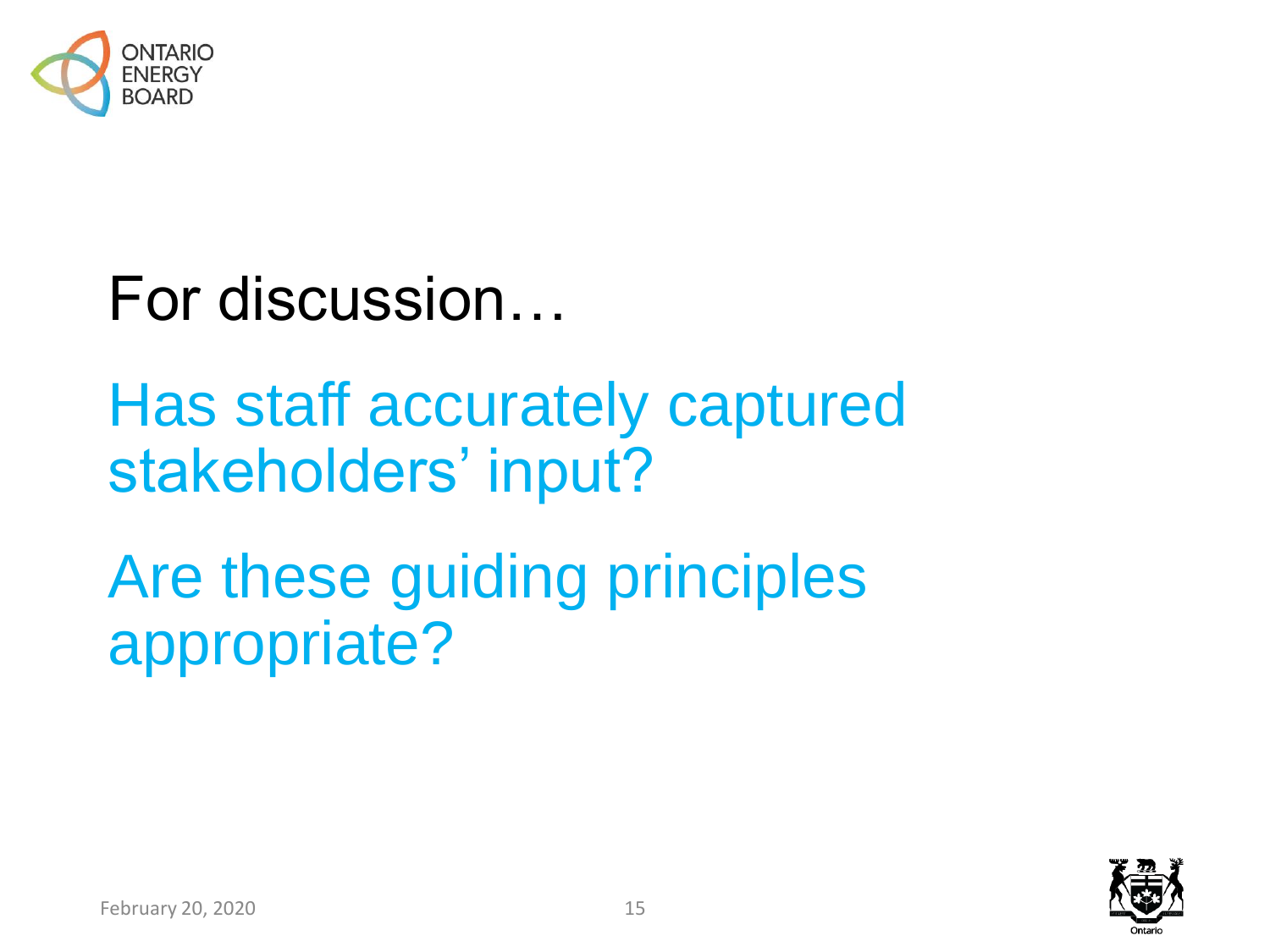

For discussion…

Has staff accurately captured stakeholders' input?

Are these guiding principles appropriate?



February 20, 2020 15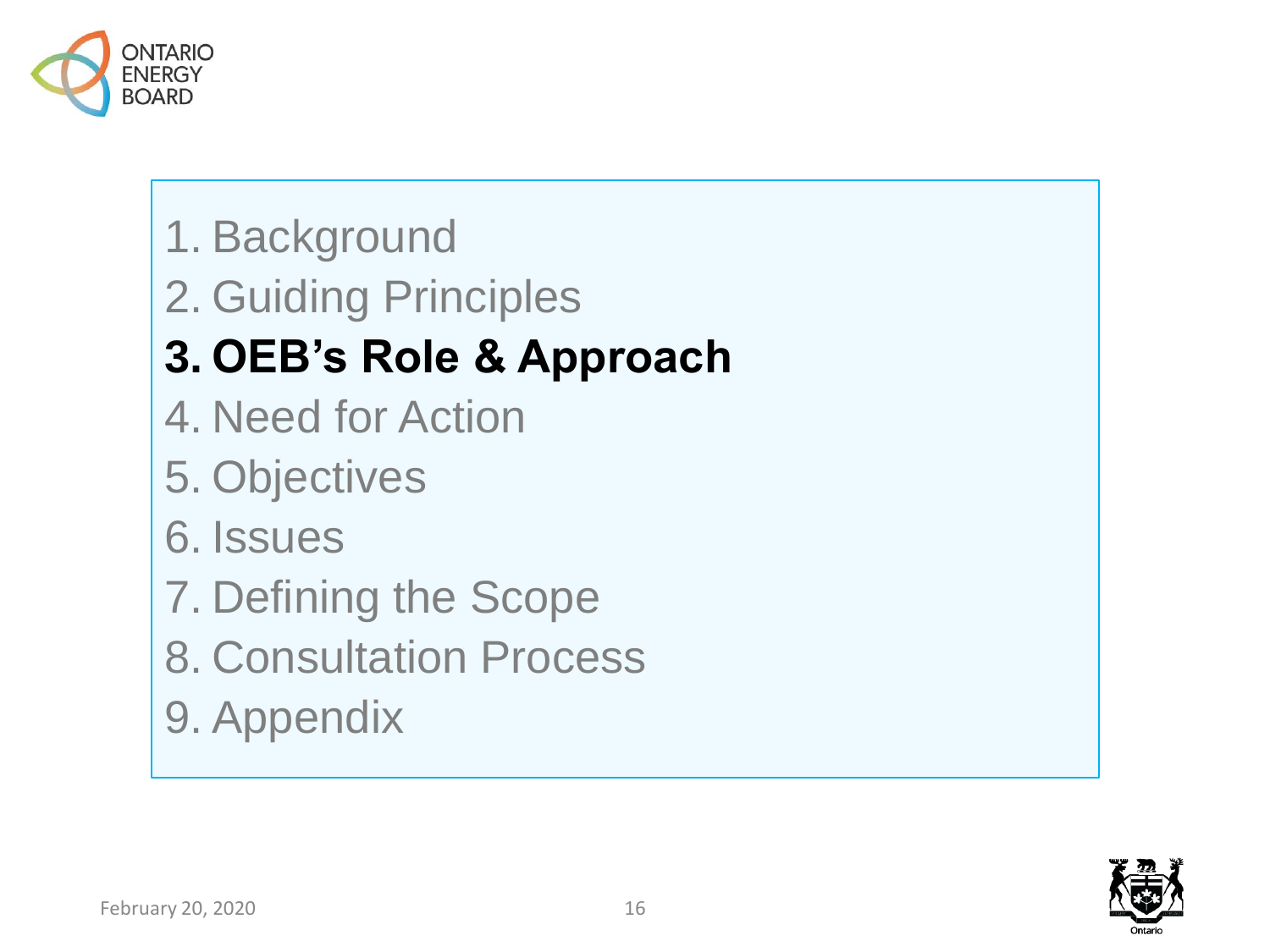

- 1. Background
- 2. Guiding Principles

#### **3. OEB's Role & Approach**

- 4. Need for Action
- 5. Objectives
- 6. Issues
- 7. Defining the Scope
- 8. Consultation Process
- 9. Appendix

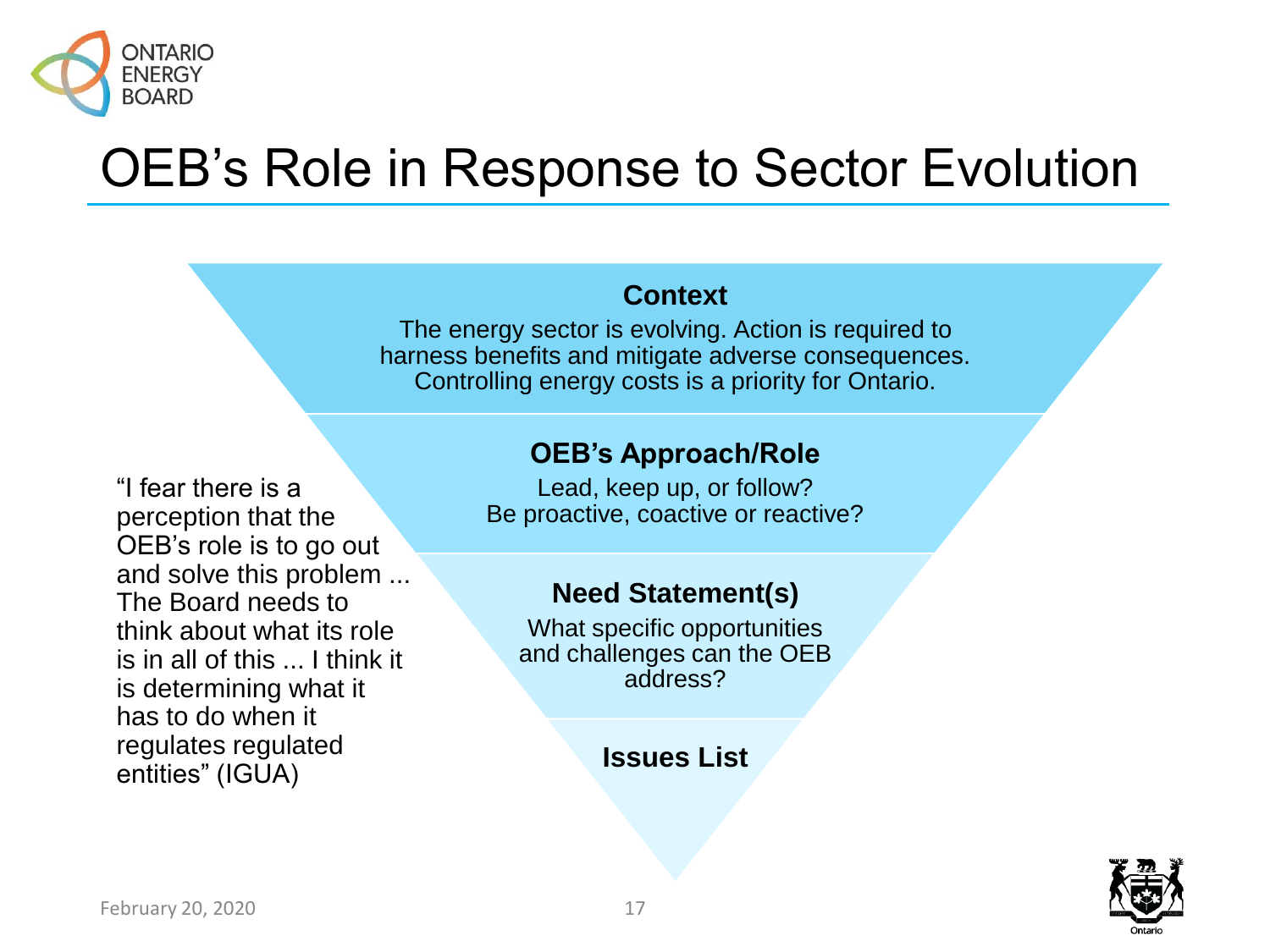

### OEB's Role in Response to Sector Evolution

#### **Context**

The energy sector is evolving. Action is required to harness benefits and mitigate adverse consequences. Controlling energy costs is a priority for Ontario.

#### **OEB's Approach/Role**

"I fear there is a perception that the OEB's role is to go out and solve this problem ... The Board needs to think about what its role is in all of this ... I think it is determining what it has to do when it regulates regulated entities" (IGUA)

Lead, keep up, or follow? Be proactive, coactive or reactive?

#### **Need Statement(s)**

What specific opportunities and challenges can the OEB address?

#### **Issues List**

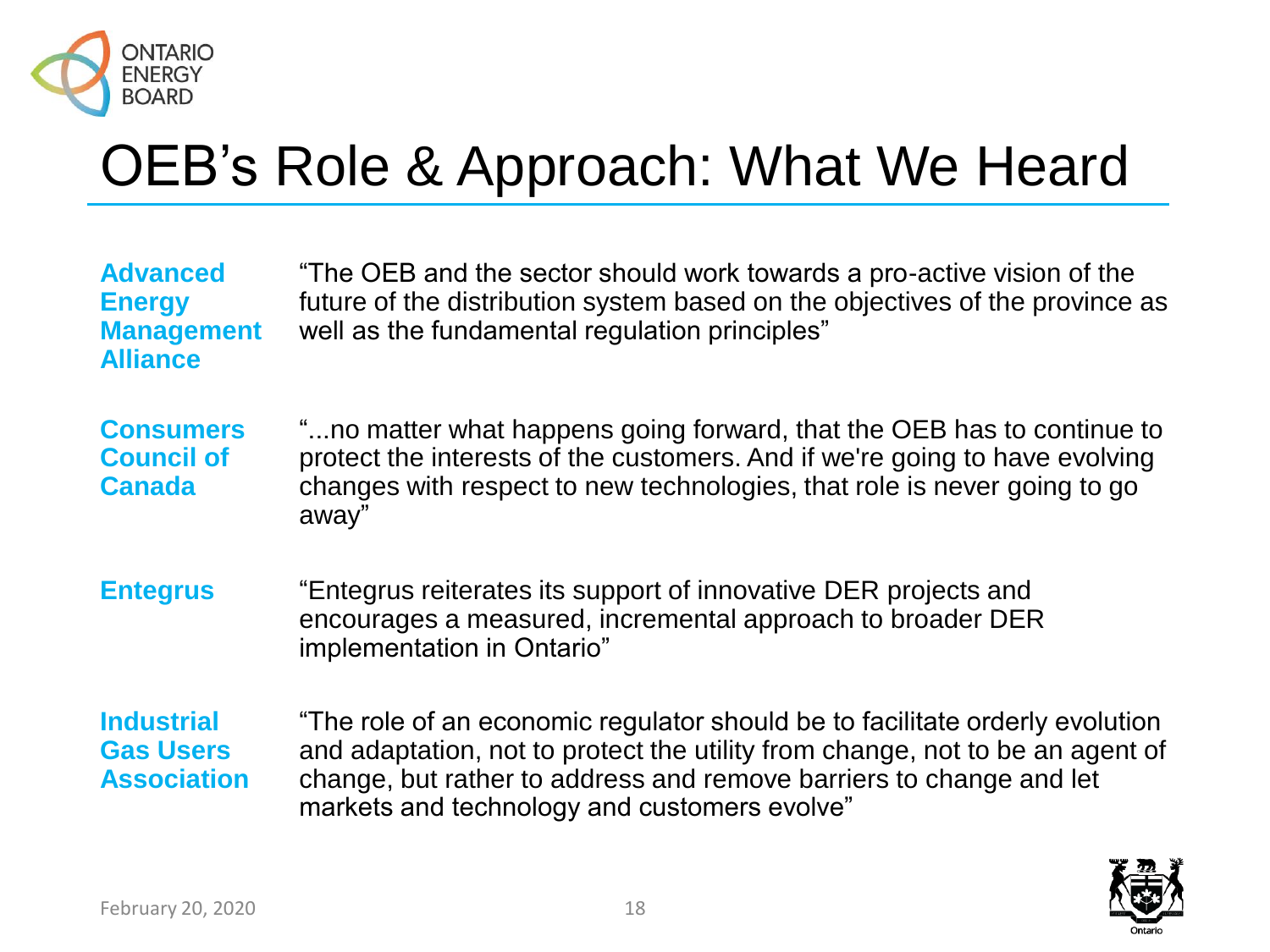

# OEB's Role & Approach: What We Heard

| <b>Advanced</b><br><b>Energy</b><br><b>Management</b><br><b>Alliance</b> | "The OEB and the sector should work towards a pro-active vision of the<br>future of the distribution system based on the objectives of the province as<br>well as the fundamental regulation principles"                                                                             |
|--------------------------------------------------------------------------|--------------------------------------------------------------------------------------------------------------------------------------------------------------------------------------------------------------------------------------------------------------------------------------|
| <b>Consumers</b><br><b>Council of</b><br><b>Canada</b>                   | "no matter what happens going forward, that the OEB has to continue to<br>protect the interests of the customers. And if we're going to have evolving<br>changes with respect to new technologies, that role is never going to go<br>away"                                           |
| <b>Entegrus</b>                                                          | "Entegrus reiterates its support of innovative DER projects and<br>encourages a measured, incremental approach to broader DER<br>implementation in Ontario"                                                                                                                          |
| <b>Industrial</b><br><b>Gas Users</b><br><b>Association</b>              | "The role of an economic regulator should be to facilitate orderly evolution<br>and adaptation, not to protect the utility from change, not to be an agent of<br>change, but rather to address and remove barriers to change and let<br>markets and technology and customers evolve" |

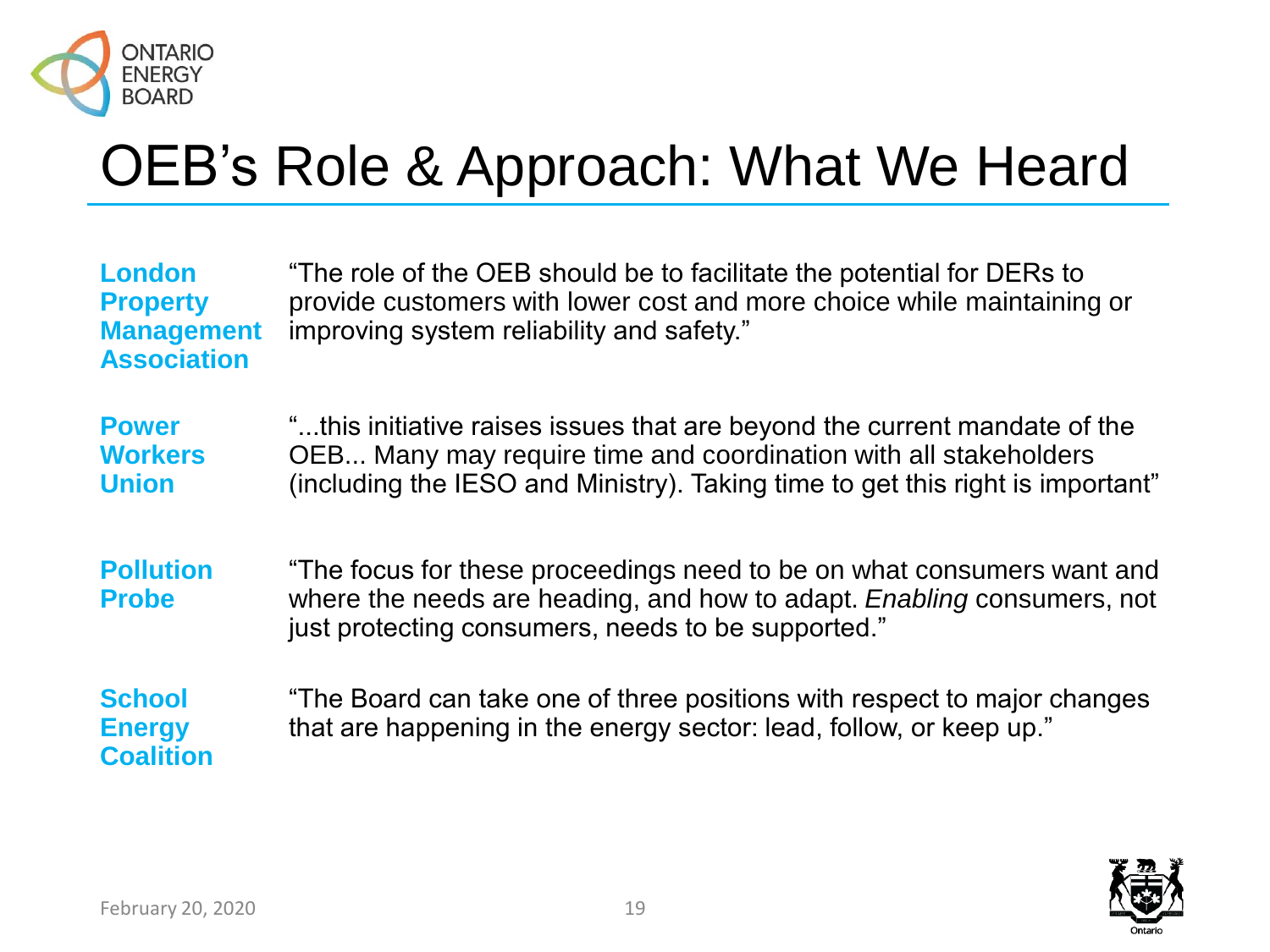

# OEB's Role & Approach: What We Heard

| <b>London</b><br><b>Property</b><br><b>Management</b><br><b>Association</b> | "The role of the OEB should be to facilitate the potential for DERs to<br>provide customers with lower cost and more choice while maintaining or<br>improving system reliability and safety."                                   |
|-----------------------------------------------------------------------------|---------------------------------------------------------------------------------------------------------------------------------------------------------------------------------------------------------------------------------|
| <b>Power</b><br><b>Workers</b><br><b>Union</b>                              | "this initiative raises issues that are beyond the current mandate of the<br>OEB Many may require time and coordination with all stakeholders<br>(including the IESO and Ministry). Taking time to get this right is important" |
| <b>Pollution</b><br><b>Probe</b>                                            | "The focus for these proceedings need to be on what consumers want and<br>where the needs are heading, and how to adapt. Enabling consumers, not<br>just protecting consumers, needs to be supported."                          |
| <b>School</b><br><b>Energy</b><br><b>Coalition</b>                          | "The Board can take one of three positions with respect to major changes<br>that are happening in the energy sector: lead, follow, or keep up."                                                                                 |

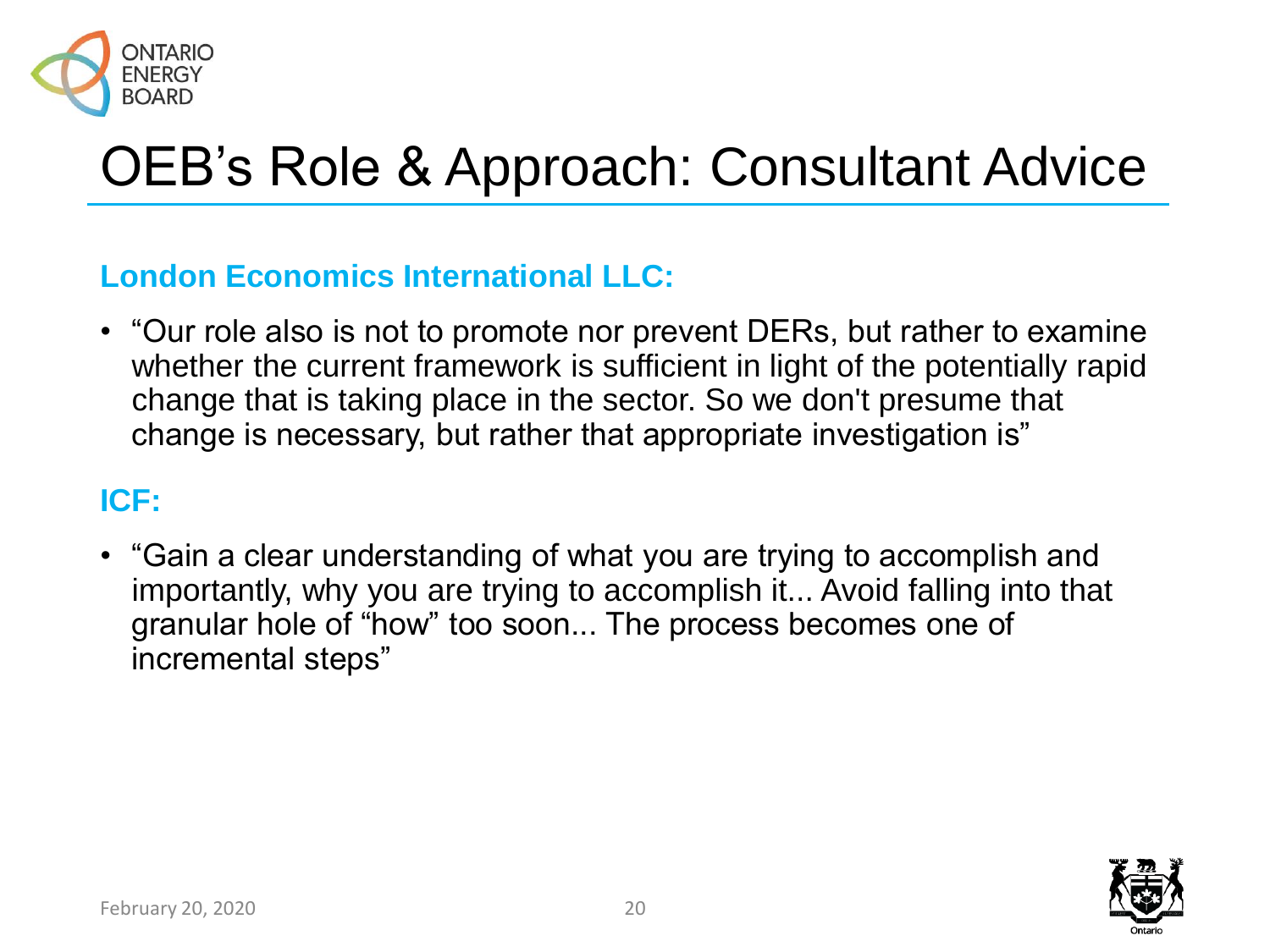

# OEB's Role & Approach: Consultant Advice

#### **London Economics International LLC:**

• "Our role also is not to promote nor prevent DERs, but rather to examine whether the current framework is sufficient in light of the potentially rapid change that is taking place in the sector. So we don't presume that change is necessary, but rather that appropriate investigation is"

#### **ICF:**

• "Gain a clear understanding of what you are trying to accomplish and importantly, why you are trying to accomplish it... Avoid falling into that granular hole of "how" too soon... The process becomes one of incremental steps"

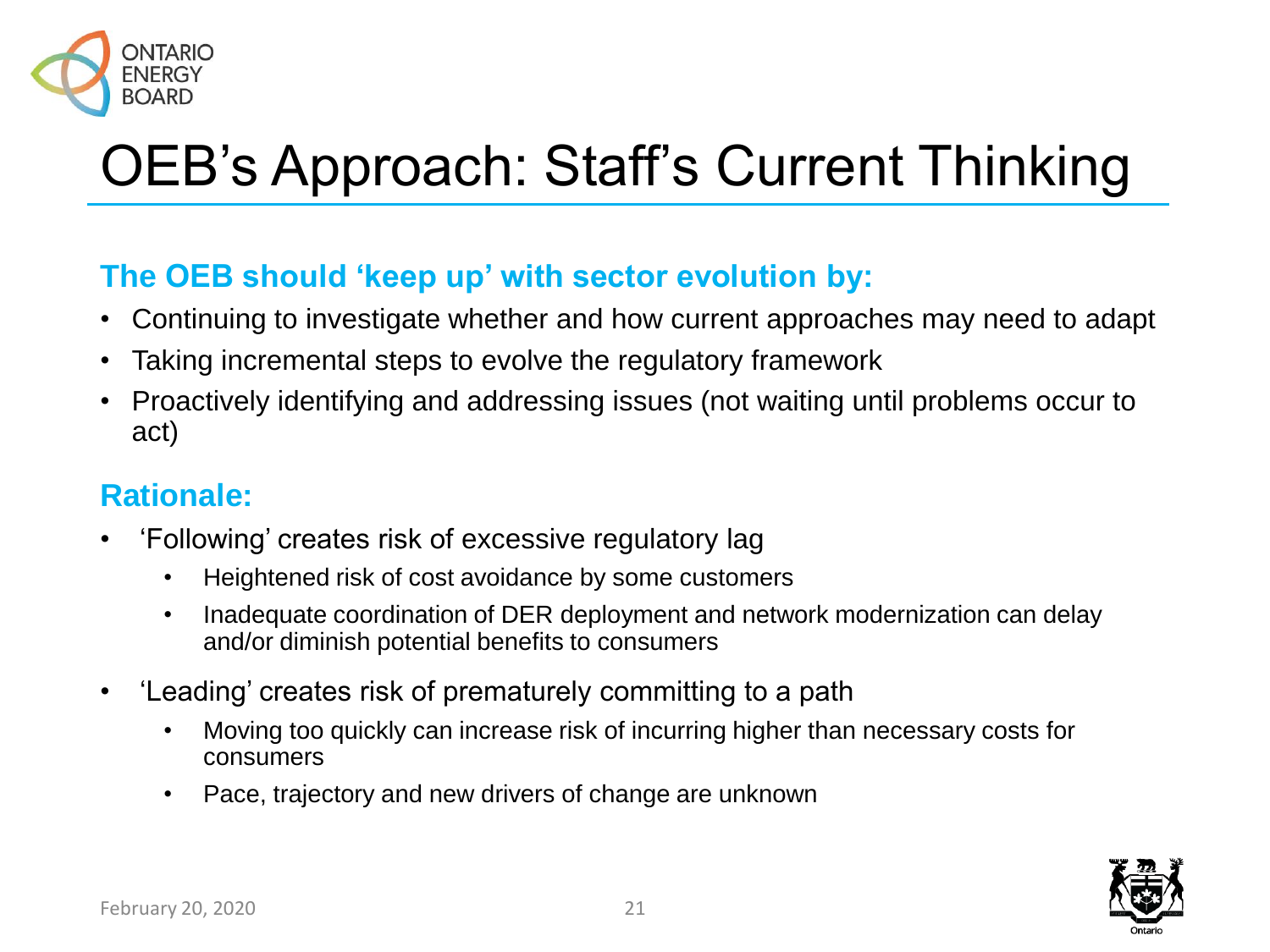

# OEB's Approach: Staff's Current Thinking

#### **The OEB should 'keep up' with sector evolution by:**

- Continuing to investigate whether and how current approaches may need to adapt
- Taking incremental steps to evolve the regulatory framework
- Proactively identifying and addressing issues (not waiting until problems occur to act)

#### **Rationale:**

- 'Following' creates risk of excessive regulatory lag
	- Heightened risk of cost avoidance by some customers
	- Inadequate coordination of DER deployment and network modernization can delay and/or diminish potential benefits to consumers
- 'Leading' creates risk of prematurely committing to a path
	- Moving too quickly can increase risk of incurring higher than necessary costs for consumers
	- Pace, trajectory and new drivers of change are unknown

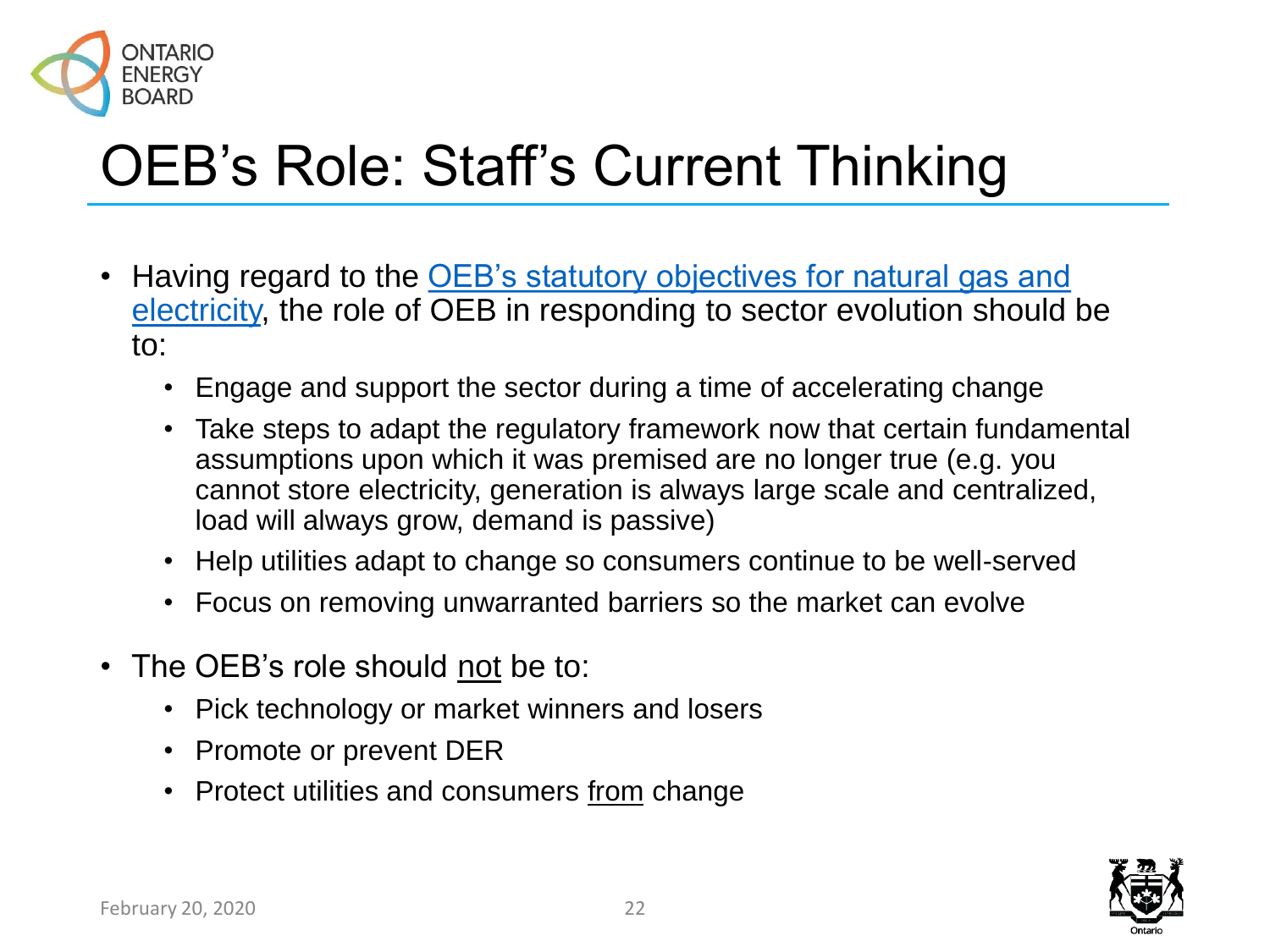

# OEB's Role: Staff's Current Thinking

- Having regard to the OEB's statutory objectives for natural gas and [electricity, the role of OEB in responding to sector evolution should](#page-54-0) be to:
	- Engage and support the sector during a time of accelerating change
	- Take steps to adapt the regulatory framework now that certain fundamental assumptions upon which it was premised are no longer true (e.g. you cannot store electricity, generation is always large scale and centralized, load will always grow, demand is passive)
	- Help utilities adapt to change so consumers continue to be well-served
	- Focus on removing unwarranted barriers so the market can evolve
- The OEB's role should not be to:
	- Pick technology or market winners and losers
	- Promote or prevent DER
	- Protect utilities and consumers from change

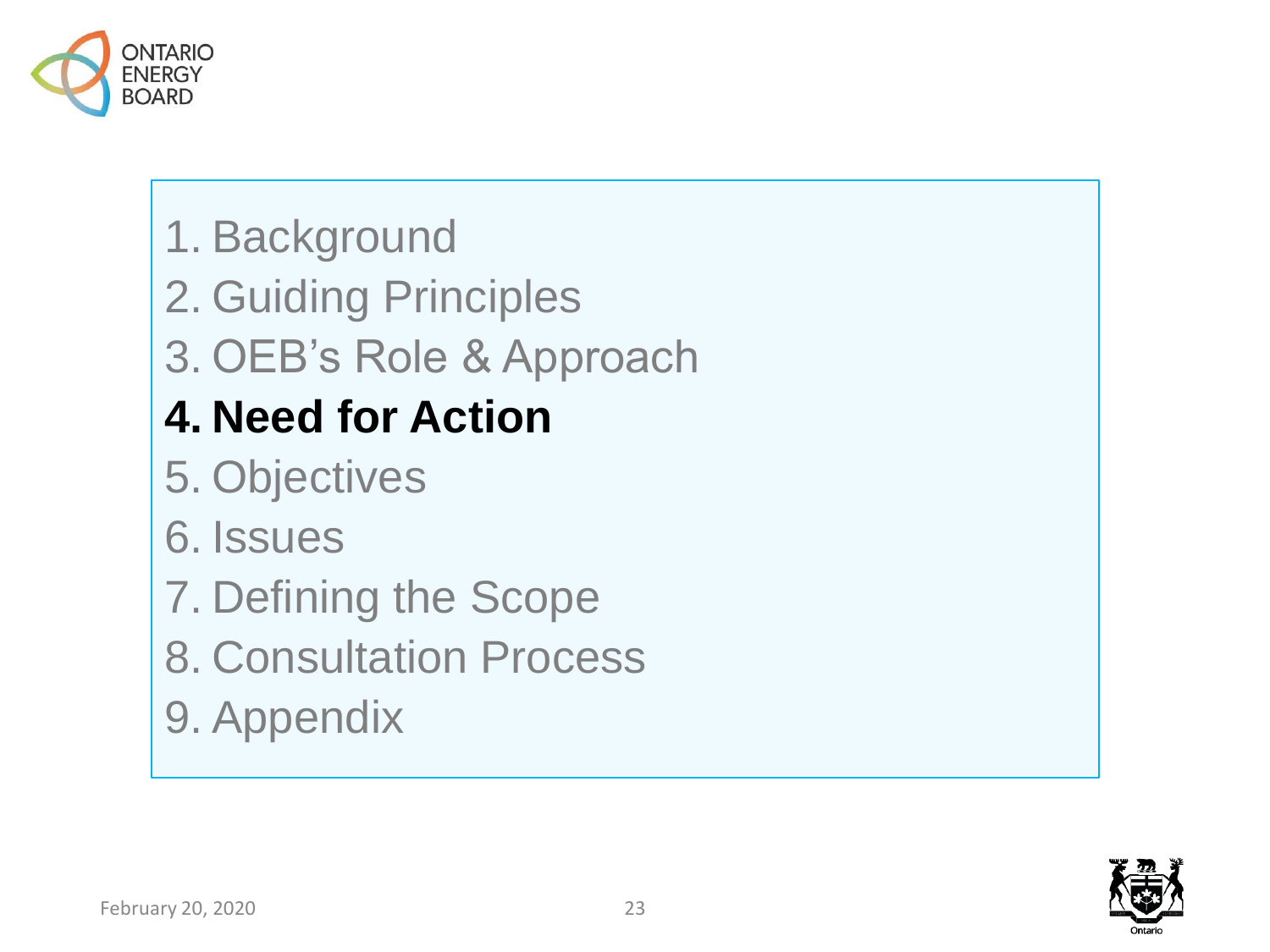

- 1. Background
- 2. Guiding Principles
- 3. OEB's Role & Approach

## **4. Need for Action**

- 5. Objectives
- 6. Issues
- 7. Defining the Scope
- 8. Consultation Process
- 9. Appendix

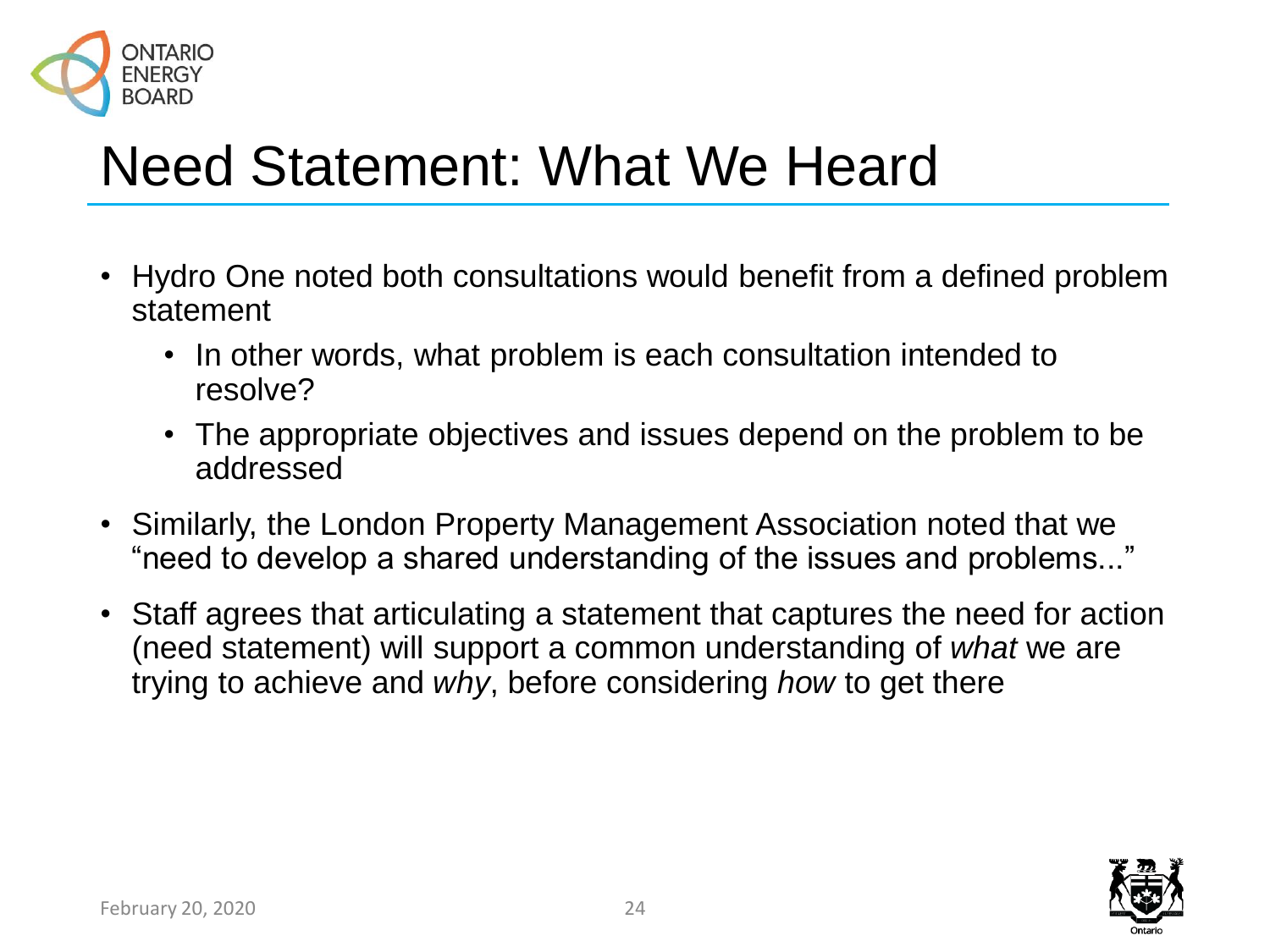

## Need Statement: What We Heard

- Hydro One noted both consultations would benefit from a defined problem statement
	- In other words, what problem is each consultation intended to resolve?
	- The appropriate objectives and issues depend on the problem to be addressed
- Similarly, the London Property Management Association noted that we "need to develop a shared understanding of the issues and problems..."
- Staff agrees that articulating a statement that captures the need for action (need statement) will support a common understanding of *what* we are trying to achieve and *why*, before considering *how* to get there

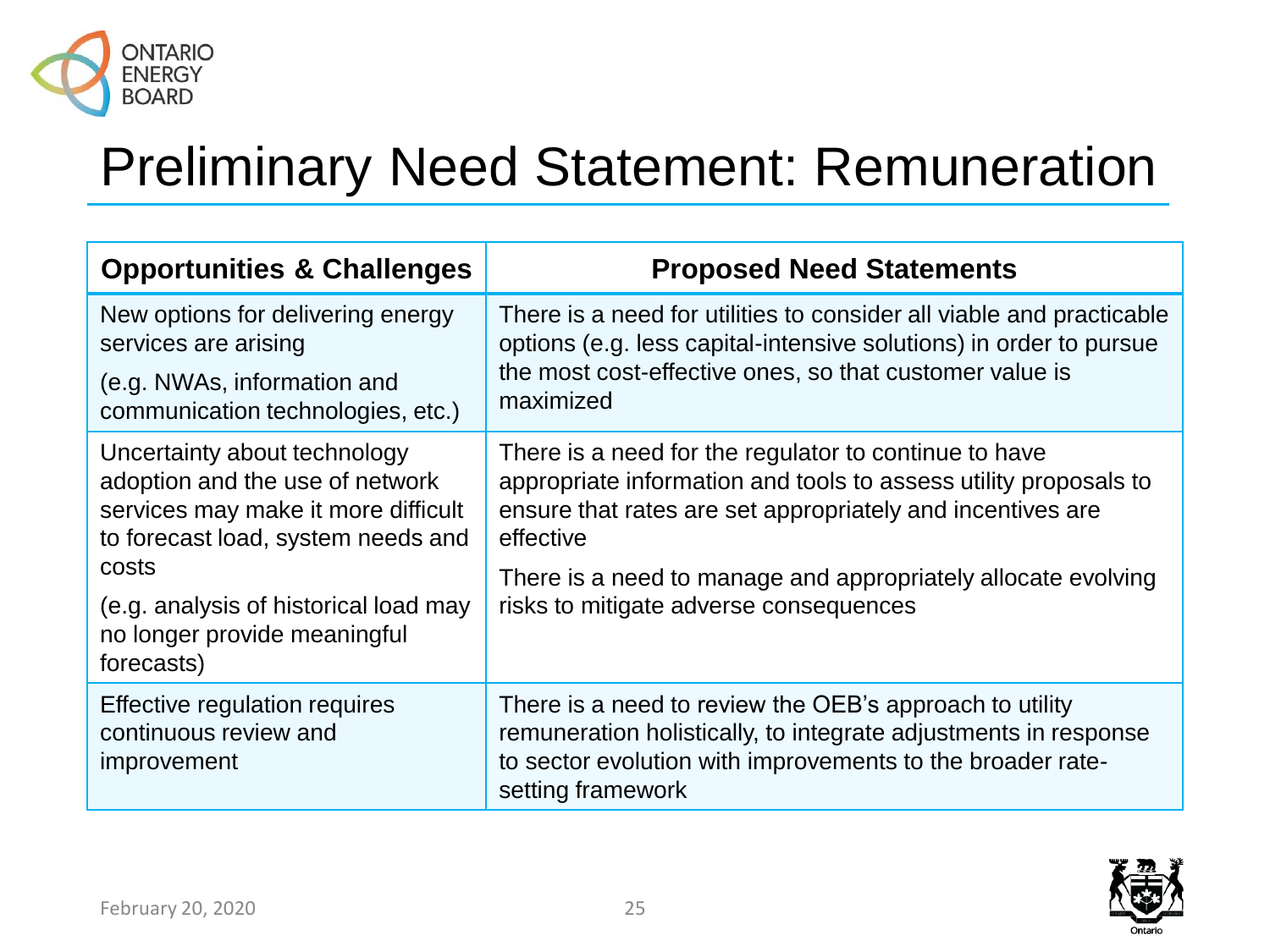

## Preliminary Need Statement: Remuneration

| <b>Opportunities &amp; Challenges</b>                                                                                                                                                          | <b>Proposed Need Statements</b>                                                                                                                                                                                                                                                                                 |  |
|------------------------------------------------------------------------------------------------------------------------------------------------------------------------------------------------|-----------------------------------------------------------------------------------------------------------------------------------------------------------------------------------------------------------------------------------------------------------------------------------------------------------------|--|
| New options for delivering energy<br>services are arising                                                                                                                                      | There is a need for utilities to consider all viable and practicable<br>options (e.g. less capital-intensive solutions) in order to pursue<br>the most cost-effective ones, so that customer value is<br>maximized                                                                                              |  |
| (e.g. NWAs, information and<br>communication technologies, etc.)                                                                                                                               |                                                                                                                                                                                                                                                                                                                 |  |
| Uncertainty about technology<br>adoption and the use of network<br>services may make it more difficult<br>to forecast load, system needs and<br>costs<br>(e.g. analysis of historical load may | There is a need for the regulator to continue to have<br>appropriate information and tools to assess utility proposals to<br>ensure that rates are set appropriately and incentives are<br>effective<br>There is a need to manage and appropriately allocate evolving<br>risks to mitigate adverse consequences |  |
| no longer provide meaningful<br>forecasts)                                                                                                                                                     |                                                                                                                                                                                                                                                                                                                 |  |
| Effective regulation requires<br>continuous review and<br>improvement                                                                                                                          | There is a need to review the OEB's approach to utility<br>remuneration holistically, to integrate adjustments in response<br>to sector evolution with improvements to the broader rate-<br>setting framework                                                                                                   |  |

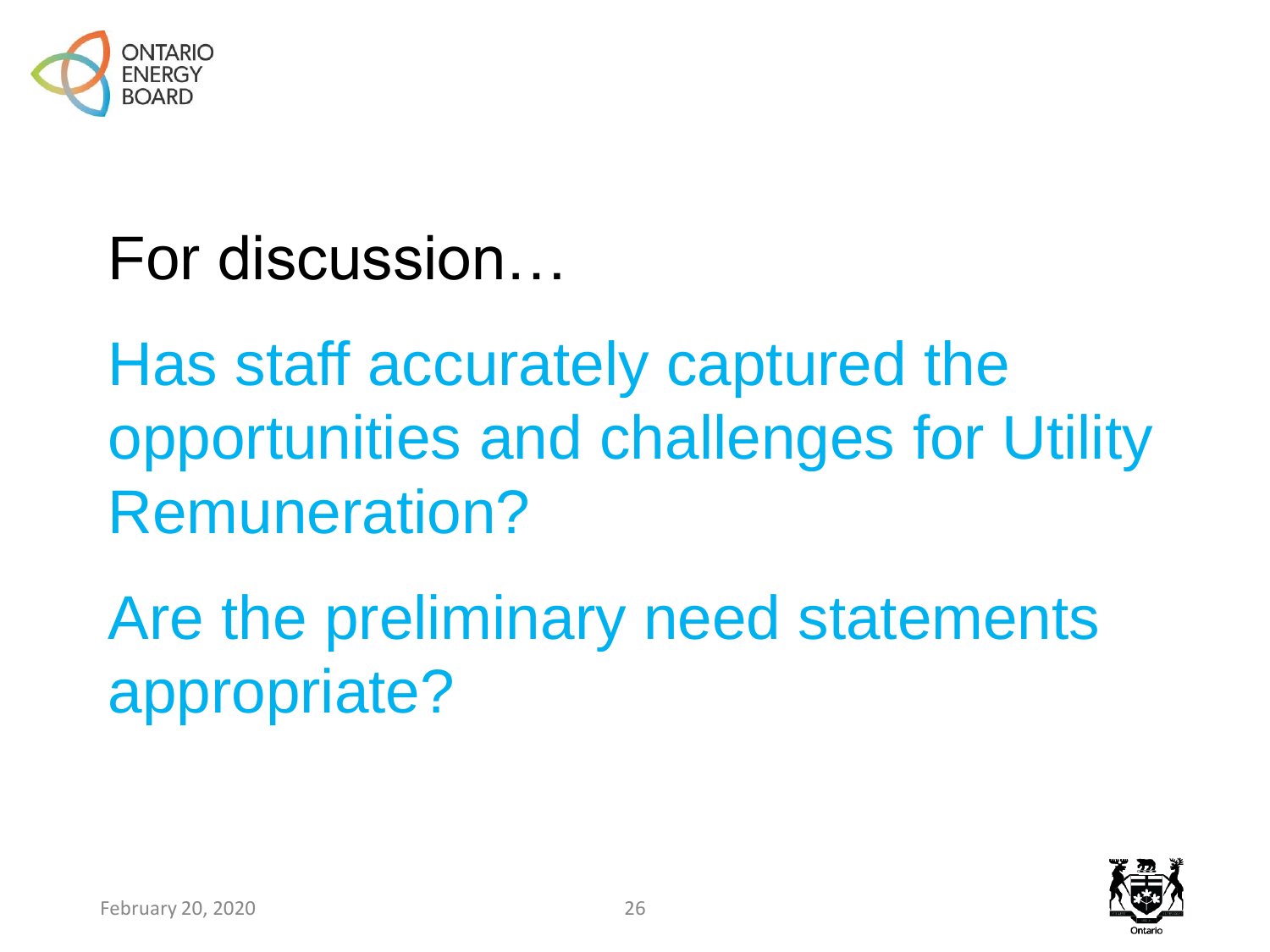

For discussion…

Has staff accurately captured the opportunities and challenges for Utility Remuneration?

Are the preliminary need statements appropriate?

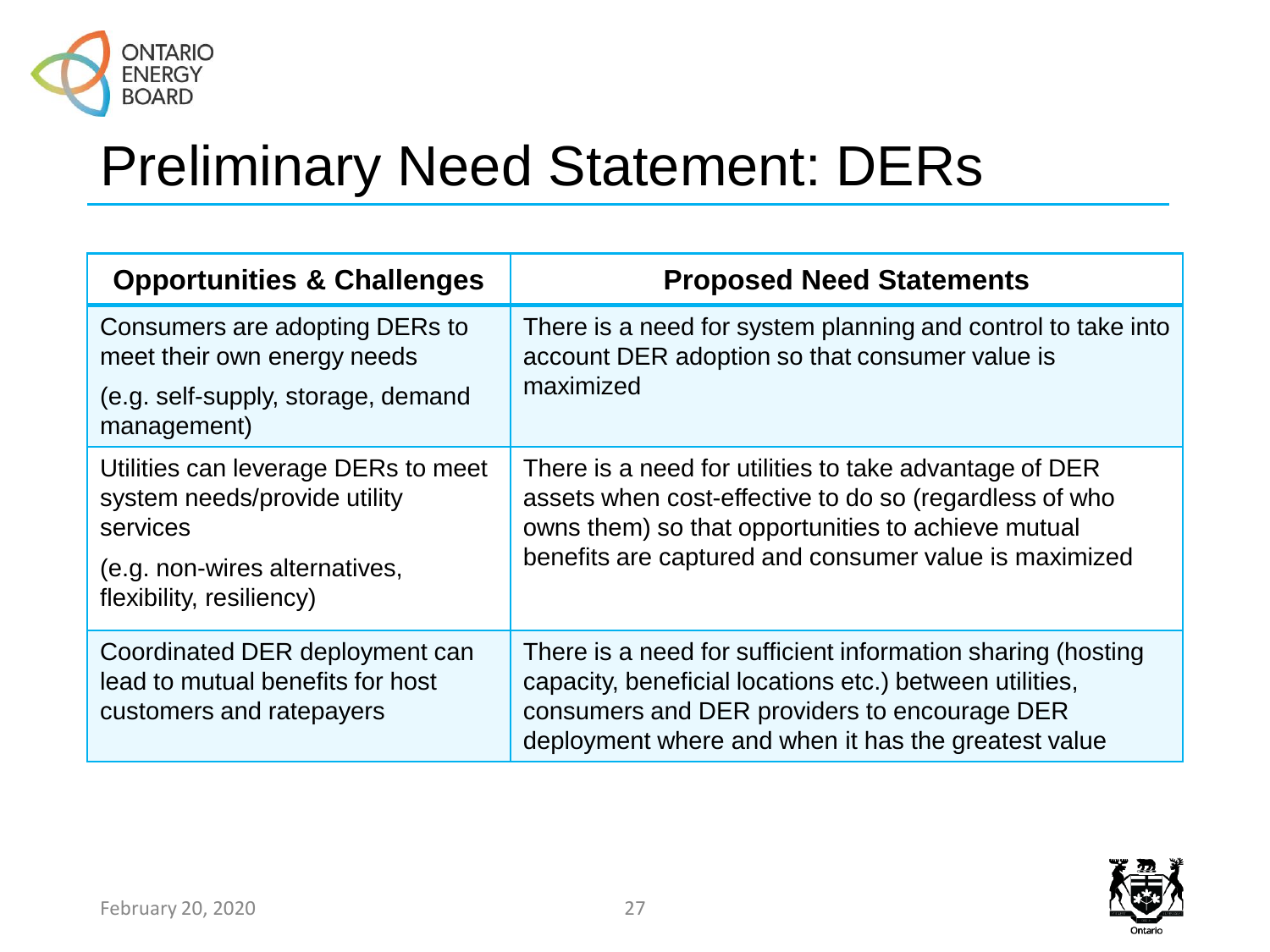

# Preliminary Need Statement: DERs

| <b>Opportunities &amp; Challenges</b>                                                                                                        | <b>Proposed Need Statements</b>                                                                                                                                                                                                 |
|----------------------------------------------------------------------------------------------------------------------------------------------|---------------------------------------------------------------------------------------------------------------------------------------------------------------------------------------------------------------------------------|
| Consumers are adopting DERs to<br>meet their own energy needs                                                                                | There is a need for system planning and control to take into<br>account DER adoption so that consumer value is<br>maximized                                                                                                     |
| (e.g. self-supply, storage, demand<br>management)                                                                                            |                                                                                                                                                                                                                                 |
| Utilities can leverage DERs to meet<br>system needs/provide utility<br>services<br>(e.g. non-wires alternatives,<br>flexibility, resiliency) | There is a need for utilities to take advantage of DER<br>assets when cost-effective to do so (regardless of who<br>owns them) so that opportunities to achieve mutual<br>benefits are captured and consumer value is maximized |
| Coordinated DER deployment can<br>lead to mutual benefits for host<br>customers and ratepayers                                               | There is a need for sufficient information sharing (hosting<br>capacity, beneficial locations etc.) between utilities,<br>consumers and DER providers to encourage DER<br>deployment where and when it has the greatest value   |

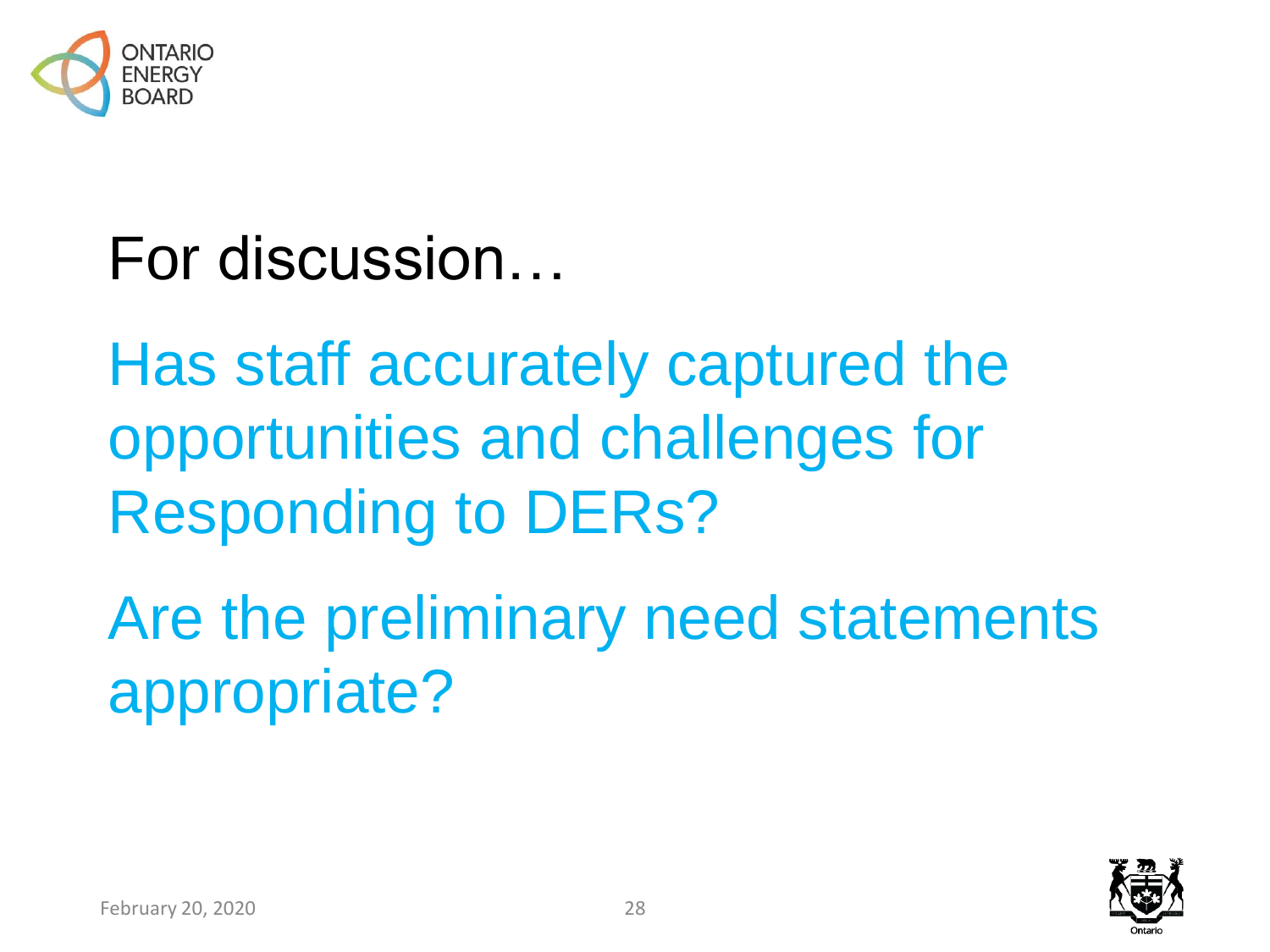

# For discussion…

Has staff accurately captured the opportunities and challenges for Responding to DERs?

Are the preliminary need statements appropriate?

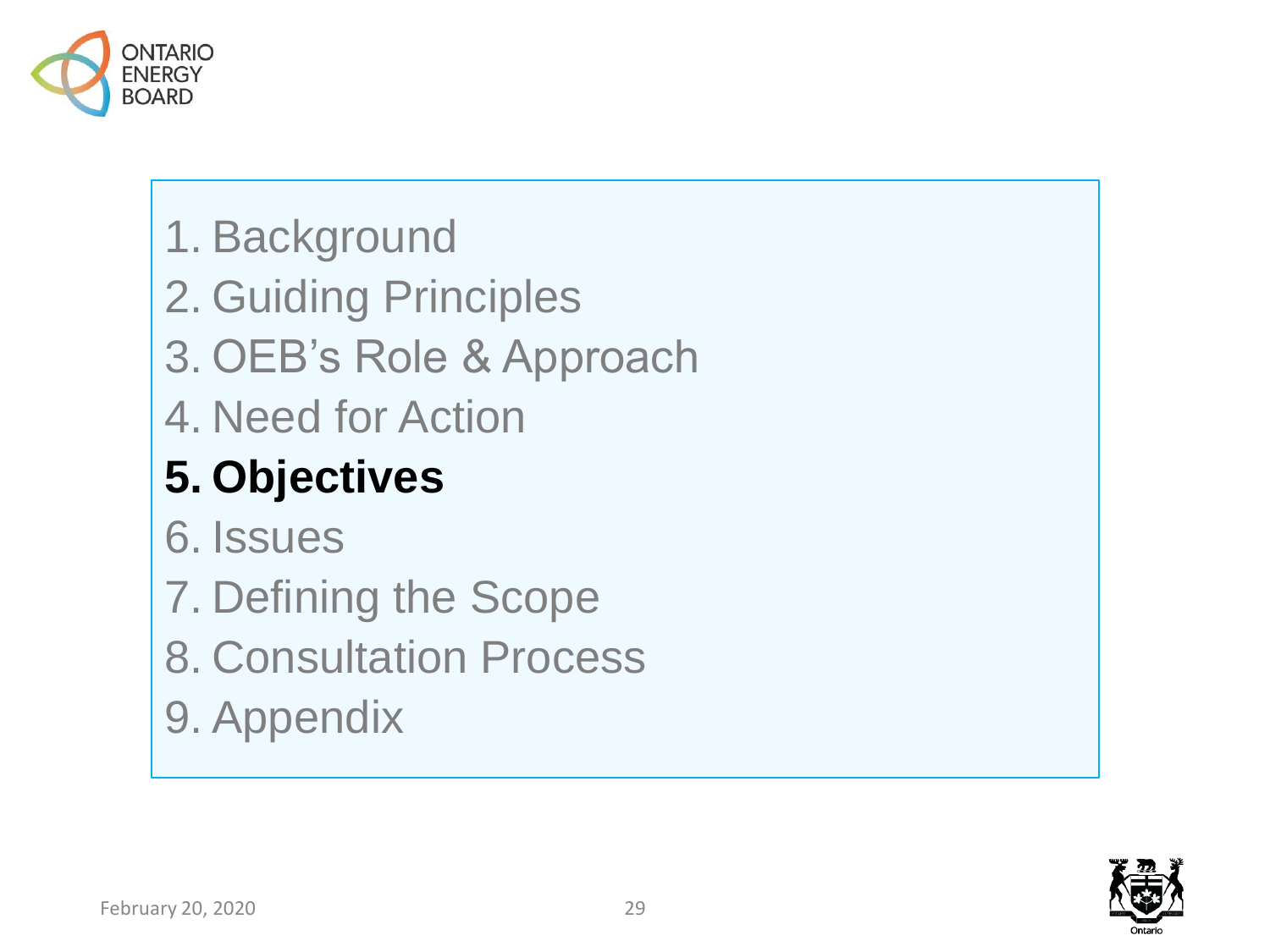

- 1. Background
- 2. Guiding Principles
- 3. OEB's Role & Approach
- 4. Need for Action

## **5. Objectives**

- 6. Issues
- 7. Defining the Scope
- 8. Consultation Process
- 9. Appendix

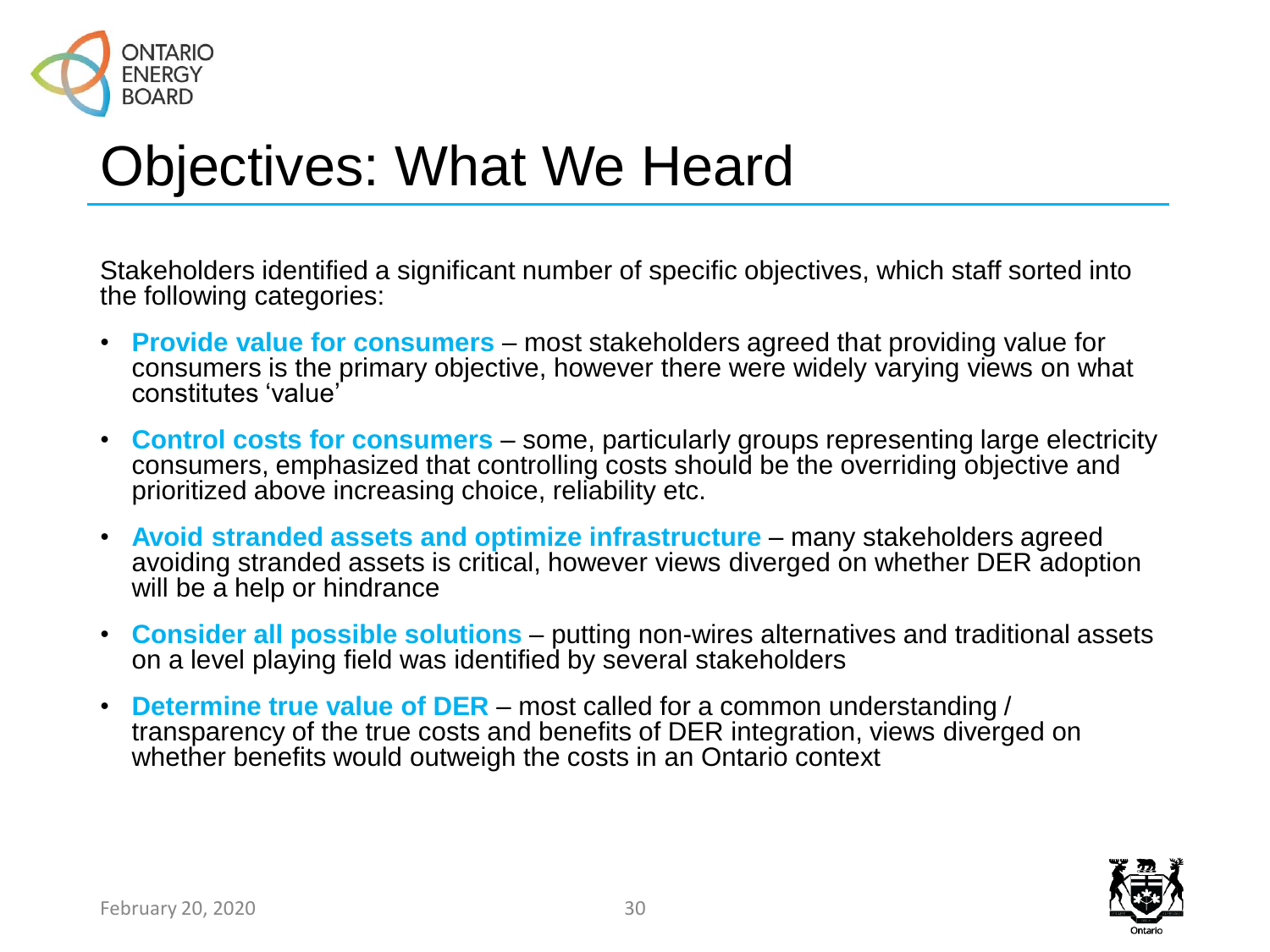

## Objectives: What We Heard

Stakeholders identified a significant number of specific objectives, which staff sorted into the following categories:

- **Provide value for consumers**  most stakeholders agreed that providing value for consumers is the primary objective, however there were widely varying views on what constitutes 'value'
- **Control costs for consumers**  some, particularly groups representing large electricity consumers, emphasized that controlling costs should be the overriding objective and prioritized above increasing choice, reliability etc.
- **Avoid stranded assets and optimize infrastructure**  many stakeholders agreed avoiding stranded assets is critical, however views diverged on whether DER adoption will be a help or hindrance
- **Consider all possible solutions**  putting non-wires alternatives and traditional assets on a level playing field was identified by several stakeholders
- **Determine true value of DER**  most called for a common understanding / transparency of the true costs and benefits of DER integration, views diverged on whether benefits would outweigh the costs in an Ontario context

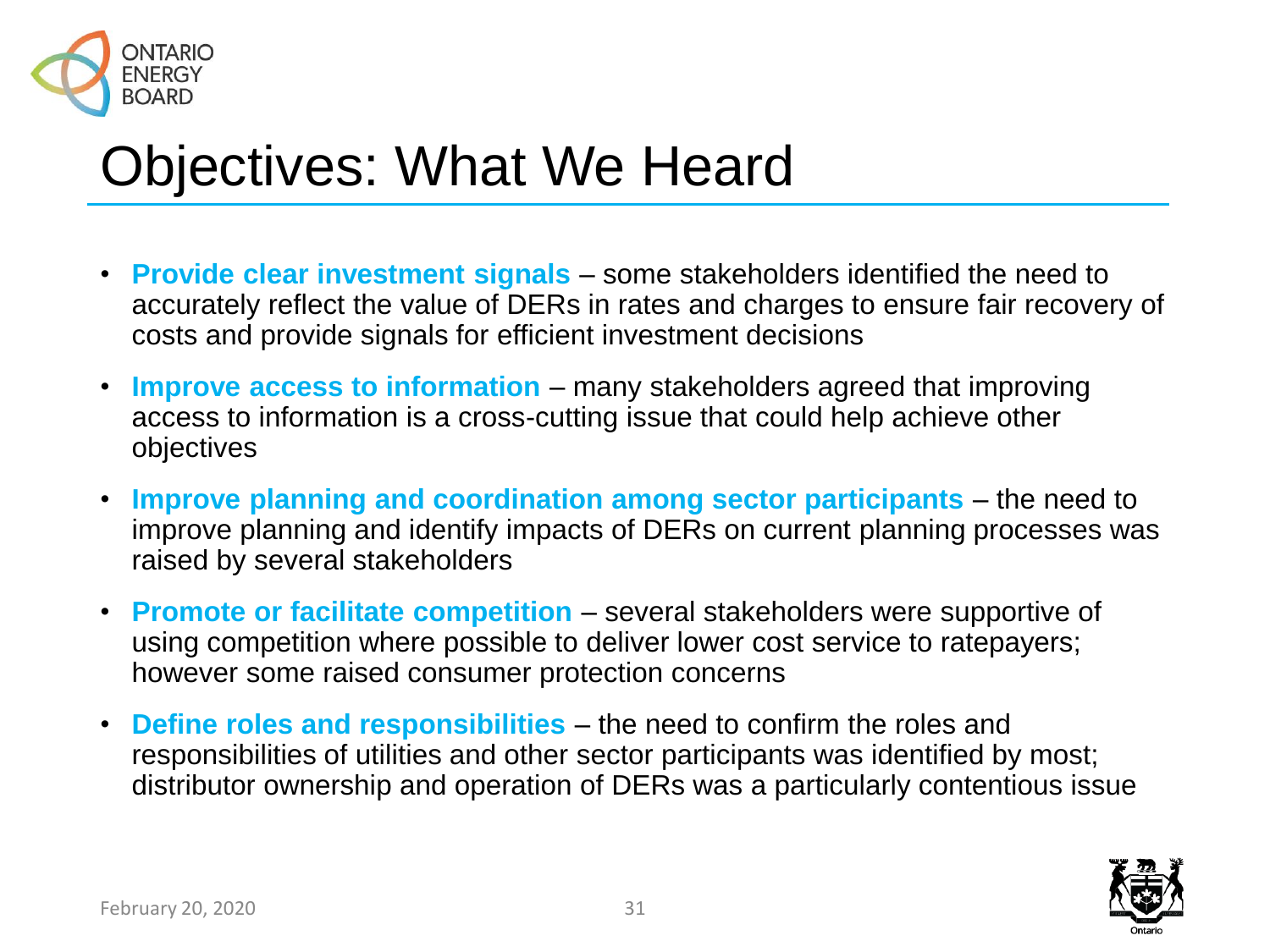

## Objectives: What We Heard

- **Provide clear investment signals**  some stakeholders identified the need to accurately reflect the value of DERs in rates and charges to ensure fair recovery of costs and provide signals for efficient investment decisions
- **Improve access to information**  many stakeholders agreed that improving access to information is a cross-cutting issue that could help achieve other objectives
- **Improve planning and coordination among sector participants** the need to improve planning and identify impacts of DERs on current planning processes was raised by several stakeholders
- **Promote or facilitate competition**  several stakeholders were supportive of using competition where possible to deliver lower cost service to ratepayers; however some raised consumer protection concerns
- **Define roles and responsibilities**  the need to confirm the roles and responsibilities of utilities and other sector participants was identified by most; distributor ownership and operation of DERs was a particularly contentious issue

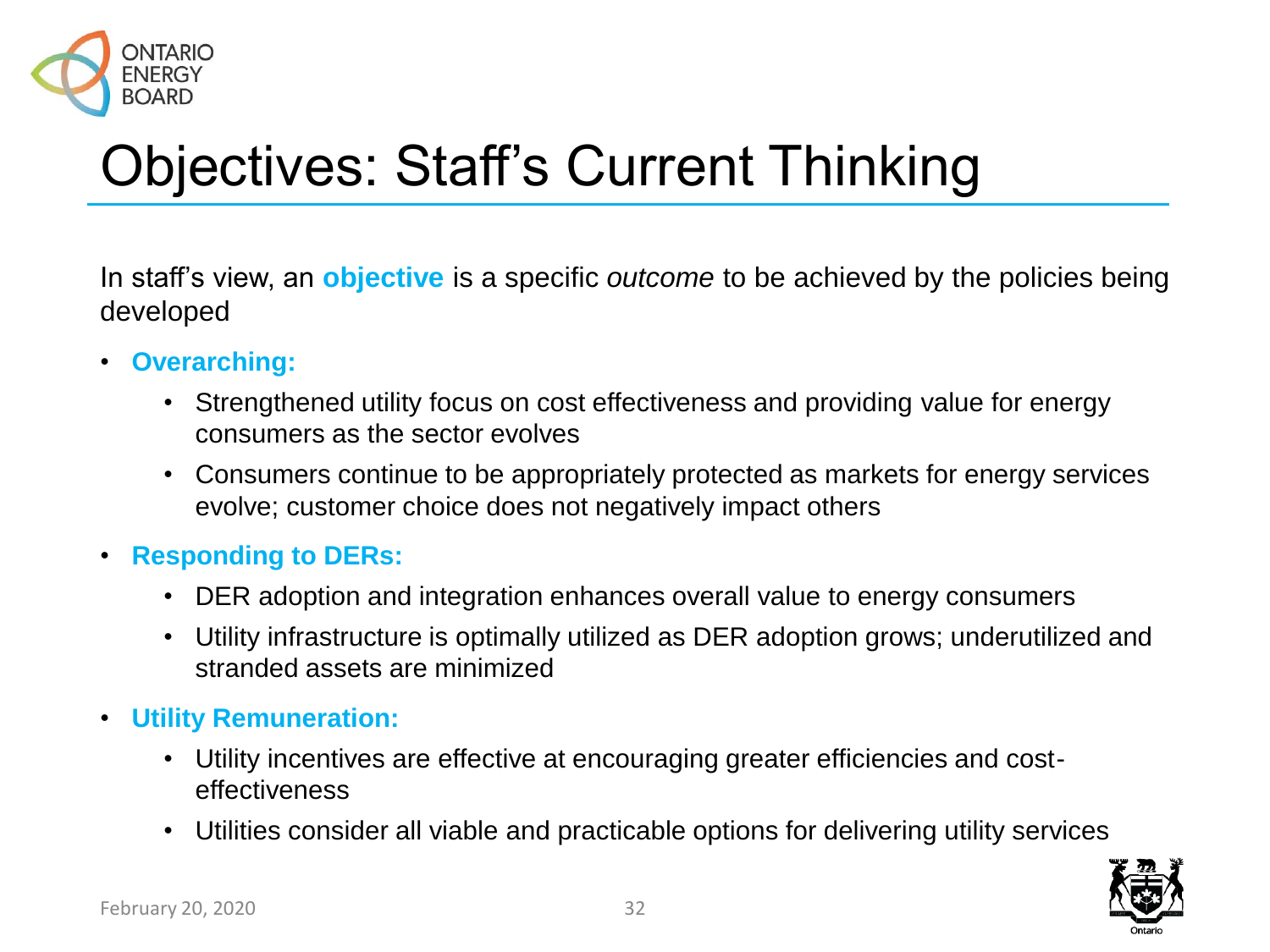

# Objectives: Staff's Current Thinking

In staff's view, an **objective** is a specific *outcome* to be achieved by the policies being developed

- **Overarching:**
	- Strengthened utility focus on cost effectiveness and providing value for energy consumers as the sector evolves
	- Consumers continue to be appropriately protected as markets for energy services evolve; customer choice does not negatively impact others
- **Responding to DERs:**
	- DER adoption and integration enhances overall value to energy consumers
	- Utility infrastructure is optimally utilized as DER adoption grows; underutilized and stranded assets are minimized
- **Utility Remuneration:**
	- Utility incentives are effective at encouraging greater efficiencies and costeffectiveness
	- Utilities consider all viable and practicable options for delivering utility services

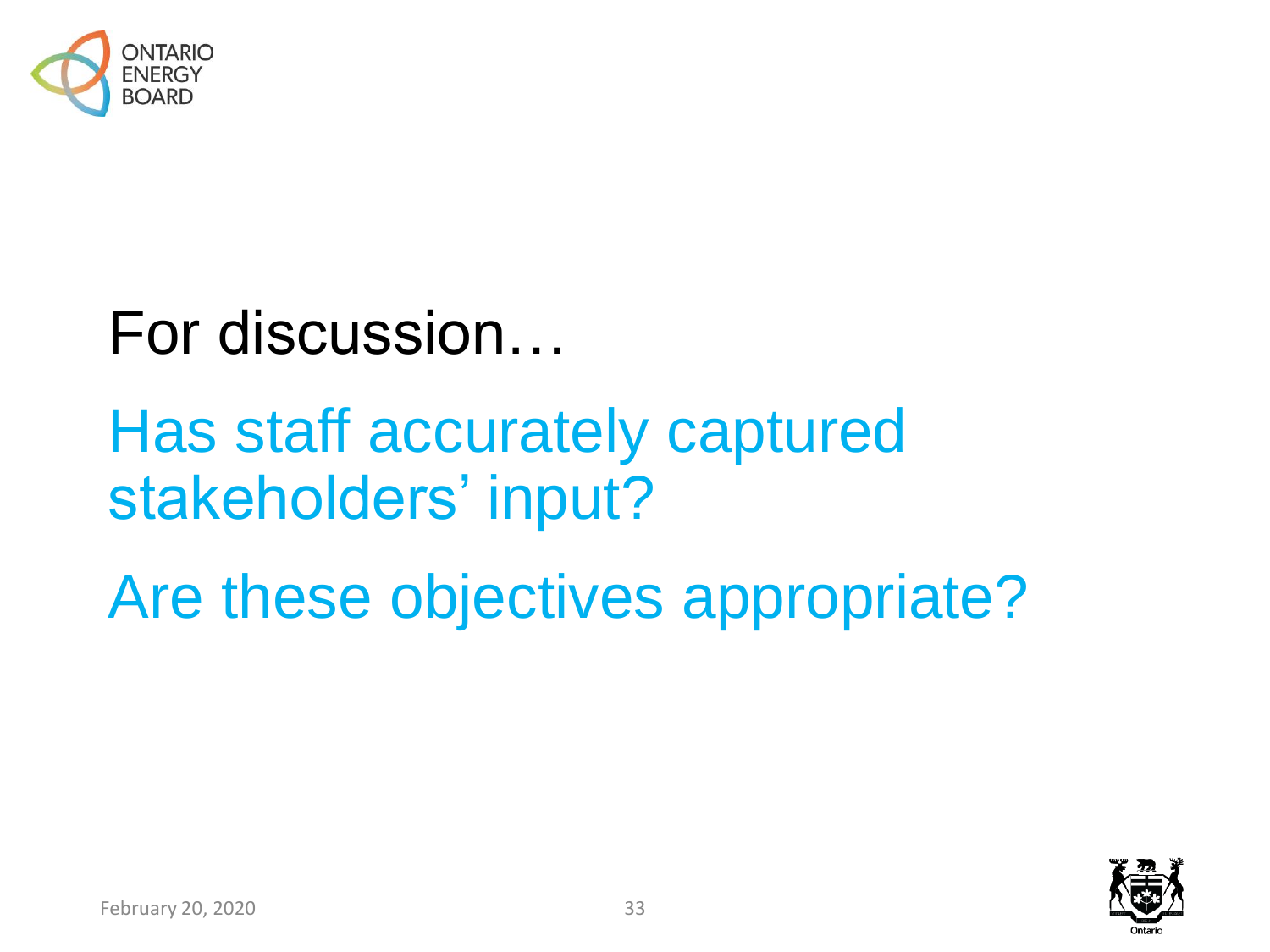

# For discussion…

# Has staff accurately captured stakeholders' input?

Are these objectives appropriate?

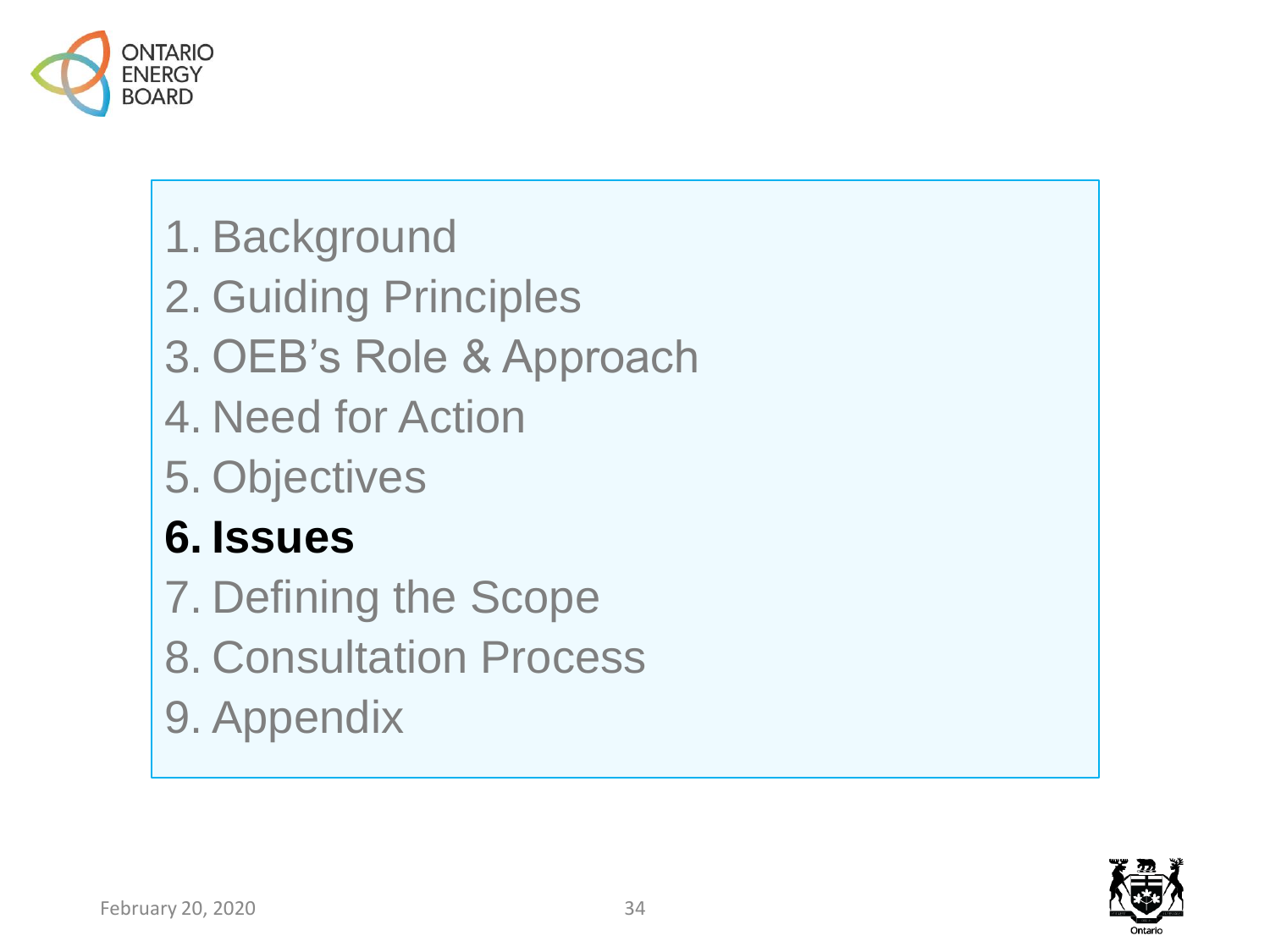

- 1. Background
- 2. Guiding Principles
- 3. OEB's Role & Approach
- 4. Need for Action
- 5. Objectives

### **6. Issues**

- 7. Defining the Scope
- 8. Consultation Process
- 9. Appendix

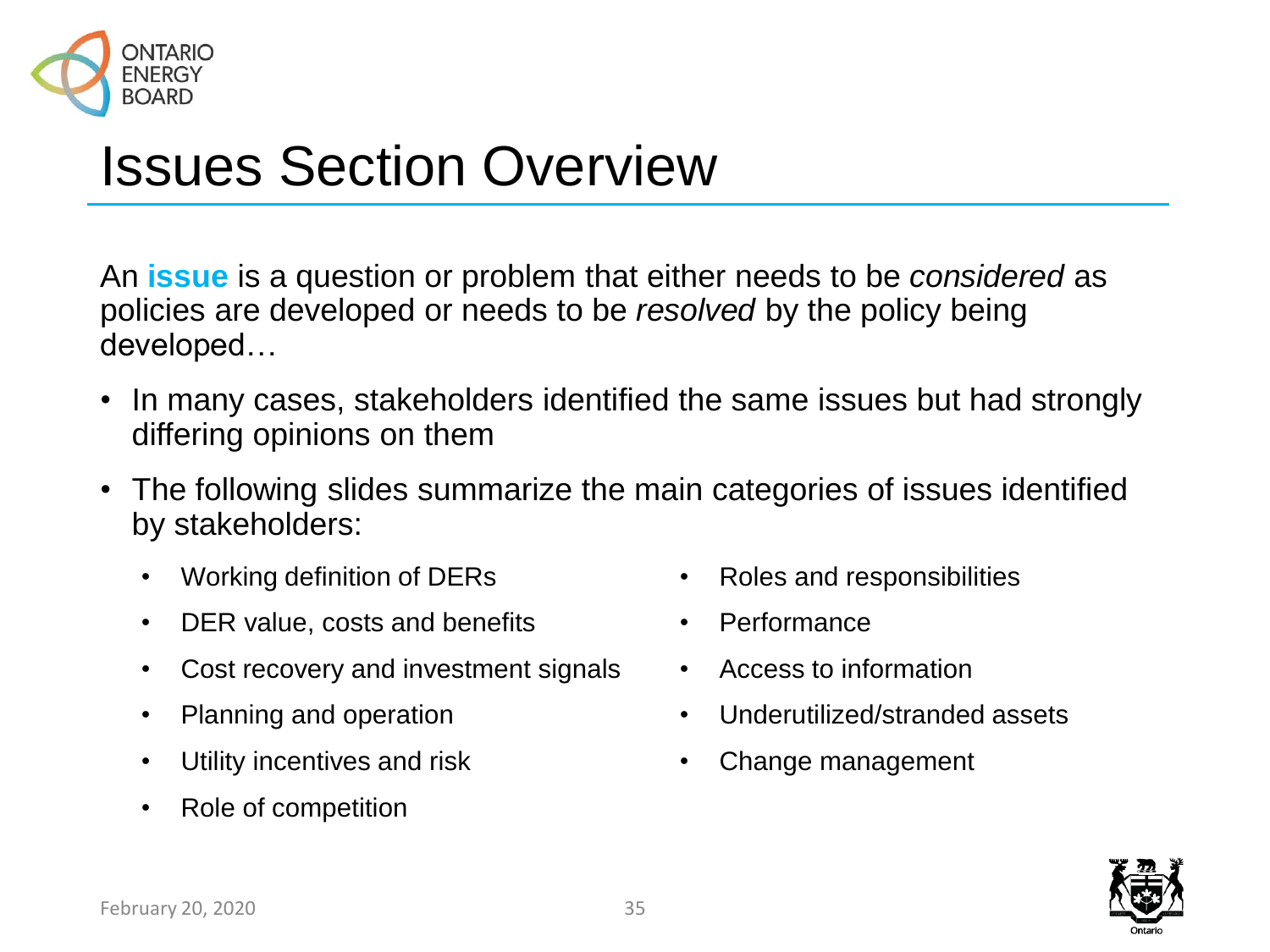

## Issues Section Overview

An **issue** is a question or problem that either needs to be *considered* as policies are developed or needs to be *resolved* by the policy being developed…

- In many cases, stakeholders identified the same issues but had strongly differing opinions on them
- The following slides summarize the main categories of issues identified by stakeholders:
	- Working definition of DERs
	- DER value, costs and benefits
	- Cost recovery and investment signals
	- Planning and operation
	- Utility incentives and risk
	- Role of competition
- Roles and responsibilities
- Performance
- Access to information
- Underutilized/stranded assets
- Change management

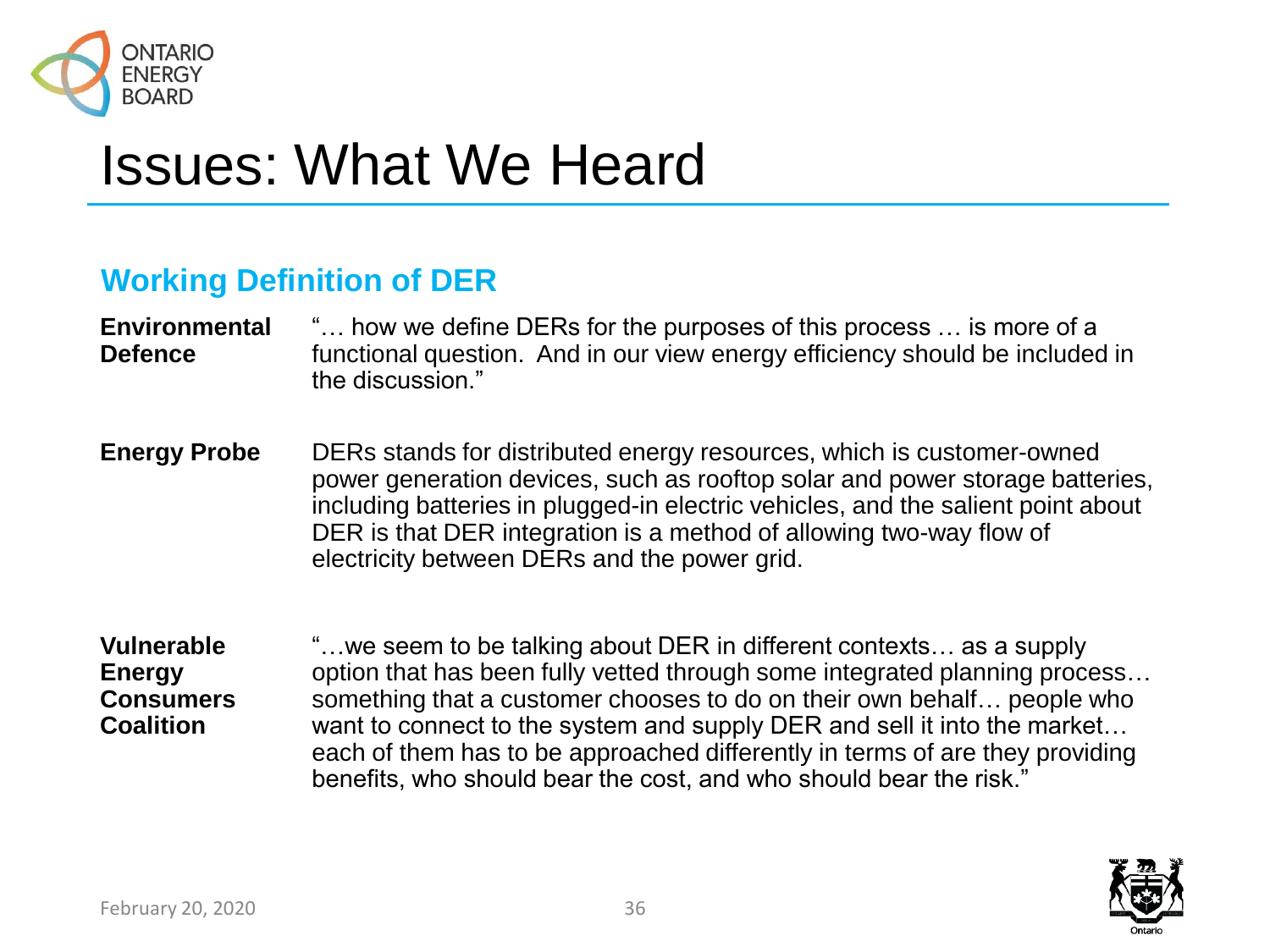

## Issues: What We Heard

#### **Working Definition of DER**

#### **Environmental Defence** "… how we define DERs for the purposes of this process … is more of a functional question. And in our view energy efficiency should be included in the discussion."

- **Energy Probe** DERs stands for distributed energy resources, which is customer-owned power generation devices, such as rooftop solar and power storage batteries, including batteries in plugged-in electric vehicles, and the salient point about DER is that DER integration is a method of allowing two-way flow of electricity between DERs and the power grid.
- **Vulnerable Energy Consumers Coalition** "…we seem to be talking about DER in different contexts… as a supply option that has been fully vetted through some integrated planning process… something that a customer chooses to do on their own behalf… people who want to connect to the system and supply DER and sell it into the market… each of them has to be approached differently in terms of are they providing benefits, who should bear the cost, and who should bear the risk."

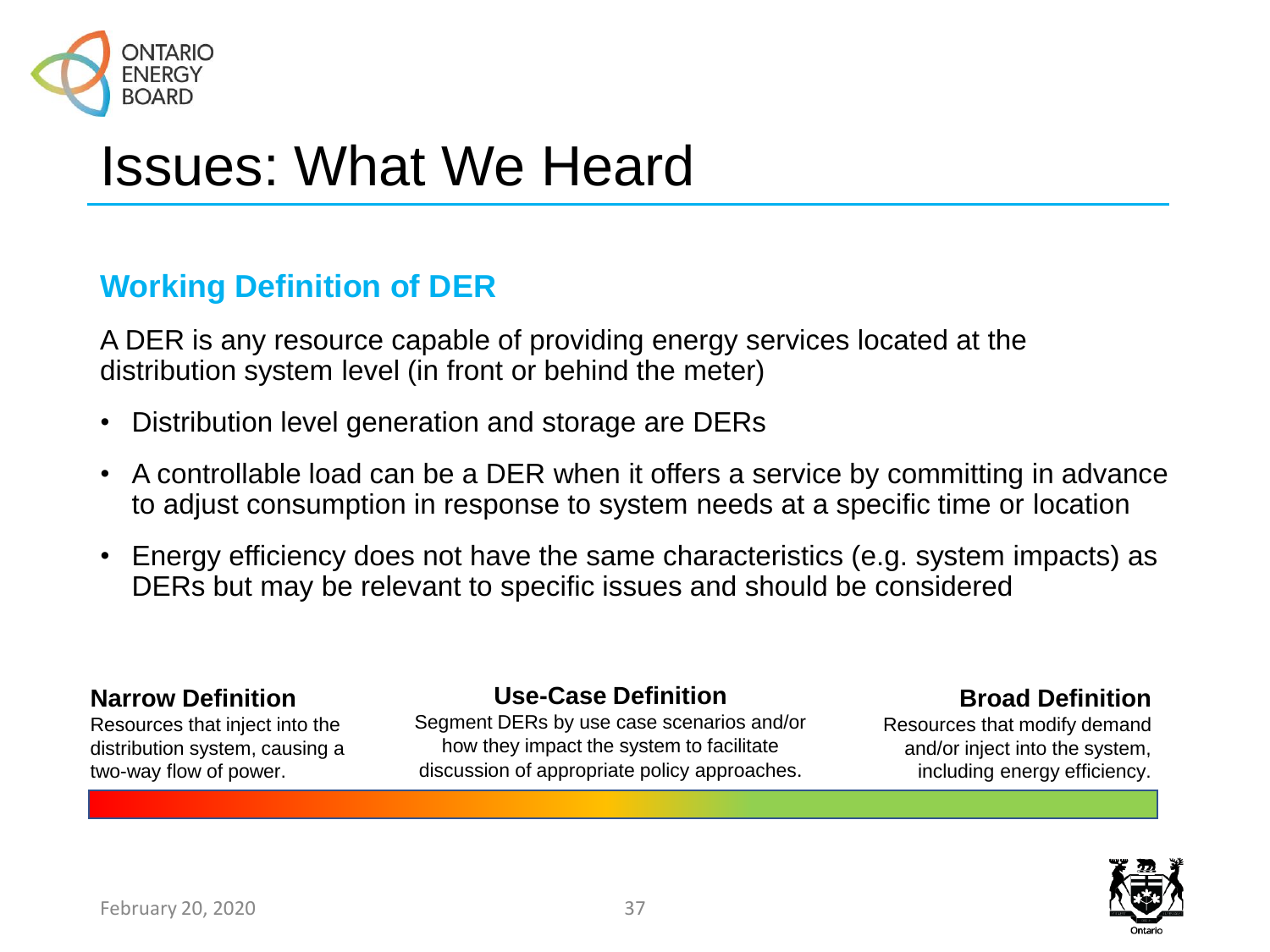

### **Working Definition of DER**

A DER is any resource capable of providing energy services located at the distribution system level (in front or behind the meter)

- Distribution level generation and storage are DERs
- A controllable load can be a DER when it offers a service by committing in advance to adjust consumption in response to system needs at a specific time or location
- Energy efficiency does not have the same characteristics (e.g. system impacts) as DERs but may be relevant to specific issues and should be considered

#### **Narrow Definition**

Resources that inject into the distribution system, causing a two-way flow of power.

#### **Use-Case Definition**

Segment DERs by use case scenarios and/or how they impact the system to facilitate discussion of appropriate policy approaches.

#### **Broad Definition**

Resources that modify demand and/or inject into the system, including energy efficiency.

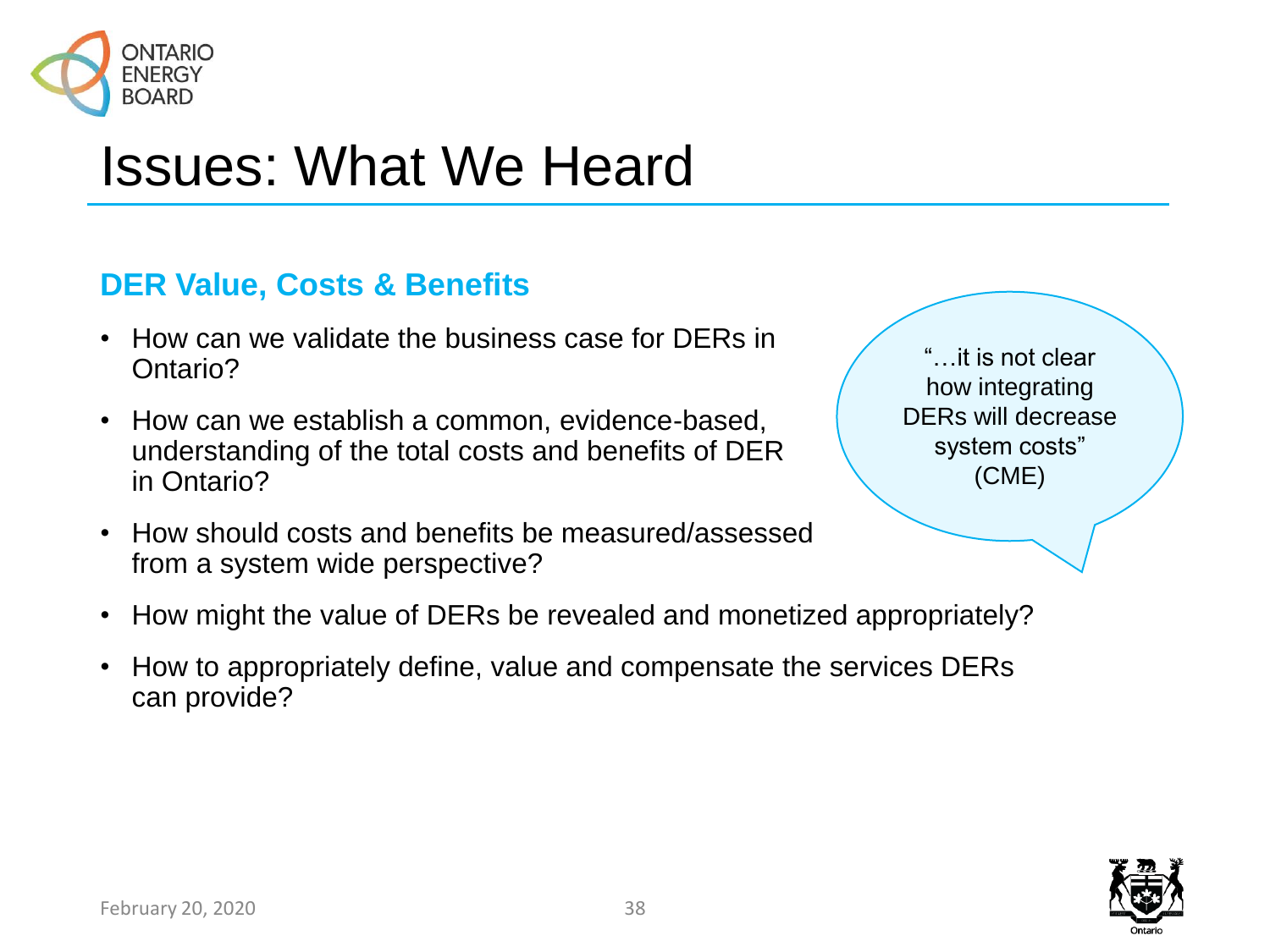

### **DER Value, Costs & Benefits**

- How can we validate the business case for DERs in Ontario?
- How can we establish a common, evidence-based, understanding of the total costs and benefits of DER in Ontario?
- How should costs and benefits be measured/assessed from a system wide perspective?

"…it is not clear how integrating DERs will decrease system costs" (CME)

- How might the value of DERs be revealed and monetized appropriately?
- How to appropriately define, value and compensate the services DERs can provide?

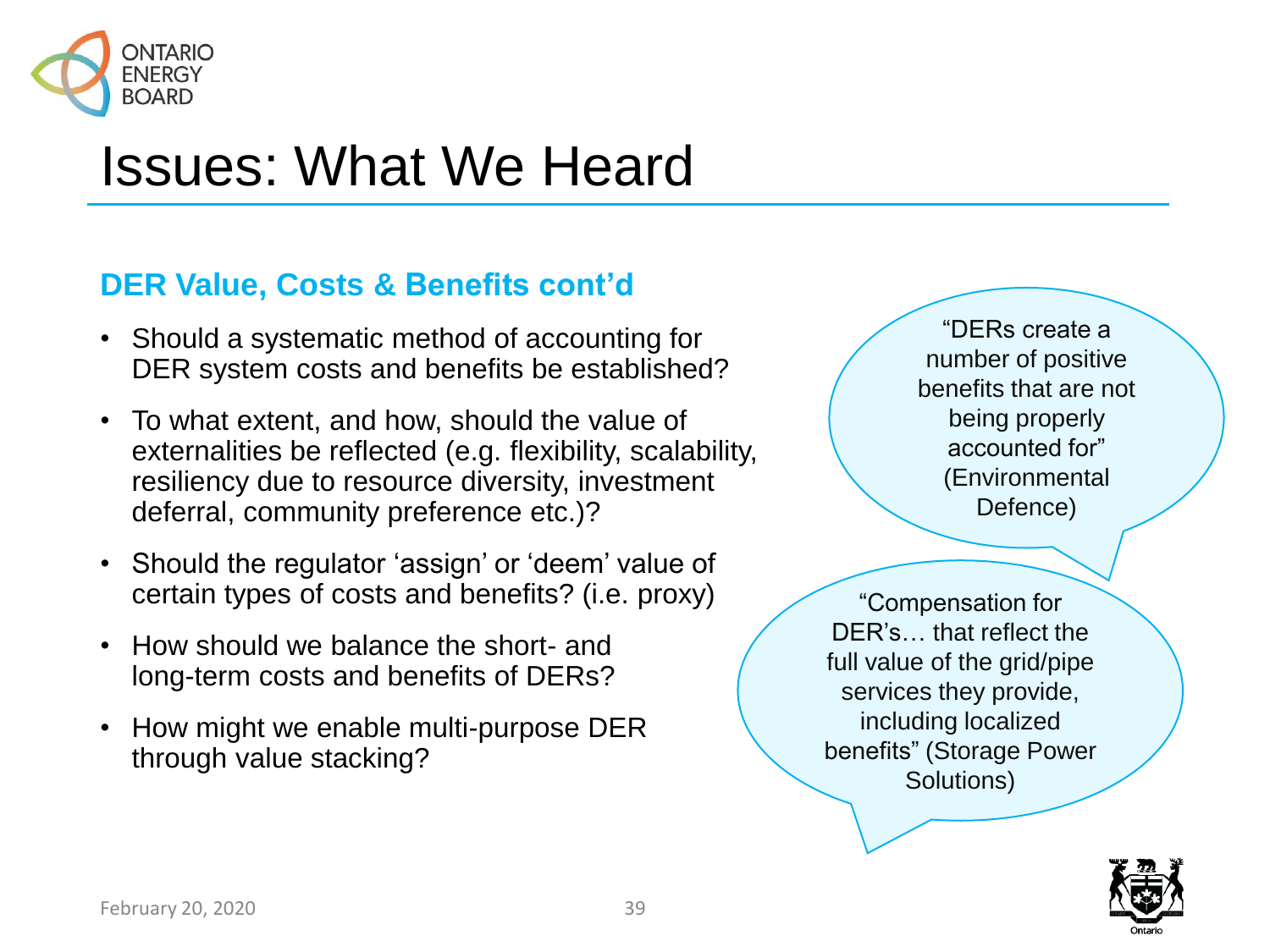

### **DER Value, Costs & Benefits cont'd**

- Should a systematic method of accounting for DER system costs and benefits be established?
- To what extent, and how, should the value of externalities be reflected (e.g. flexibility, scalability, resiliency due to resource diversity, investment deferral, community preference etc.)?
- Should the regulator 'assign' or 'deem' value of certain types of costs and benefits? (i.e. proxy)
- How should we balance the short- and long-term costs and benefits of DERs?
- How might we enable multi-purpose DER through value stacking?

"DERs create a number of positive benefits that are not being properly accounted for" (Environmental Defence)

"Compensation for DER's… that reflect the full value of the grid/pipe services they provide, including localized benefits" (Storage Power Solutions)

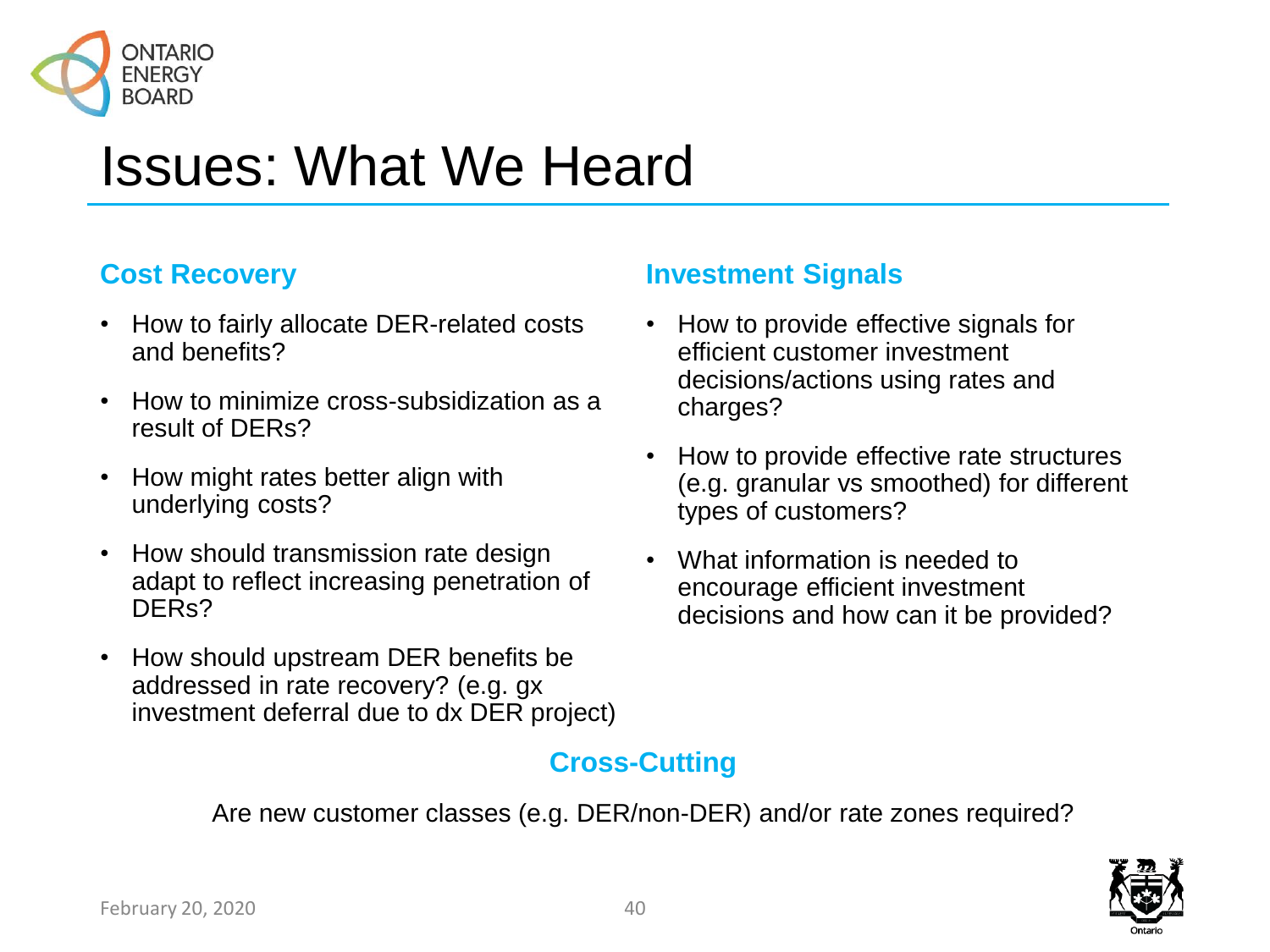

#### **Cost Recovery**

- How to fairly allocate DER-related costs and benefits?
- How to minimize cross-subsidization as a result of DERs?
- How might rates better align with underlying costs?
- How should transmission rate design adapt to reflect increasing penetration of DERs?
- How should upstream DER benefits be addressed in rate recovery? (e.g. gx investment deferral due to dx DER project)

#### **Investment Signals**

- How to provide effective signals for efficient customer investment decisions/actions using rates and charges?
- How to provide effective rate structures (e.g. granular vs smoothed) for different types of customers?
- What information is needed to encourage efficient investment decisions and how can it be provided?

#### **Cross-Cutting**

Are new customer classes (e.g. DER/non-DER) and/or rate zones required?

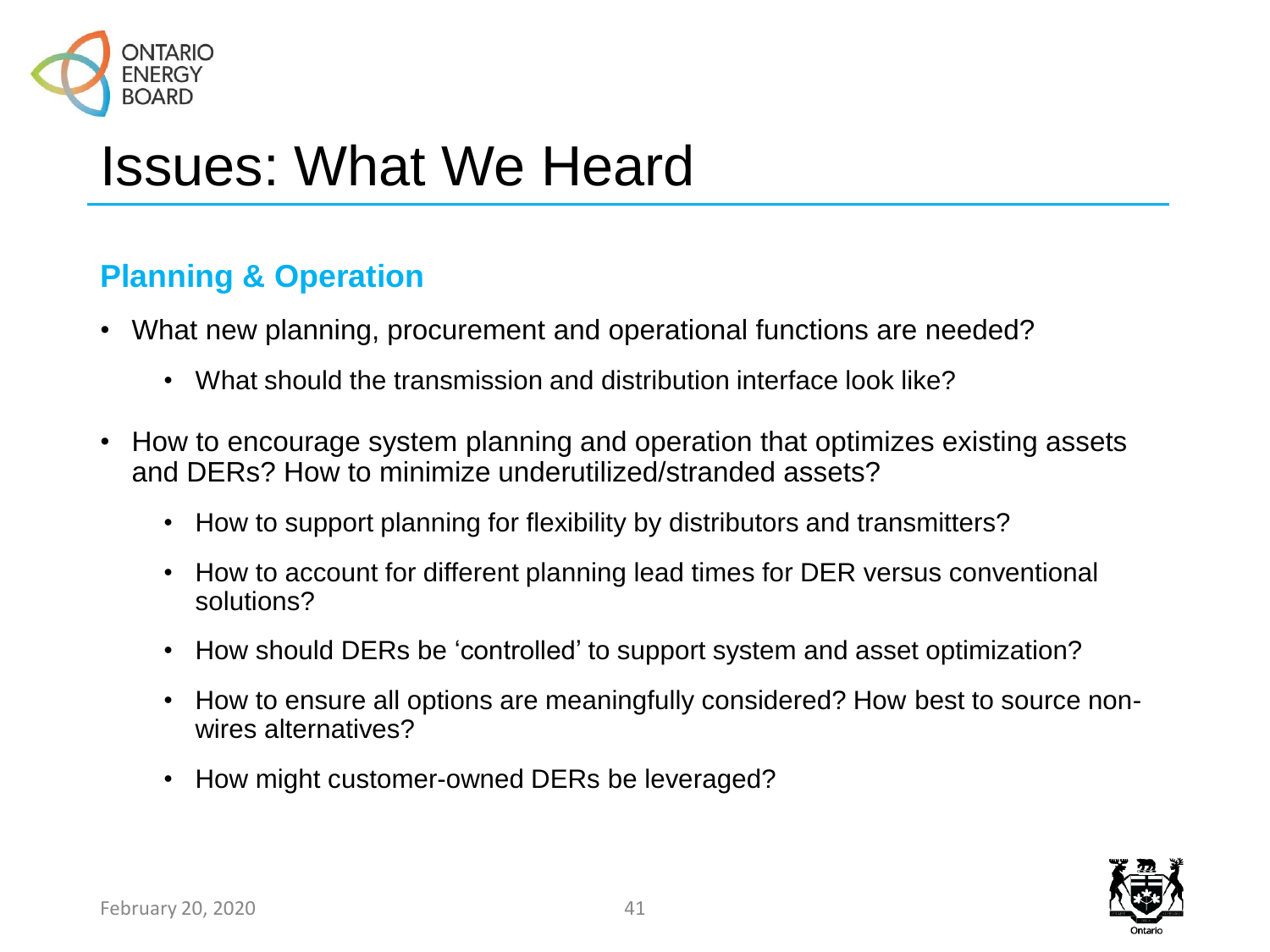

### **Planning & Operation**

- What new planning, procurement and operational functions are needed?
	- What should the transmission and distribution interface look like?
- How to encourage system planning and operation that optimizes existing assets and DERs? How to minimize underutilized/stranded assets?
	- How to support planning for flexibility by distributors and transmitters?
	- How to account for different planning lead times for DER versus conventional solutions?
	- How should DERs be 'controlled' to support system and asset optimization?
	- How to ensure all options are meaningfully considered? How best to source nonwires alternatives?
	- How might customer-owned DERs be leveraged?

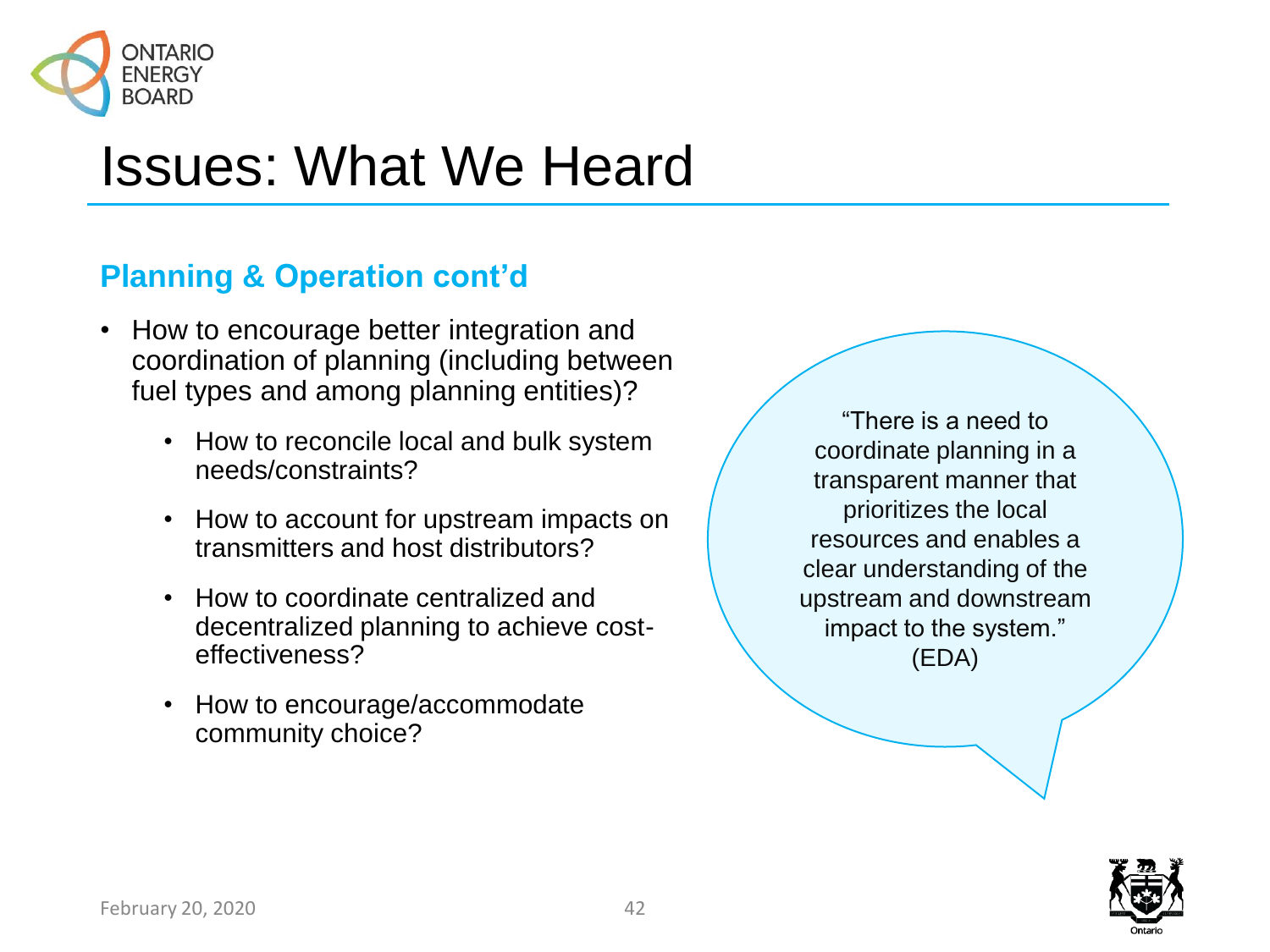

### **Planning & Operation cont'd**

- How to encourage better integration and coordination of planning (including between fuel types and among planning entities)?
	- How to reconcile local and bulk system needs/constraints?
	- How to account for upstream impacts on transmitters and host distributors?
	- How to coordinate centralized and decentralized planning to achieve costeffectiveness?
	- How to encourage/accommodate community choice?

"There is a need to coordinate planning in a transparent manner that prioritizes the local resources and enables a clear understanding of the upstream and downstream impact to the system." (EDA)

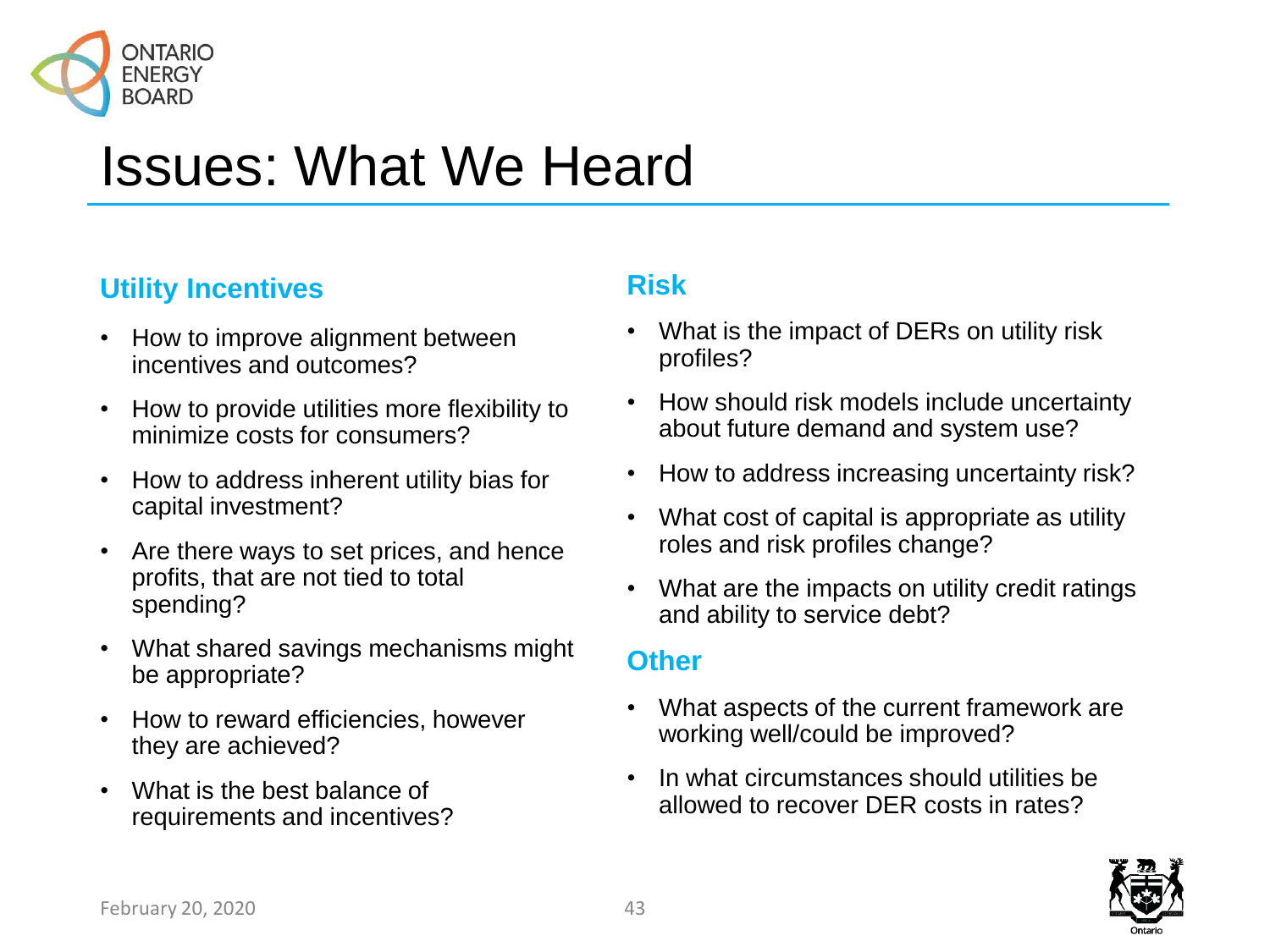

#### **Utility Incentives**

- How to improve alignment between incentives and outcomes?
- How to provide utilities more flexibility to minimize costs for consumers?
- How to address inherent utility bias for capital investment?
- Are there ways to set prices, and hence profits, that are not tied to total spending?
- What shared savings mechanisms might be appropriate?
- How to reward efficiencies, however they are achieved?
- What is the best balance of requirements and incentives?

#### **Risk**

- What is the impact of DERs on utility risk profiles?
- How should risk models include uncertainty about future demand and system use?
- How to address increasing uncertainty risk?
- What cost of capital is appropriate as utility roles and risk profiles change?
- What are the impacts on utility credit ratings and ability to service debt?

#### **Other**

- What aspects of the current framework are working well/could be improved?
- In what circumstances should utilities be allowed to recover DER costs in rates?

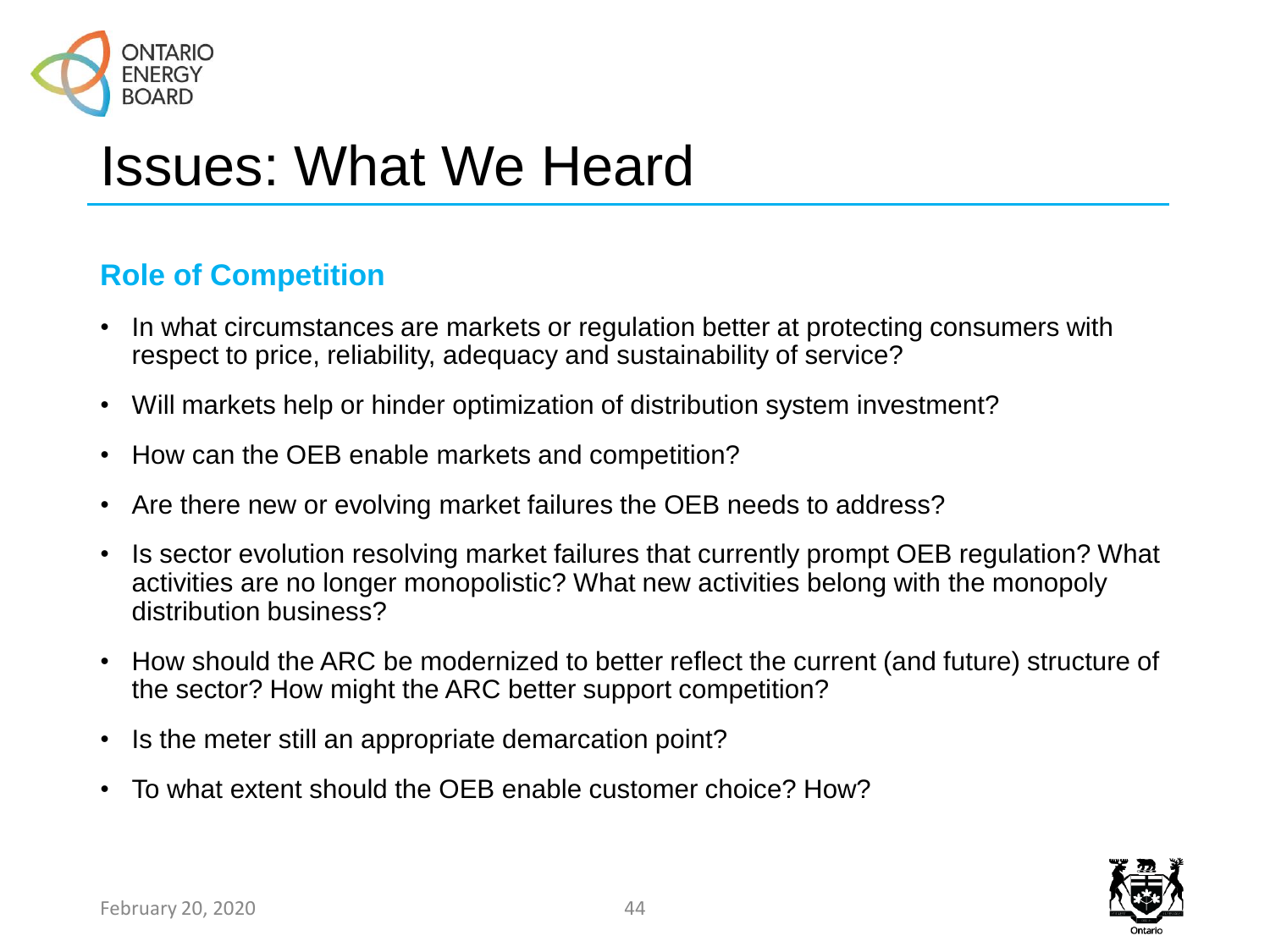

#### **Role of Competition**

- In what circumstances are markets or regulation better at protecting consumers with respect to price, reliability, adequacy and sustainability of service?
- Will markets help or hinder optimization of distribution system investment?
- How can the OEB enable markets and competition?
- Are there new or evolving market failures the OEB needs to address?
- Is sector evolution resolving market failures that currently prompt OEB regulation? What activities are no longer monopolistic? What new activities belong with the monopoly distribution business?
- How should the ARC be modernized to better reflect the current (and future) structure of the sector? How might the ARC better support competition?
- Is the meter still an appropriate demarcation point?
- To what extent should the OEB enable customer choice? How?

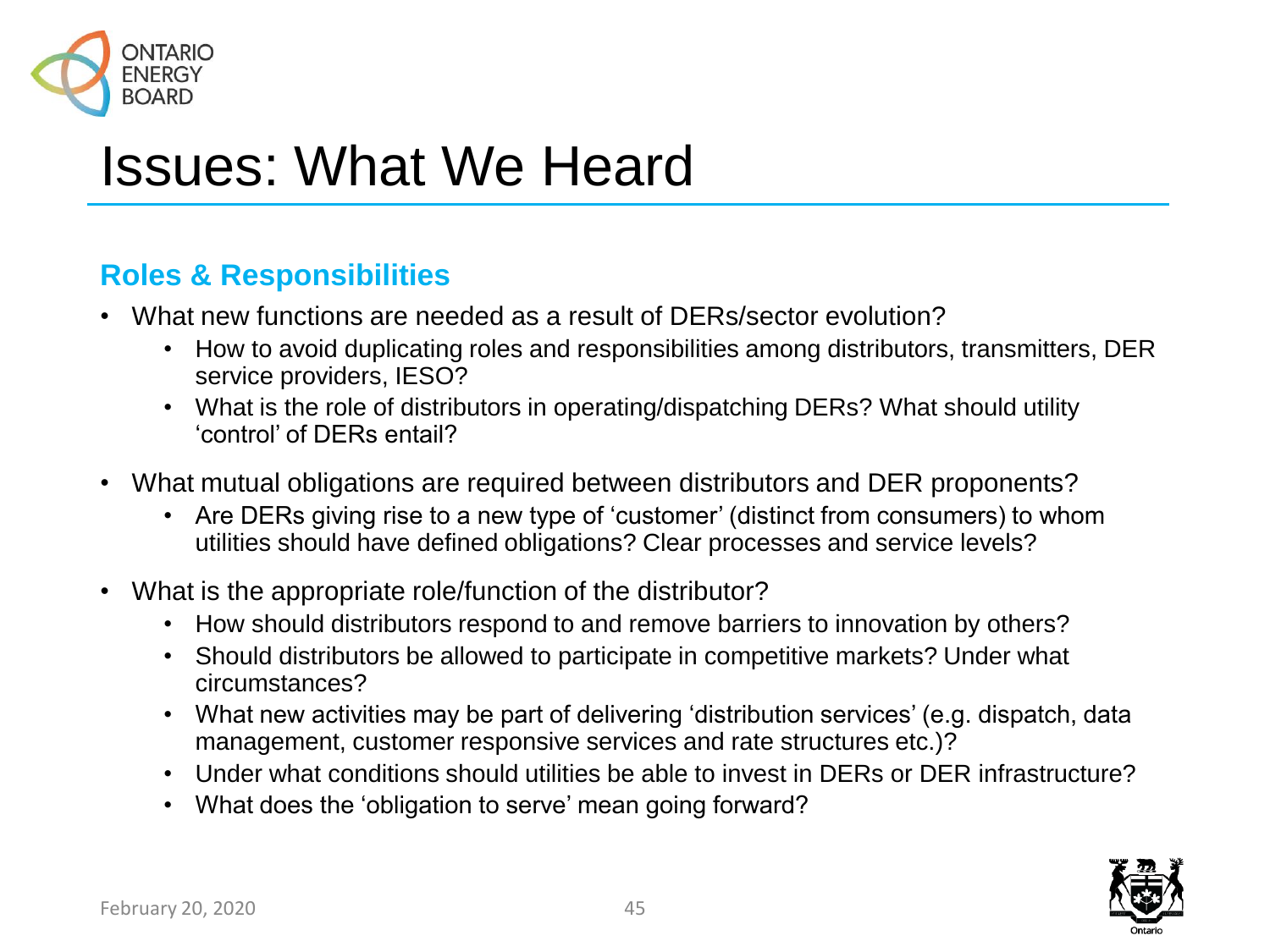

#### **Roles & Responsibilities**

- What new functions are needed as a result of DERs/sector evolution?
	- How to avoid duplicating roles and responsibilities among distributors, transmitters, DER service providers, IESO?
	- What is the role of distributors in operating/dispatching DERs? What should utility 'control' of DERs entail?
- What mutual obligations are required between distributors and DER proponents?
	- Are DERs giving rise to a new type of 'customer' (distinct from consumers) to whom utilities should have defined obligations? Clear processes and service levels?
- What is the appropriate role/function of the distributor?
	- How should distributors respond to and remove barriers to innovation by others?
	- Should distributors be allowed to participate in competitive markets? Under what circumstances?
	- What new activities may be part of delivering 'distribution services' (e.g. dispatch, data management, customer responsive services and rate structures etc.)?
	- Under what conditions should utilities be able to invest in DERs or DER infrastructure?
	- What does the 'obligation to serve' mean going forward?

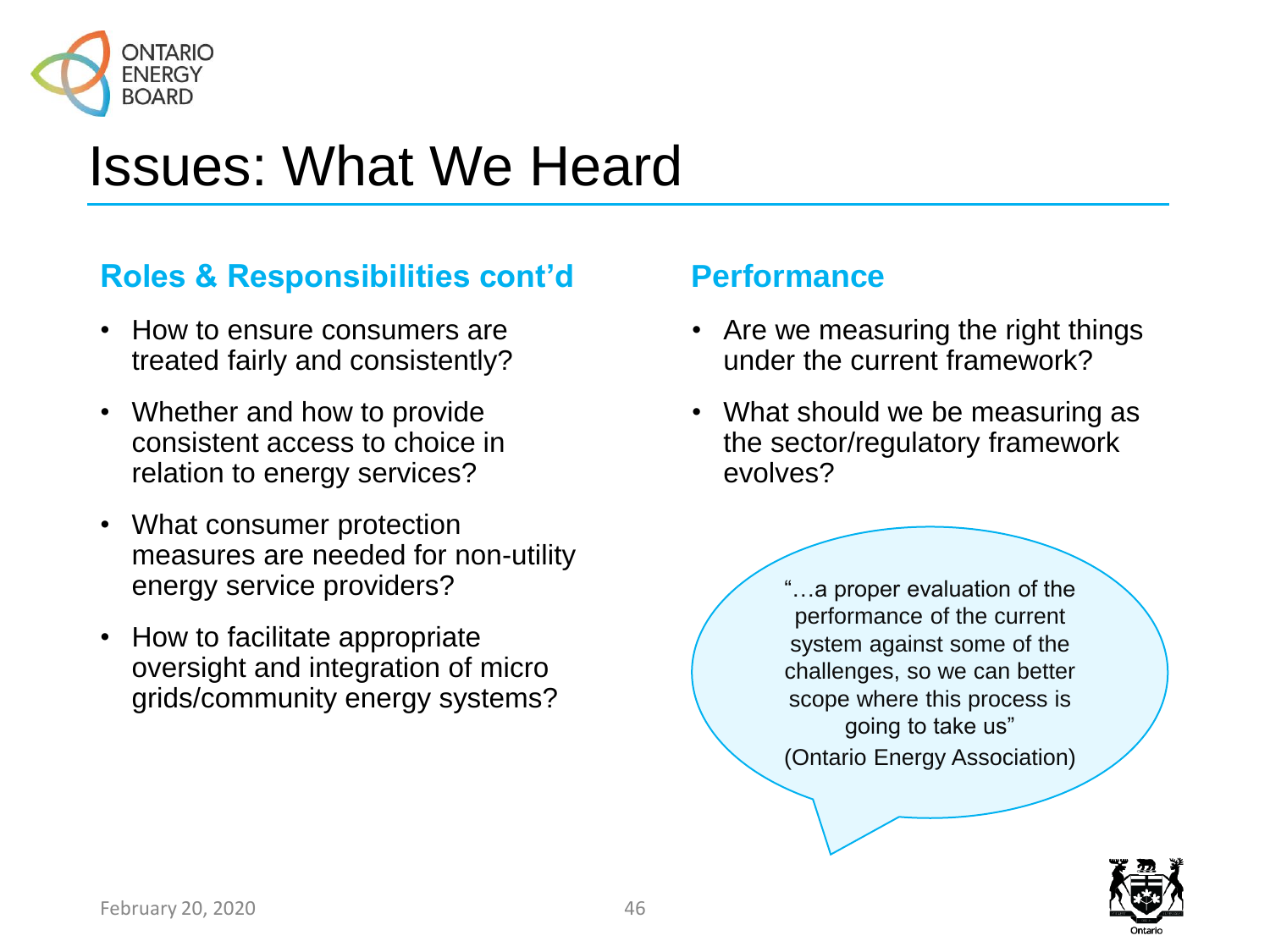

### **Roles & Responsibilities cont'd**

- How to ensure consumers are treated fairly and consistently?
- Whether and how to provide consistent access to choice in relation to energy services?
- What consumer protection measures are needed for non-utility energy service providers?
- How to facilitate appropriate oversight and integration of micro grids/community energy systems?

#### **Performance**

- Are we measuring the right things under the current framework?
- What should we be measuring as the sector/regulatory framework evolves?

"…a proper evaluation of the performance of the current system against some of the challenges, so we can better scope where this process is going to take us" (Ontario Energy Association)

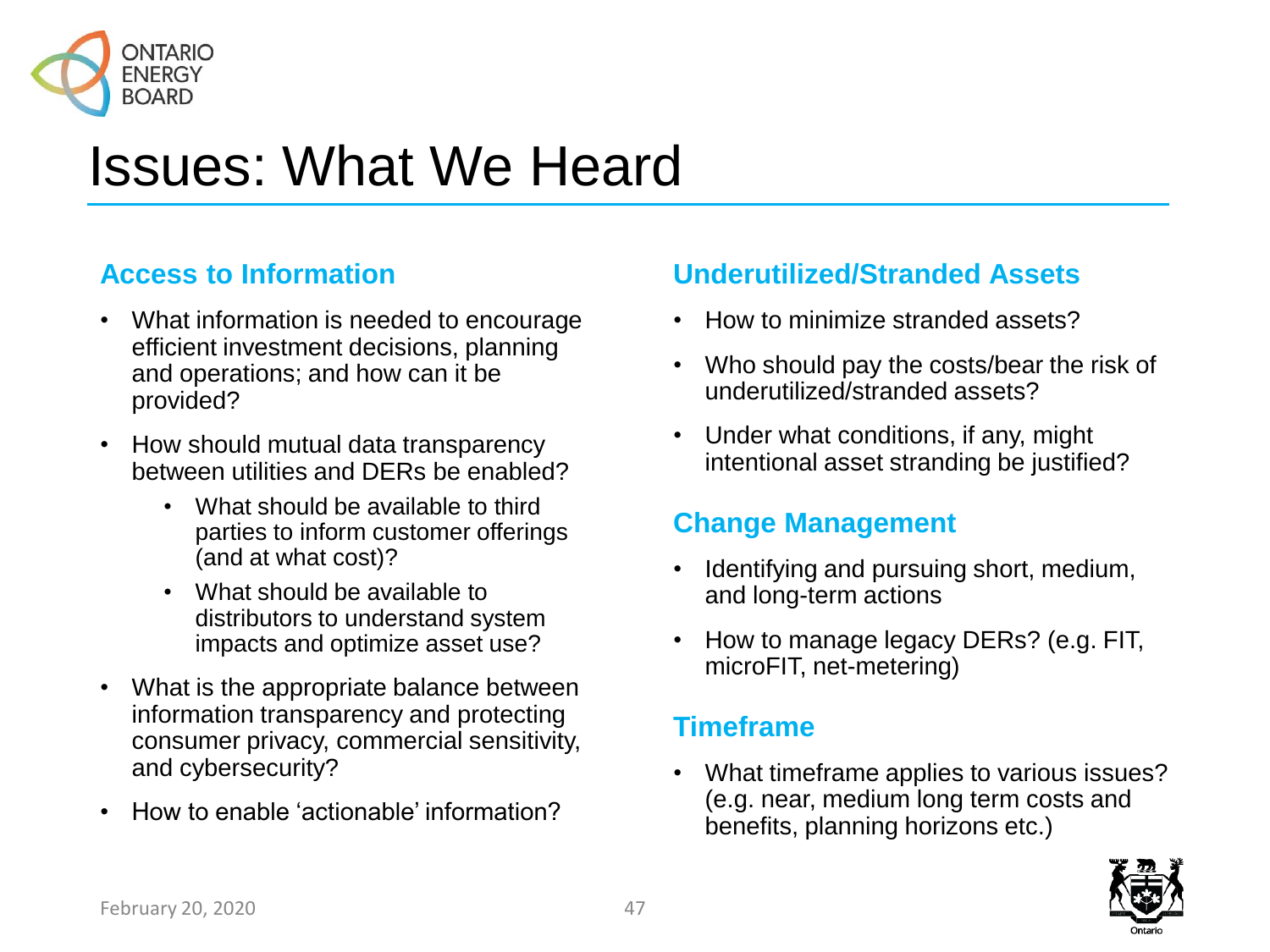

#### **Access to Information**

- What information is needed to encourage efficient investment decisions, planning and operations; and how can it be provided?
- How should mutual data transparency between utilities and DERs be enabled?
	- What should be available to third parties to inform customer offerings (and at what cost)?
	- What should be available to distributors to understand system impacts and optimize asset use?
- What is the appropriate balance between information transparency and protecting consumer privacy, commercial sensitivity, and cybersecurity?
- How to enable 'actionable' information?

#### **Underutilized/Stranded Assets**

- How to minimize stranded assets?
- Who should pay the costs/bear the risk of underutilized/stranded assets?
- Under what conditions, if any, might intentional asset stranding be justified?

#### **Change Management**

- Identifying and pursuing short, medium, and long-term actions
- How to manage legacy DERs? (e.g. FIT, microFIT, net-metering)

#### **Timeframe**

• What timeframe applies to various issues? (e.g. near, medium long term costs and benefits, planning horizons etc.)

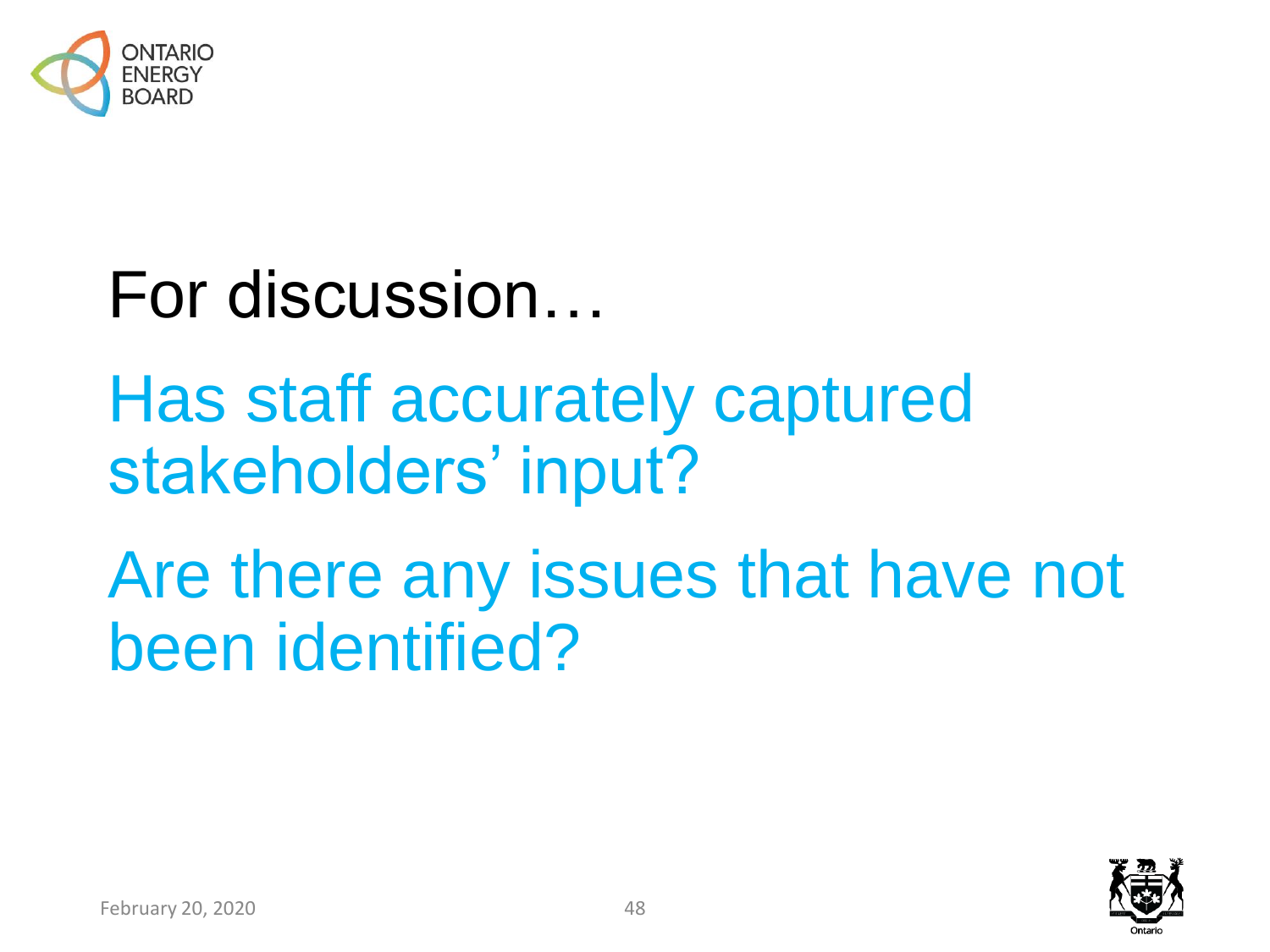

# For discussion…

# Has staff accurately captured stakeholders' input?

# Are there any issues that have not been identified?

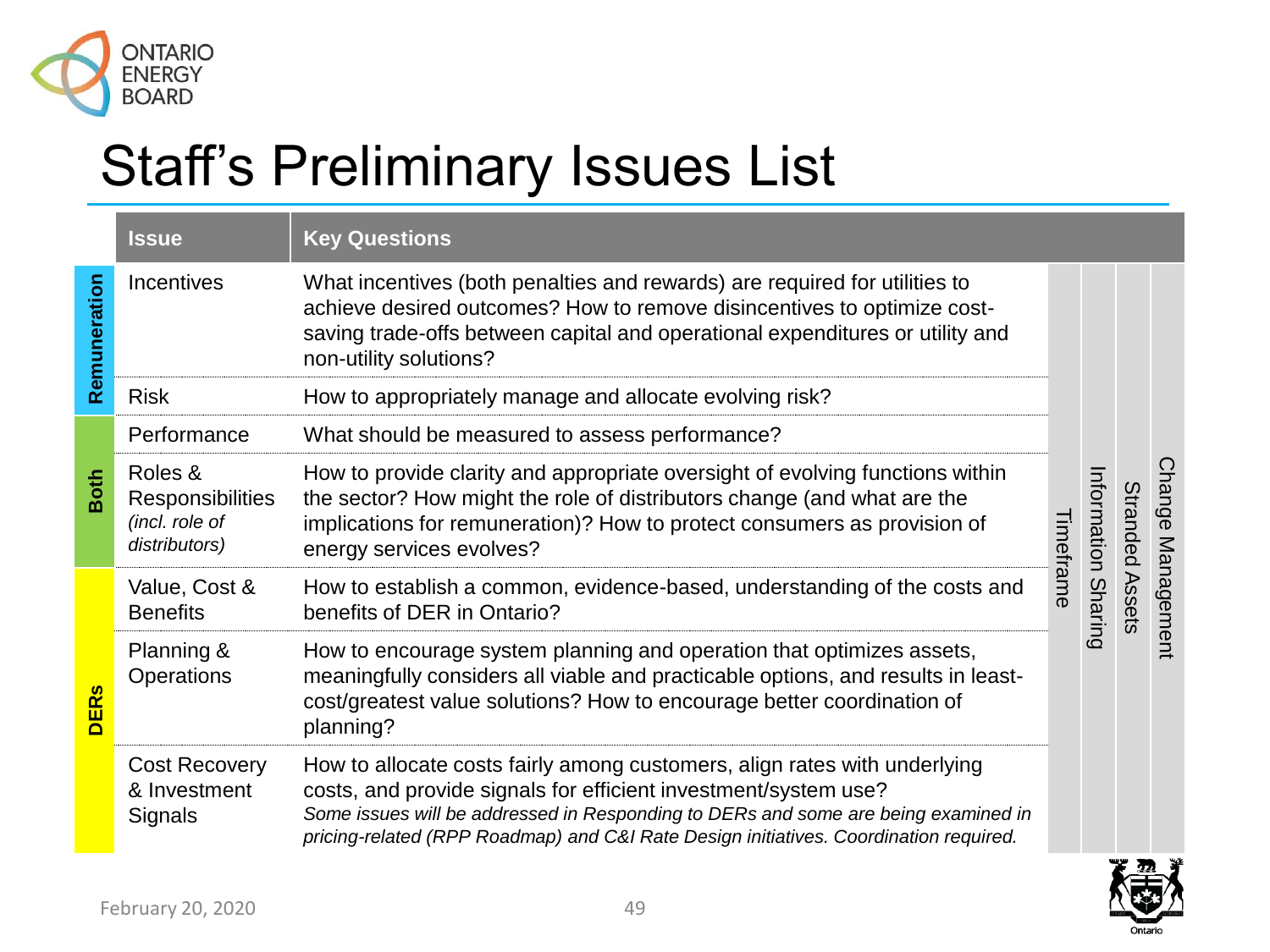

### Staff's Preliminary Issues List

|                        | <b>Issue</b>                                                          | <b>Key Questions</b>                                                                                                                                                                                                                                                                                                        |           |                |                 |                   |
|------------------------|-----------------------------------------------------------------------|-----------------------------------------------------------------------------------------------------------------------------------------------------------------------------------------------------------------------------------------------------------------------------------------------------------------------------|-----------|----------------|-----------------|-------------------|
| Remuneration           | <b>Incentives</b>                                                     | What incentives (both penalties and rewards) are required for utilities to<br>achieve desired outcomes? How to remove disincentives to optimize cost-<br>saving trade-offs between capital and operational expenditures or utility and<br>non-utility solutions?                                                            |           |                |                 |                   |
|                        | <b>Risk</b>                                                           | How to appropriately manage and allocate evolving risk?                                                                                                                                                                                                                                                                     |           |                |                 |                   |
| <b>Both</b>            | Performance                                                           | What should be measured to assess performance?                                                                                                                                                                                                                                                                              |           | Information    |                 |                   |
|                        | Roles &<br><b>Responsibilities</b><br>(incl. role of<br>distributors) | How to provide clarity and appropriate oversight of evolving functions within<br>the sector? How might the role of distributors change (and what are the<br>implications for remuneration)? How to protect consumers as provision of<br>energy services evolves?                                                            | Timeframe |                | Stranded Assets | Change Management |
| <b>DER<sub>s</sub></b> | Value, Cost &<br><b>Benefits</b>                                      | How to establish a common, evidence-based, understanding of the costs and<br>benefits of DER in Ontario?                                                                                                                                                                                                                    |           | <b>Sharing</b> |                 |                   |
|                        | Planning &<br><b>Operations</b>                                       | How to encourage system planning and operation that optimizes assets,<br>meaningfully considers all viable and practicable options, and results in least-<br>cost/greatest value solutions? How to encourage better coordination of<br>planning?                                                                            |           |                |                 |                   |
|                        | <b>Cost Recovery</b><br>& Investment<br><b>Signals</b>                | How to allocate costs fairly among customers, align rates with underlying<br>costs, and provide signals for efficient investment/system use?<br>Some issues will be addressed in Responding to DERs and some are being examined in<br>pricing-related (RPP Roadmap) and C&I Rate Design initiatives. Coordination required. |           |                |                 |                   |

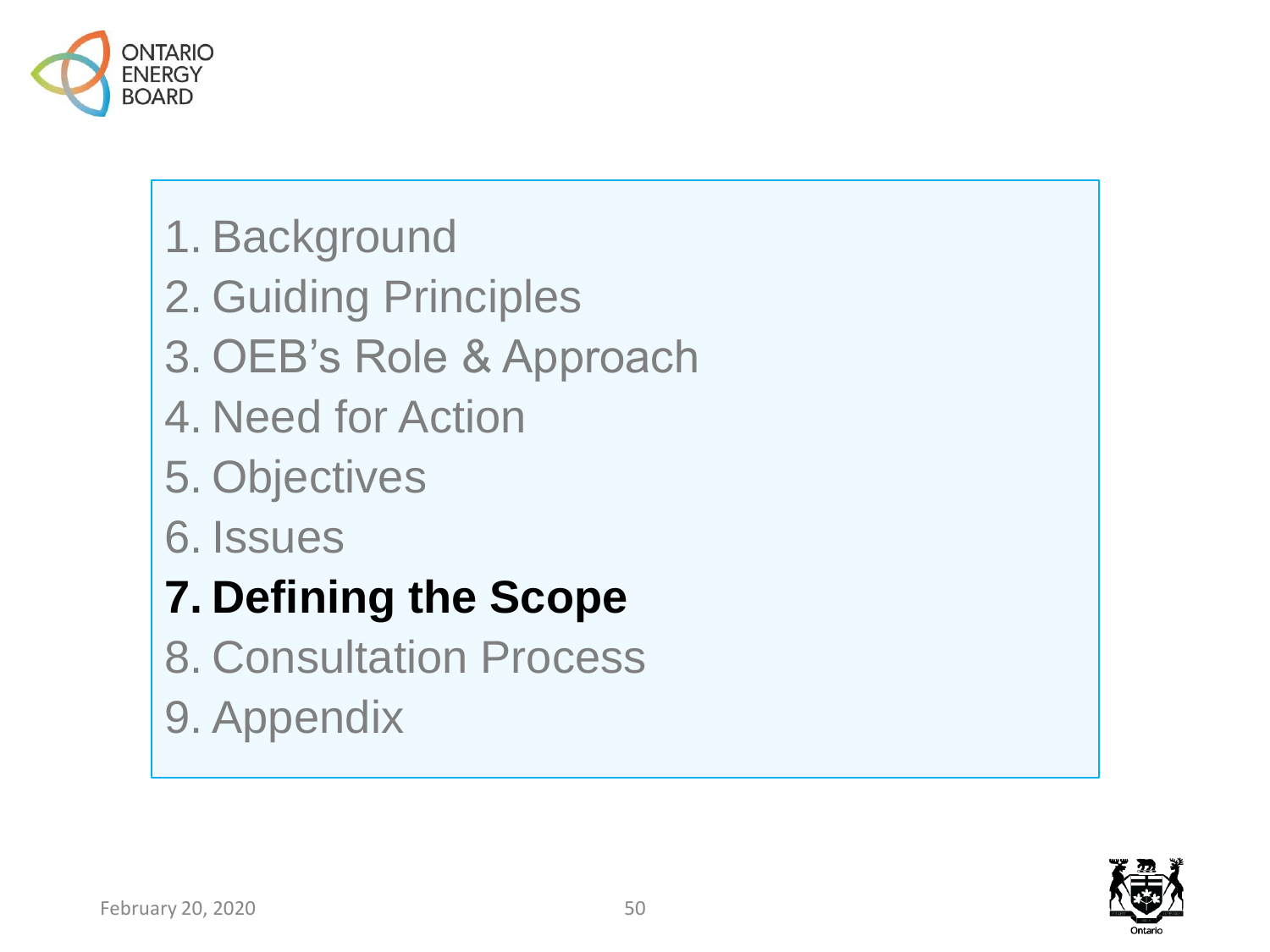

- 1. Background
- 2. Guiding Principles
- 3. OEB's Role & Approach
- 4. Need for Action
- 5. Objectives
- 6. Issues
- **7. Defining the Scope**
- 8. Consultation Process
- 9. Appendix

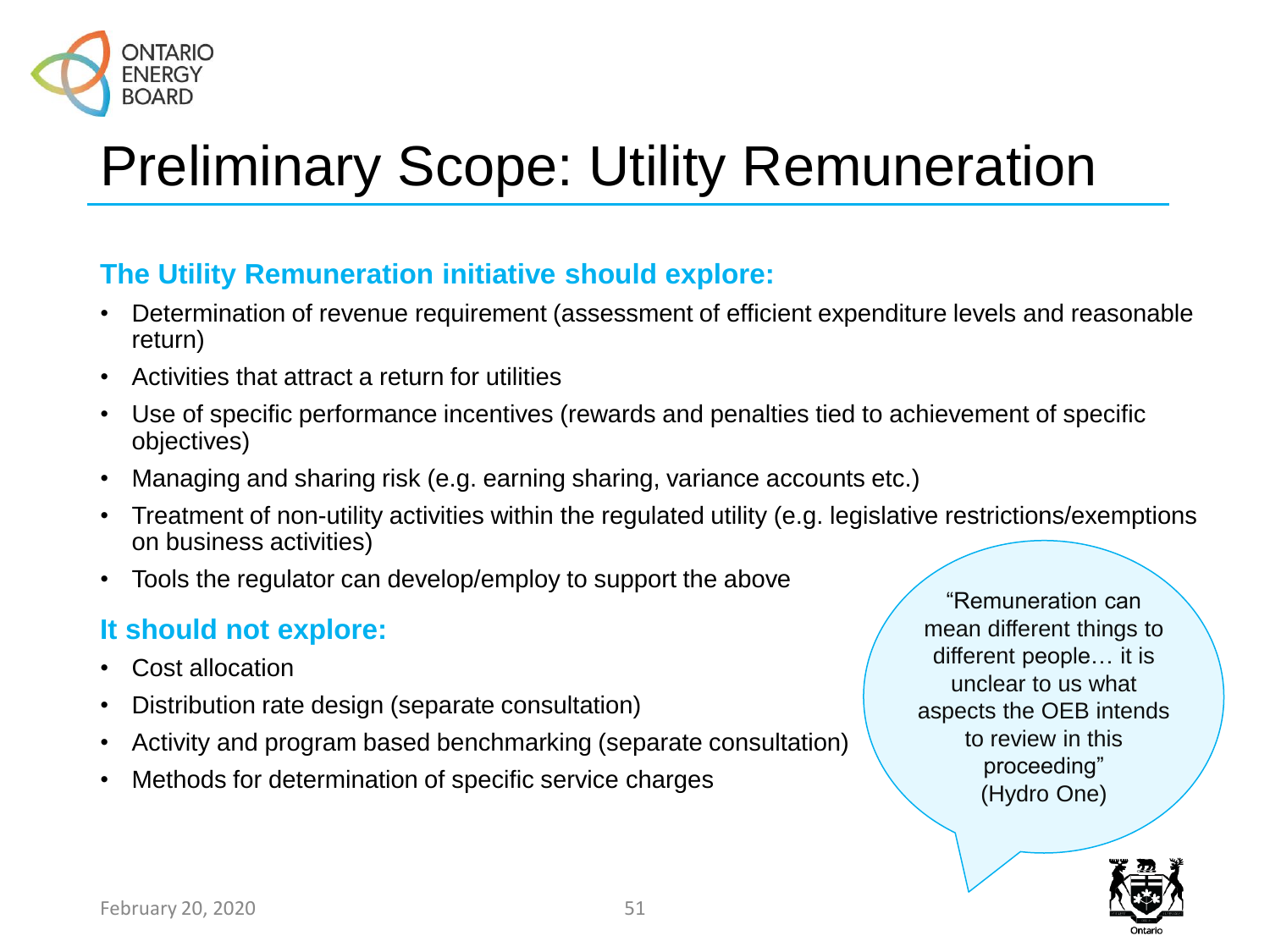

## Preliminary Scope: Utility Remuneration

#### **The Utility Remuneration initiative should explore:**

- Determination of revenue requirement (assessment of efficient expenditure levels and reasonable return)
- Activities that attract a return for utilities
- Use of specific performance incentives (rewards and penalties tied to achievement of specific objectives)
- Managing and sharing risk (e.g. earning sharing, variance accounts etc.)
- Treatment of non-utility activities within the regulated utility (e.g. legislative restrictions/exemptions on business activities)
- Tools the regulator can develop/employ to support the above

#### **It should not explore:**

- Cost allocation
- Distribution rate design (separate consultation)
- Activity and program based benchmarking (separate consultation)
- Methods for determination of specific service charges

"Remuneration can mean different things to different people… it is unclear to us what aspects the OEB intends to review in this proceeding" (Hydro One)

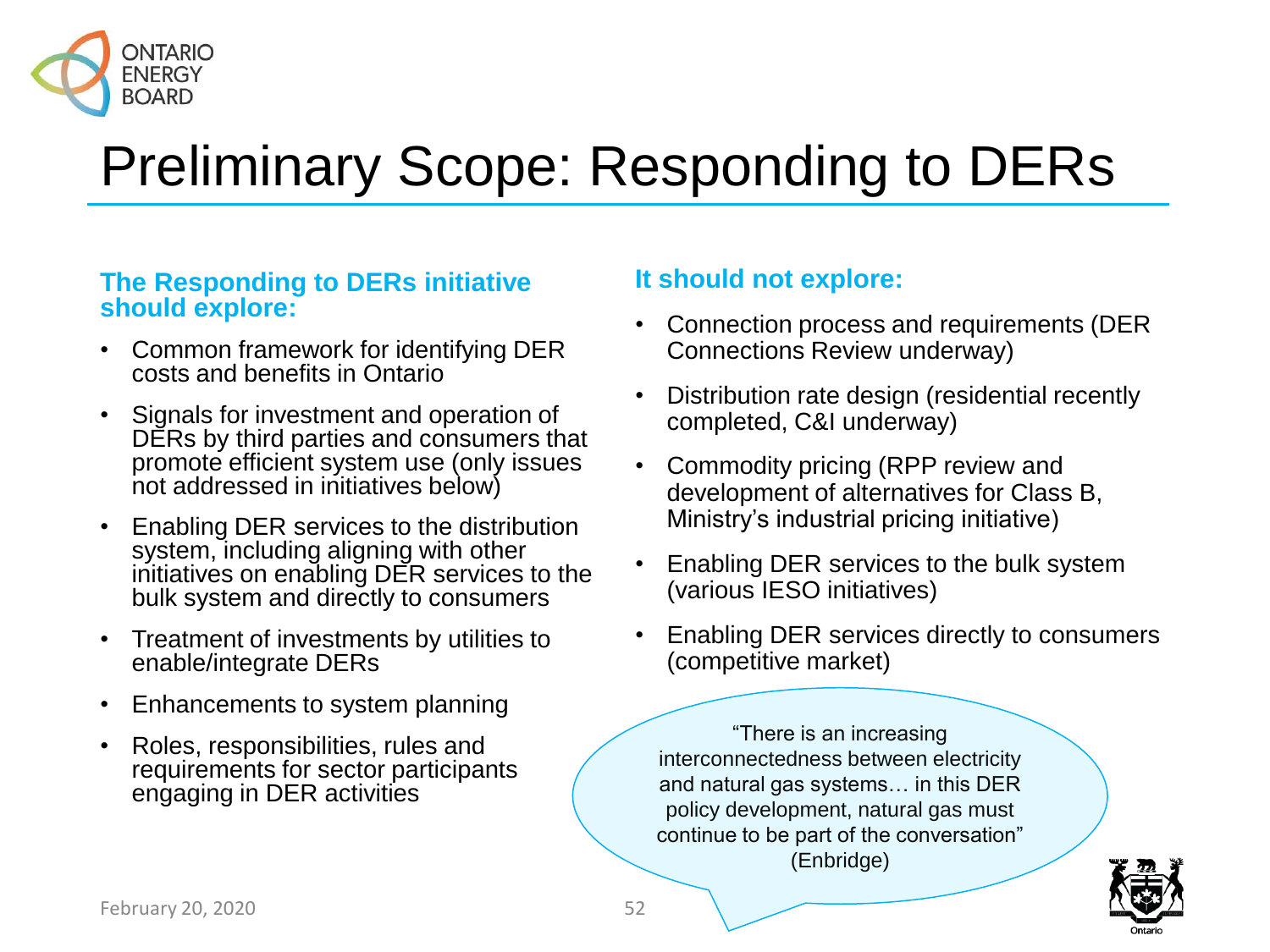

## Preliminary Scope: Responding to DERs

#### **The Responding to DERs initiative should explore:**

- Common framework for identifying DER costs and benefits in Ontario
- Signals for investment and operation of DERs by third parties and consumers that promote efficient system use (only issues not addressed in initiatives below)
- Enabling DER services to the distribution system, including aligning with other initiatives on enabling DER services to the bulk system and directly to consumers
- Treatment of investments by utilities to enable/integrate DERs
- Enhancements to system planning
- Roles, responsibilities, rules and requirements for sector participants engaging in DER activities

#### **It should not explore:**

- Connection process and requirements (DER Connections Review underway)
- Distribution rate design (residential recently completed, C&I underway)
- Commodity pricing (RPP review and development of alternatives for Class B, Ministry's industrial pricing initiative)
- Enabling DER services to the bulk system (various IESO initiatives)
- Enabling DER services directly to consumers (competitive market)

"There is an increasing interconnectedness between electricity and natural gas systems… in this DER policy development, natural gas must continue to be part of the conversation" (Enbridge)

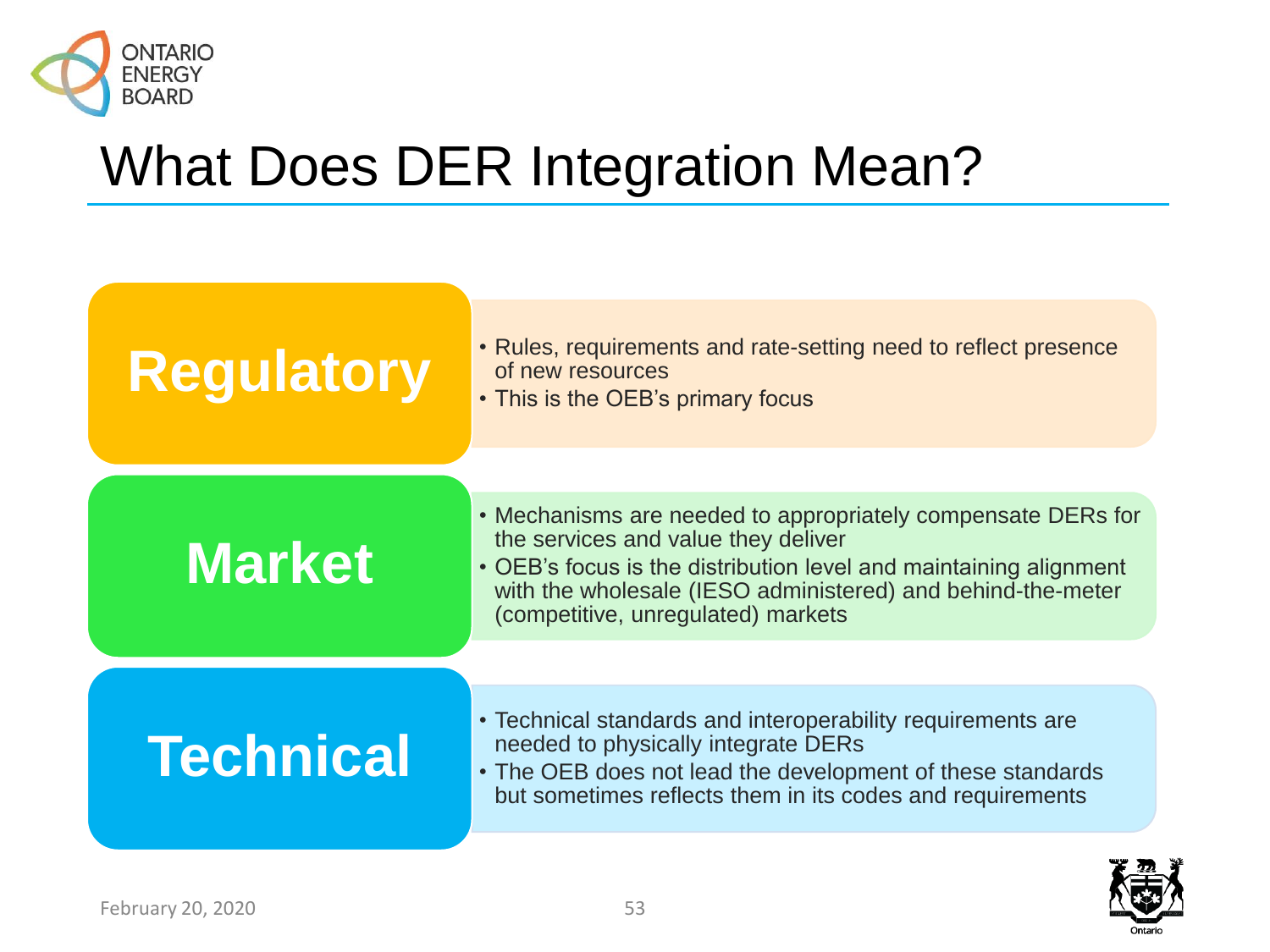

### What Does DER Integration Mean?



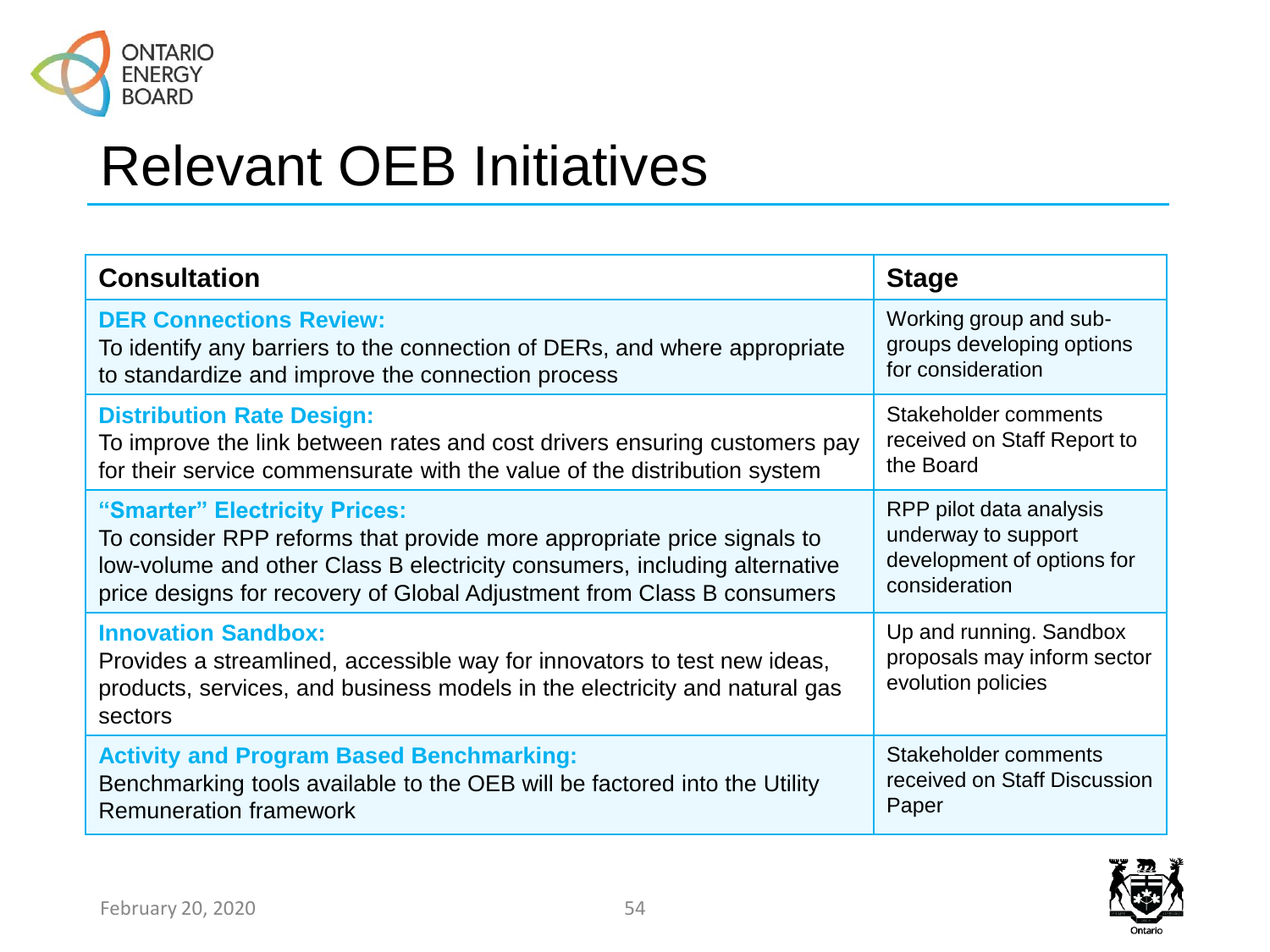

### Relevant OEB Initiatives

| <b>Consultation</b><br><b>Stage</b>                                                                                                                                                             |                                                                              |  |  |
|-------------------------------------------------------------------------------------------------------------------------------------------------------------------------------------------------|------------------------------------------------------------------------------|--|--|
| <b>DER Connections Review:</b>                                                                                                                                                                  | Working group and sub-                                                       |  |  |
| To identify any barriers to the connection of DERs, and where appropriate                                                                                                                       | groups developing options                                                    |  |  |
| to standardize and improve the connection process                                                                                                                                               | for consideration                                                            |  |  |
| <b>Distribution Rate Design:</b>                                                                                                                                                                | Stakeholder comments                                                         |  |  |
| To improve the link between rates and cost drivers ensuring customers pay                                                                                                                       | received on Staff Report to                                                  |  |  |
| for their service commensurate with the value of the distribution system                                                                                                                        | the Board                                                                    |  |  |
| "Smarter" Electricity Prices:                                                                                                                                                                   | RPP pilot data analysis                                                      |  |  |
| To consider RPP reforms that provide more appropriate price signals to                                                                                                                          | underway to support                                                          |  |  |
| low-volume and other Class B electricity consumers, including alternative                                                                                                                       | development of options for                                                   |  |  |
| price designs for recovery of Global Adjustment from Class B consumers                                                                                                                          | consideration                                                                |  |  |
| <b>Innovation Sandbox:</b><br>Provides a streamlined, accessible way for innovators to test new ideas,<br>products, services, and business models in the electricity and natural gas<br>sectors | Up and running. Sandbox<br>proposals may inform sector<br>evolution policies |  |  |
| <b>Activity and Program Based Benchmarking:</b>                                                                                                                                                 | Stakeholder comments                                                         |  |  |
| Benchmarking tools available to the OEB will be factored into the Utility                                                                                                                       | received on Staff Discussion                                                 |  |  |
| <b>Remuneration framework</b>                                                                                                                                                                   | Paper                                                                        |  |  |

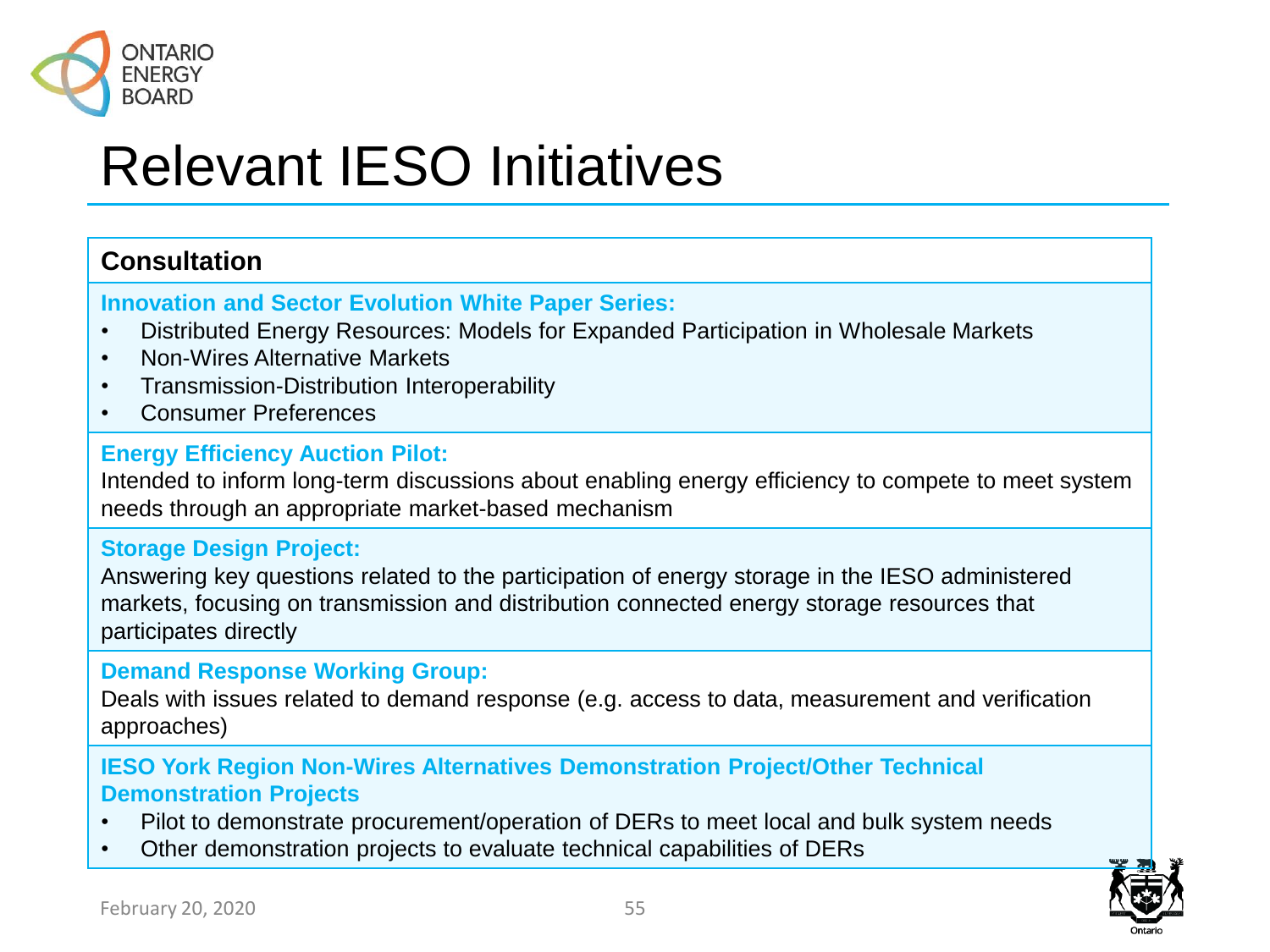

### Relevant IESO Initiatives

#### **Consultation**

#### **Innovation and Sector Evolution White Paper Series:**

- Distributed Energy Resources: Models for Expanded Participation in Wholesale Markets
- Non-Wires Alternative Markets
- Transmission-Distribution Interoperability
- Consumer Preferences

#### **Energy Efficiency Auction Pilot:**

Intended to inform long-term discussions about enabling energy efficiency to compete to meet system needs through an appropriate market-based mechanism

#### **Storage Design Project:**

Answering key questions related to the participation of energy storage in the IESO administered markets, focusing on transmission and distribution connected energy storage resources that participates directly

#### **Demand Response Working Group:**

Deals with issues related to demand response (e.g. access to data, measurement and verification approaches)

#### **IESO York Region Non-Wires Alternatives Demonstration Project/Other Technical Demonstration Projects**

- Pilot to demonstrate procurement/operation of DERs to meet local and bulk system needs
- Other demonstration projects to evaluate technical capabilities of DERs

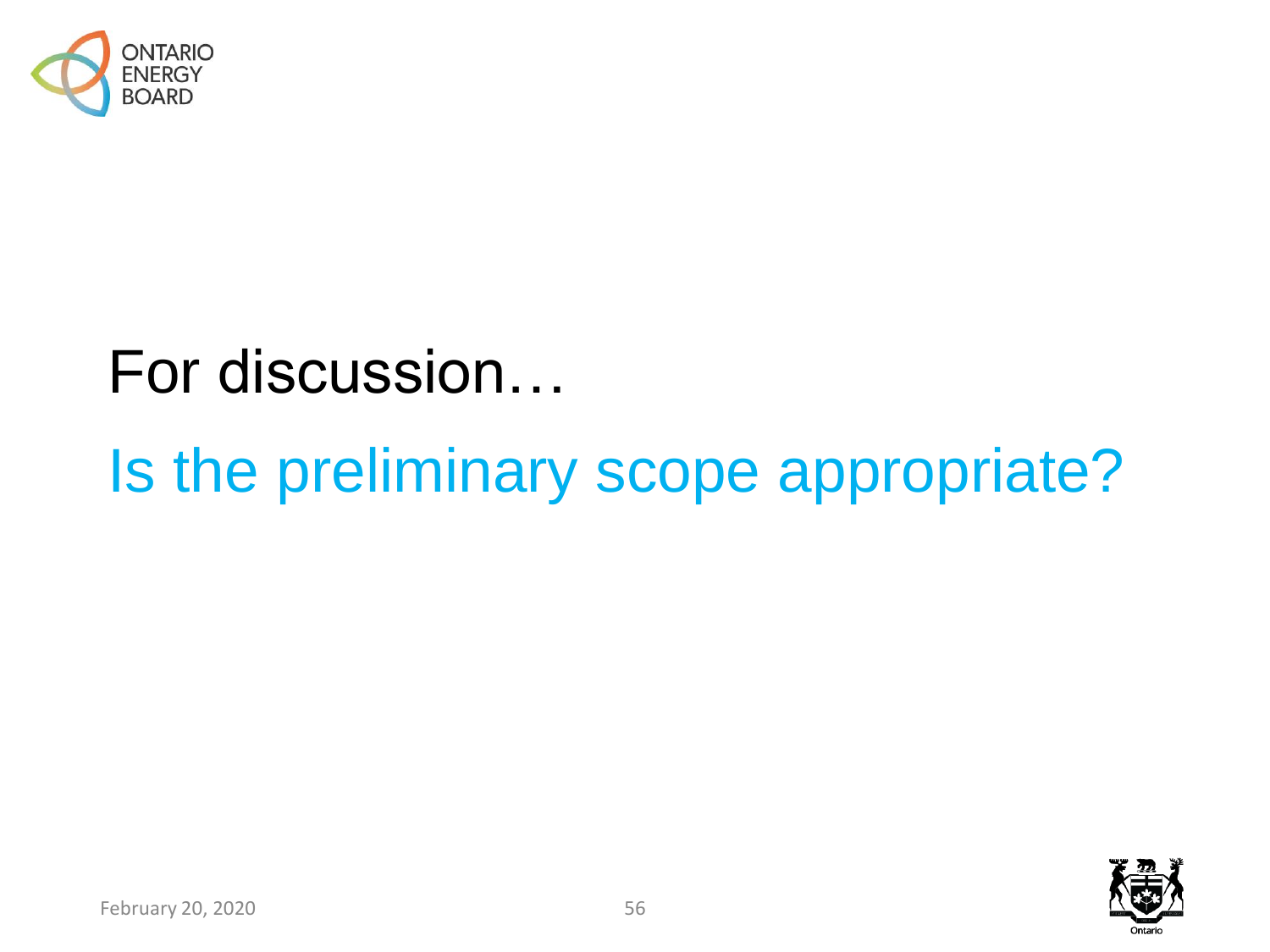

## For discussion…

# Is the preliminary scope appropriate?

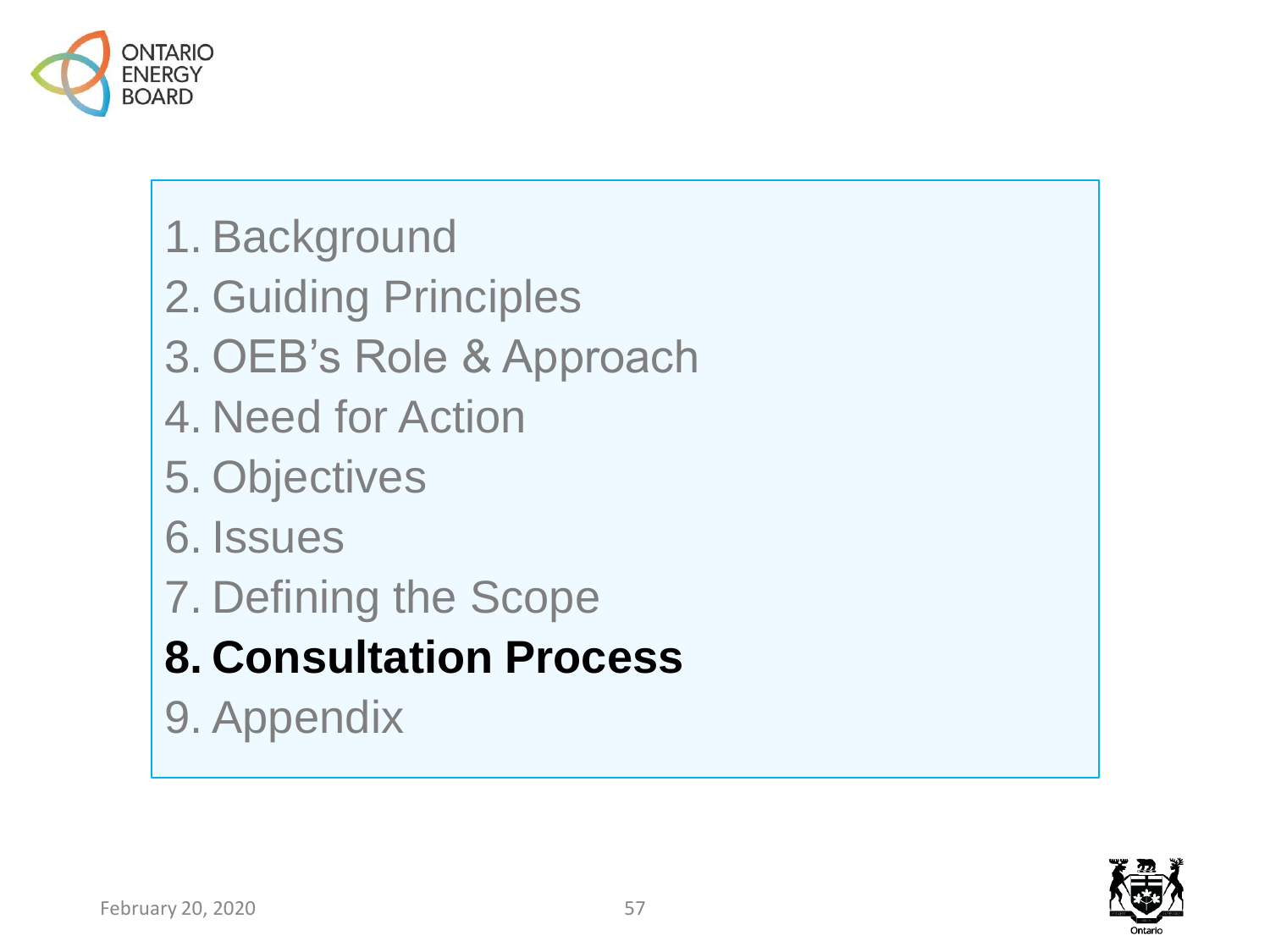

- 1. Background
- 2. Guiding Principles
- 3. OEB's Role & Approach
- 4. Need for Action
- 5. Objectives
- 6. Issues
- 7. Defining the Scope
- **8. Consultation Process**
- 9. Appendix

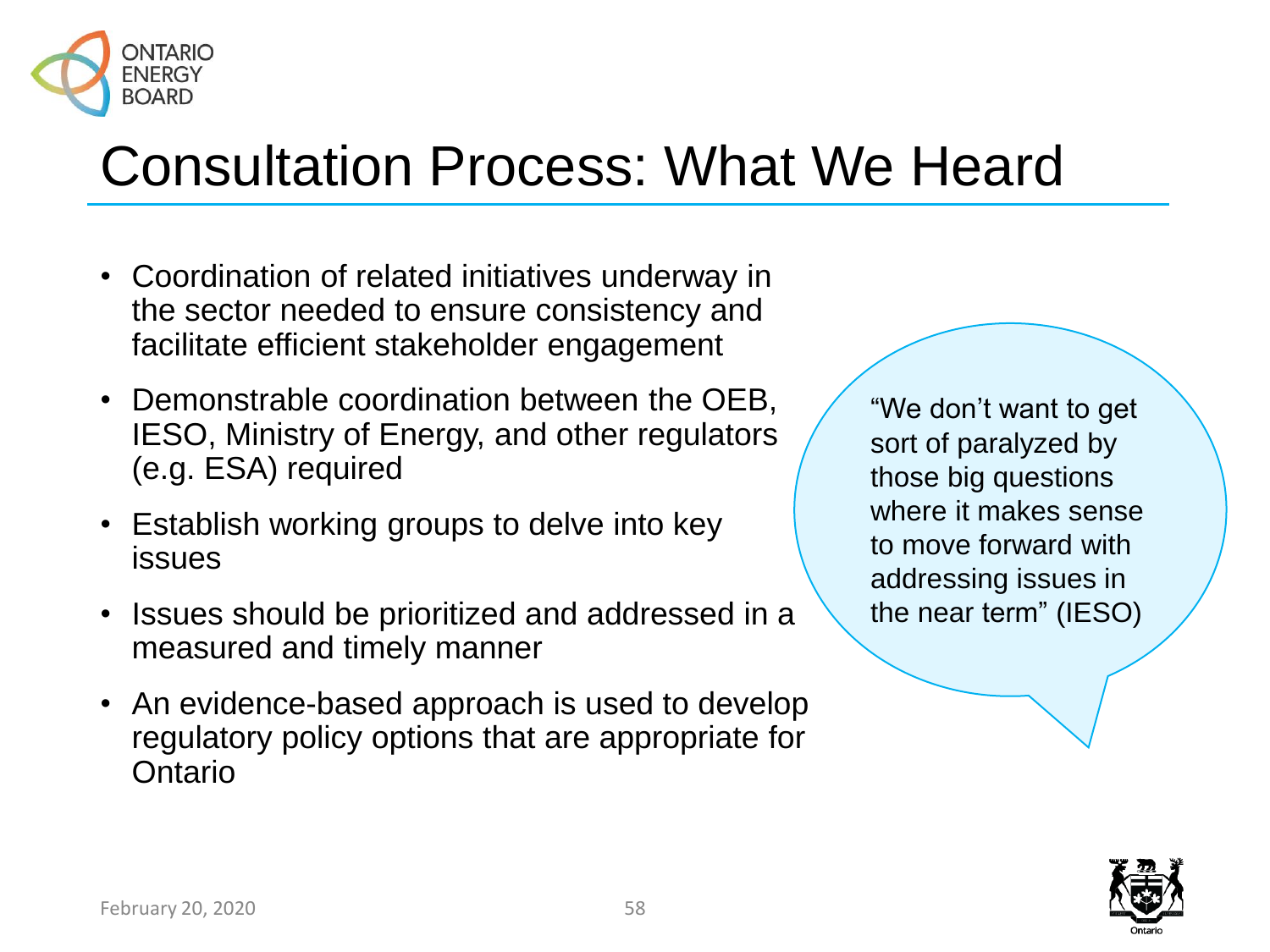

### Consultation Process: What We Heard

- Coordination of related initiatives underway in the sector needed to ensure consistency and facilitate efficient stakeholder engagement
- Demonstrable coordination between the OEB, IESO, Ministry of Energy, and other regulators (e.g. ESA) required
- Establish working groups to delve into key issues
- Issues should be prioritized and addressed in a measured and timely manner
- An evidence-based approach is used to develop regulatory policy options that are appropriate for Ontario

"We don't want to get sort of paralyzed by those big questions where it makes sense to move forward with addressing issues in the near term" (IESO)

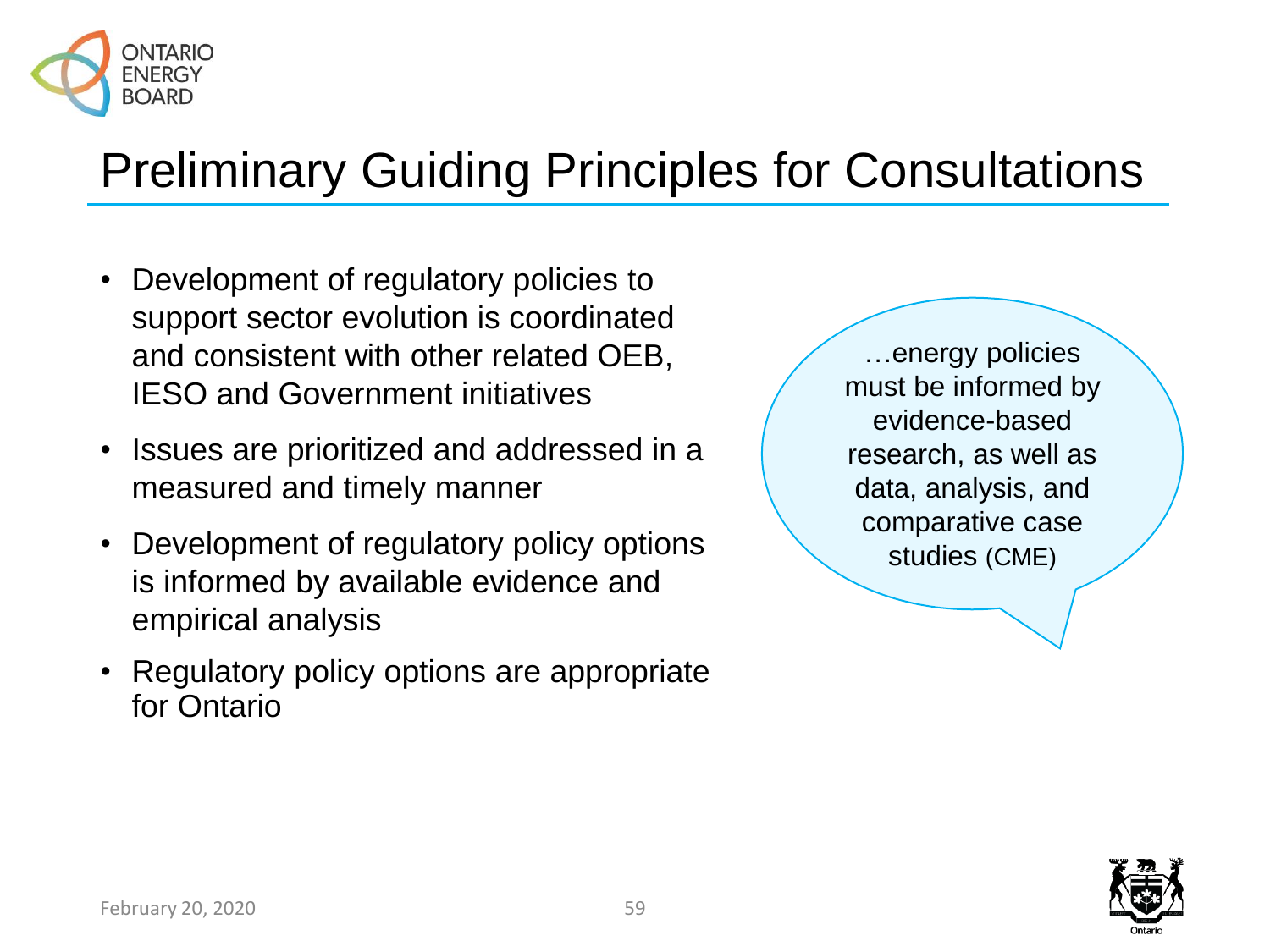

### Preliminary Guiding Principles for Consultations

- Development of regulatory policies to support sector evolution is coordinated and consistent with other related OEB, IESO and Government initiatives
- Issues are prioritized and addressed in a measured and timely manner
- Development of regulatory policy options is informed by available evidence and empirical analysis
- Regulatory policy options are appropriate for Ontario

…energy policies must be informed by evidence-based research, as well as data, analysis, and comparative case studies (CME)

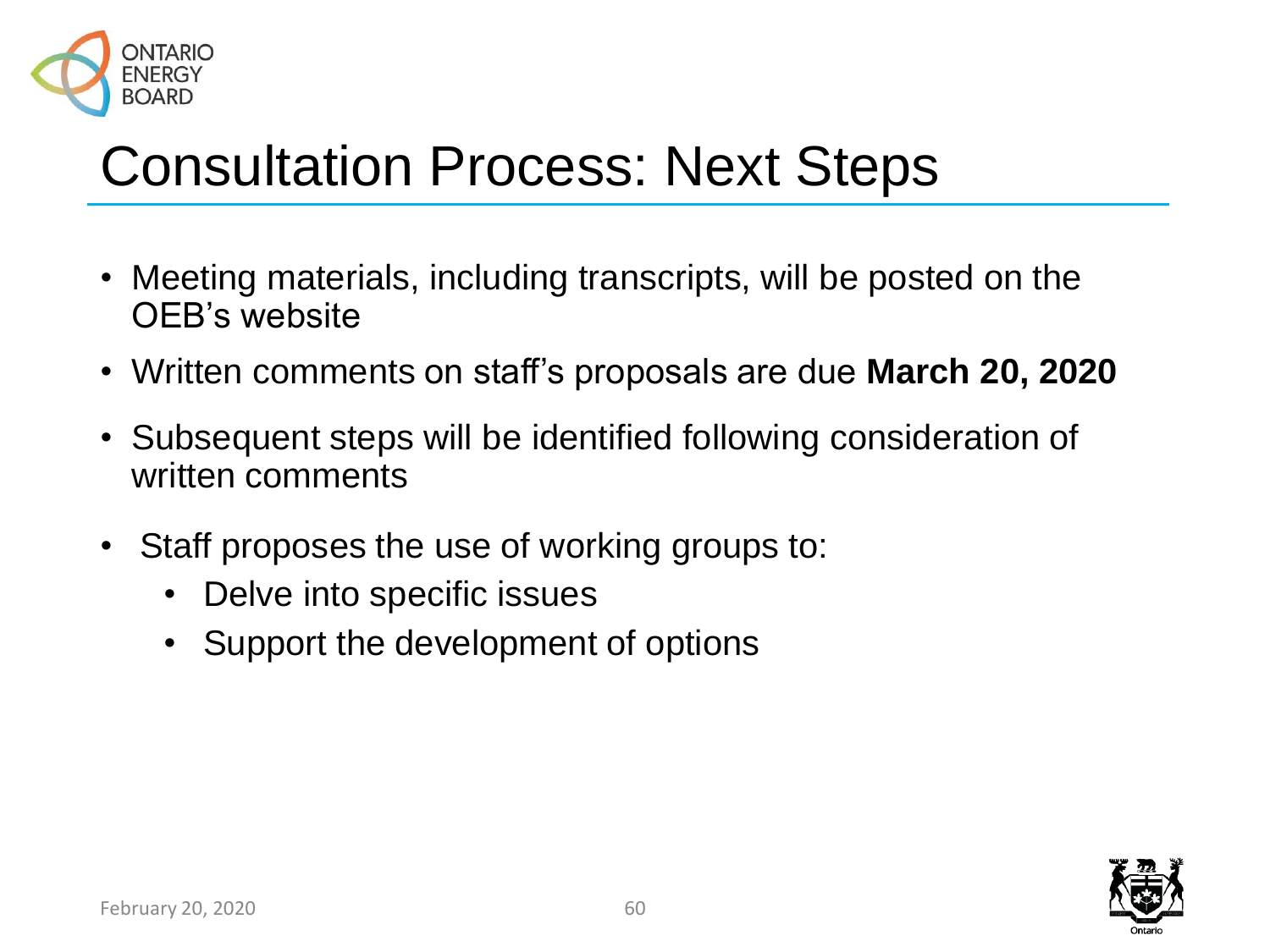

### Consultation Process: Next Steps

- Meeting materials, including transcripts, will be posted on the OEB's website
- Written comments on staff's proposals are due **March 20, 2020**
- Subsequent steps will be identified following consideration of written comments
- Staff proposes the use of working groups to:
	- Delve into specific issues
	- Support the development of options

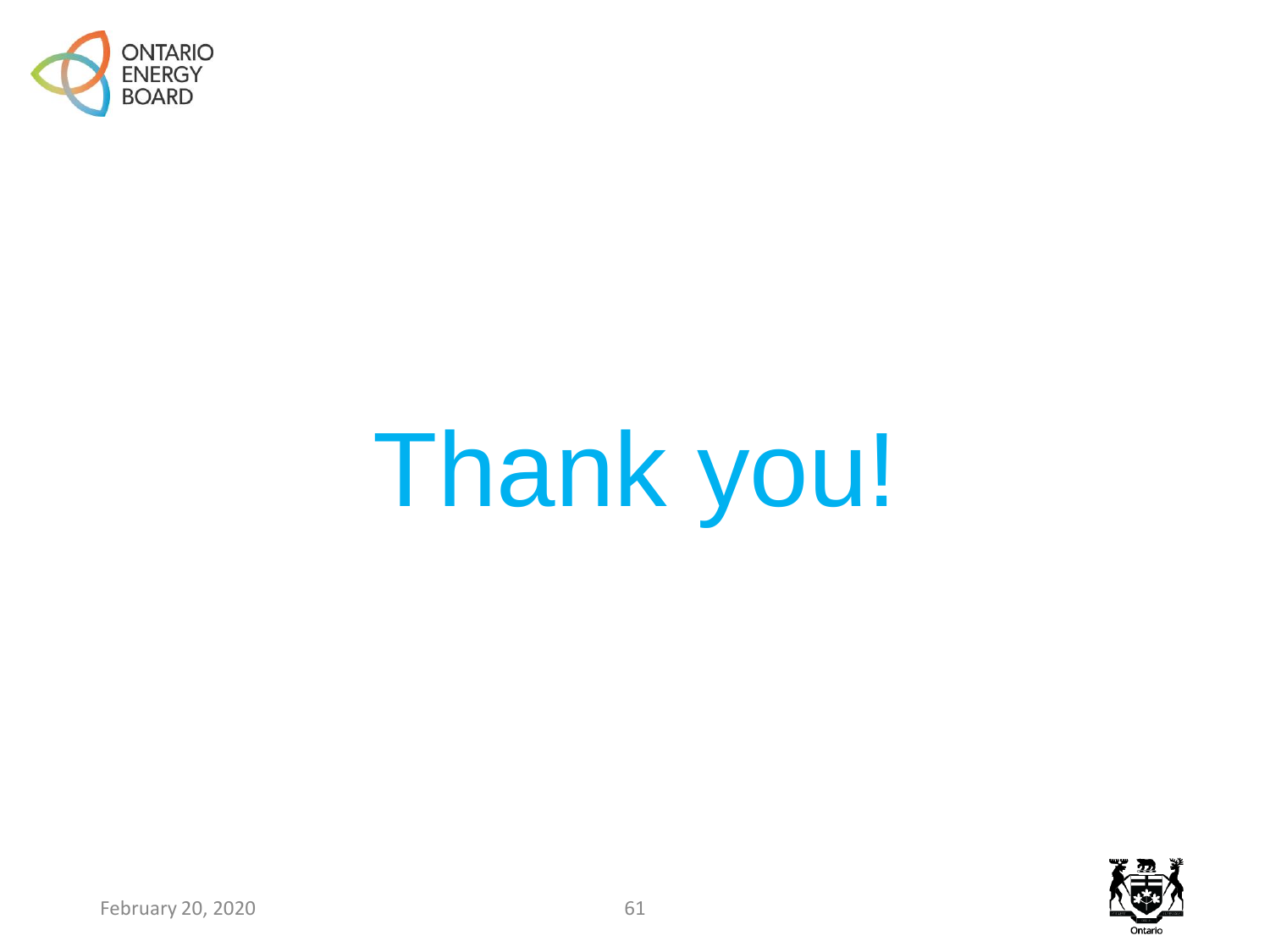

# Thank you!



February 20, 2020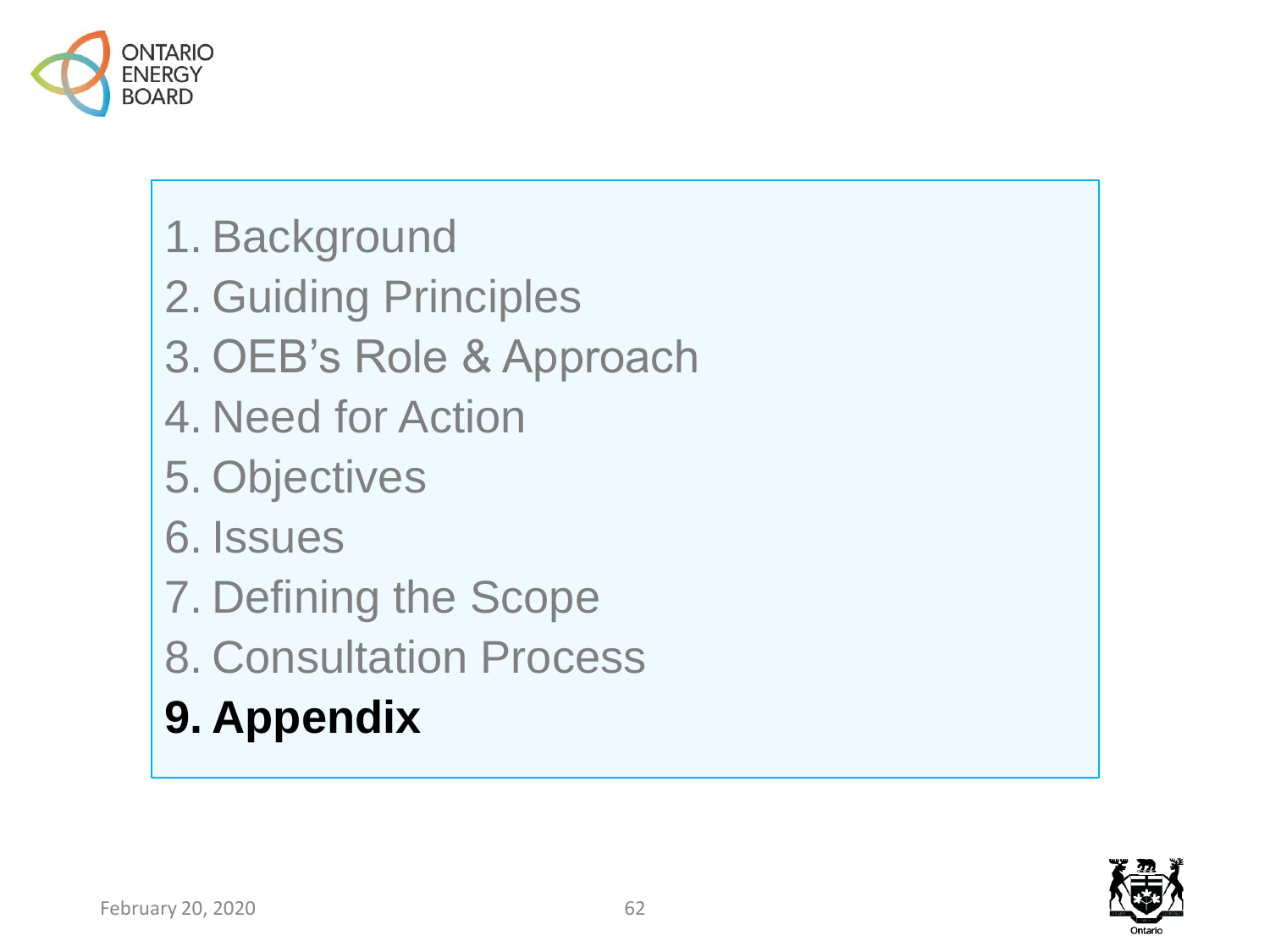

- 1. Background
- 2. Guiding Principles
- 3. OEB's Role & Approach
- 4. Need for Action
- 5. Objectives
- 6. Issues
- 7. Defining the Scope
- 8. Consultation Process
- **9. Appendix**

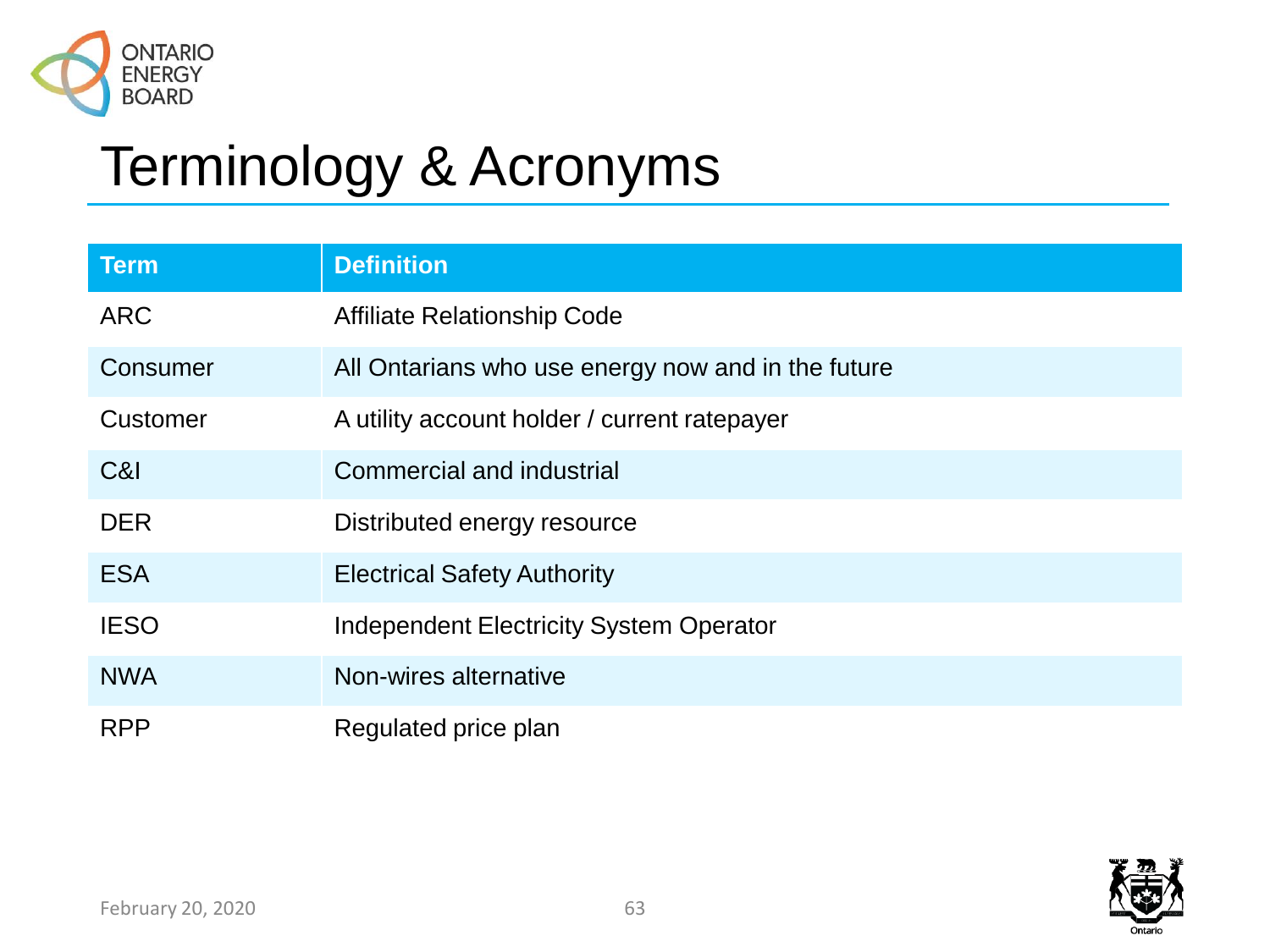

### Terminology & Acronyms

| <b>Term</b> | <b>Definition</b>                                  |
|-------------|----------------------------------------------------|
| <b>ARC</b>  | <b>Affiliate Relationship Code</b>                 |
| Consumer    | All Ontarians who use energy now and in the future |
| Customer    | A utility account holder / current ratepayer       |
| C&I         | <b>Commercial and industrial</b>                   |
| <b>DER</b>  | Distributed energy resource                        |
| <b>ESA</b>  | <b>Electrical Safety Authority</b>                 |
| <b>IESO</b> | <b>Independent Electricity System Operator</b>     |
| <b>NWA</b>  | Non-wires alternative                              |
| <b>RPP</b>  | Regulated price plan                               |

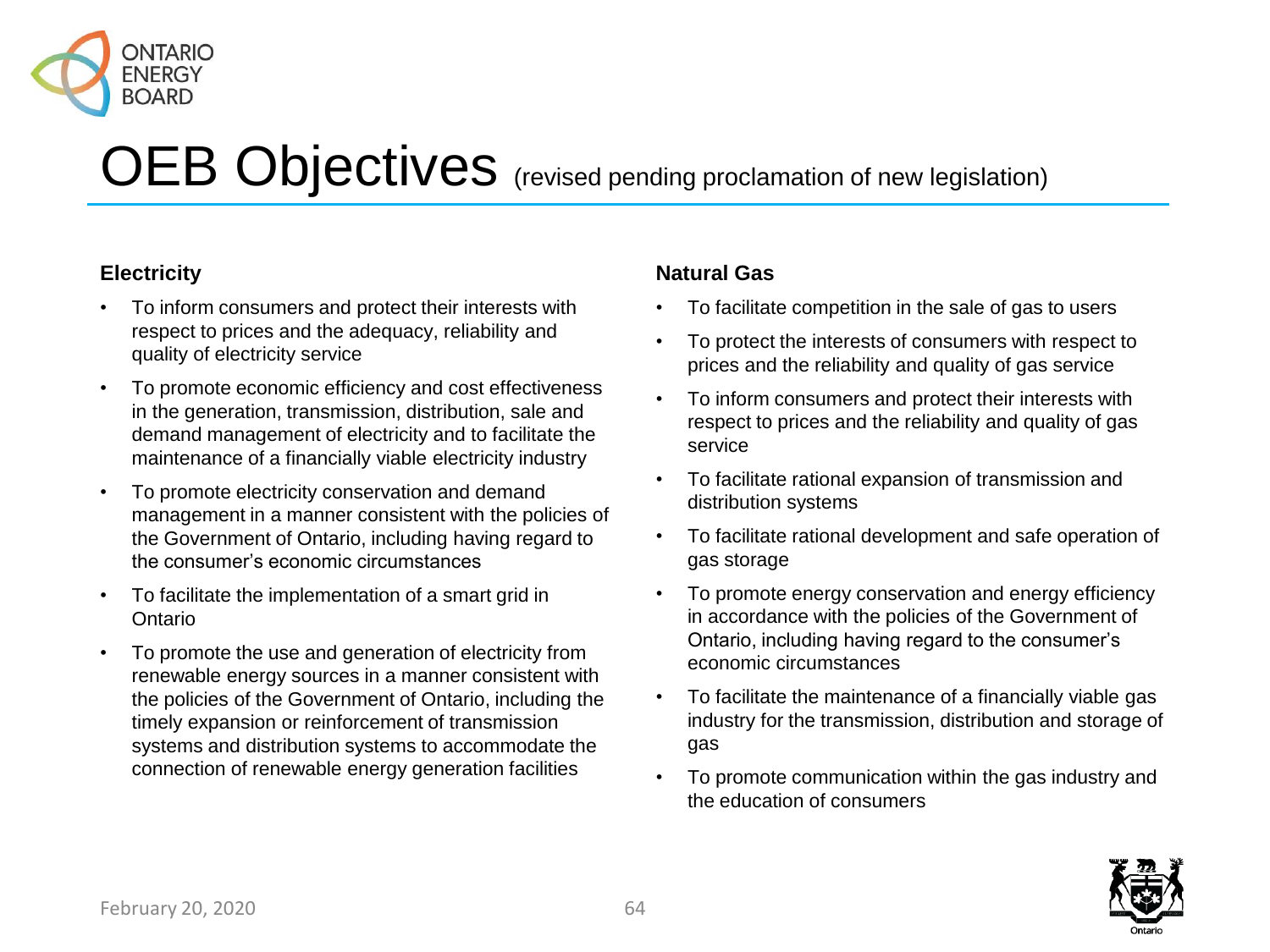

### OEB Objectives (revised pending proclamation of new legislation)

#### **Electricity**

- To inform consumers and protect their interests with respect to prices and the adequacy, reliability and quality of electricity service
- To promote economic efficiency and cost effectiveness in the generation, transmission, distribution, sale and demand management of electricity and to facilitate the maintenance of a financially viable electricity industry
- To promote electricity conservation and demand management in a manner consistent with the policies of the Government of Ontario, including having regard to the consumer's economic circumstances
- To facilitate the implementation of a smart grid in Ontario
- To promote the use and generation of electricity from renewable energy sources in a manner consistent with the policies of the Government of Ontario, including the timely expansion or reinforcement of transmission systems and distribution systems to accommodate the connection of renewable energy generation facilities

#### **Natural Gas**

- To facilitate competition in the sale of gas to users
- To protect the interests of consumers with respect to prices and the reliability and quality of gas service
- To inform consumers and protect their interests with respect to prices and the reliability and quality of gas service
- To facilitate rational expansion of transmission and distribution systems
- To facilitate rational development and safe operation of gas storage
- To promote energy conservation and energy efficiency in accordance with the policies of the Government of Ontario, including having regard to the consumer's economic circumstances
- To facilitate the maintenance of a financially viable gas industry for the transmission, distribution and storage of gas
- To promote communication within the gas industry and the education of consumers

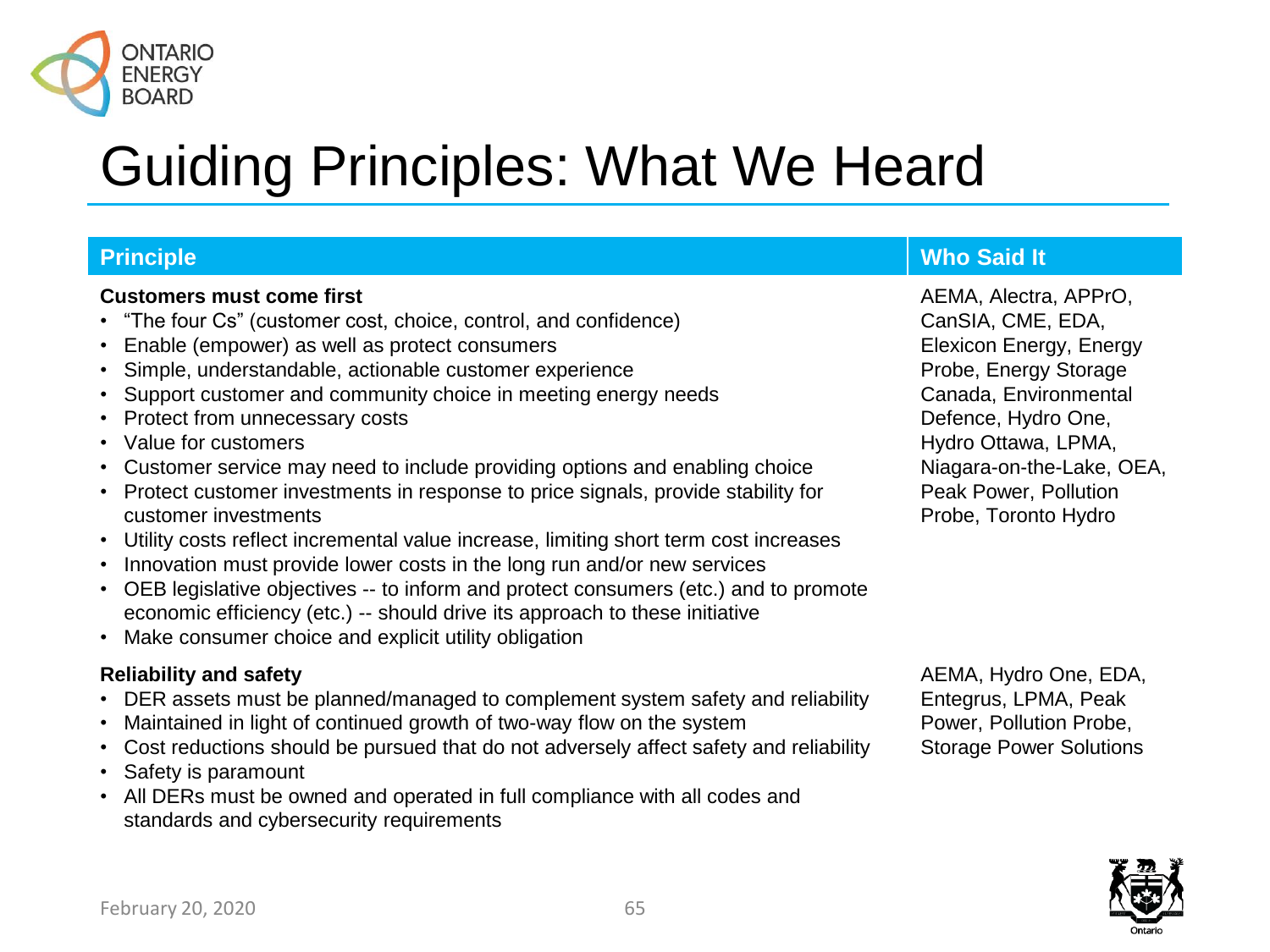

#### **Customers must come first**

- "The four Cs" (customer cost, choice, control, and confidence)
- Enable (empower) as well as protect consumers
- Simple, understandable, actionable customer experience
- Support customer and community choice in meeting energy needs
- Protect from unnecessary costs
- Value for customers
- Customer service may need to include providing options and enabling choice
- Protect customer investments in response to price signals, provide stability for customer investments
- Utility costs reflect incremental value increase, limiting short term cost increases
- Innovation must provide lower costs in the long run and/or new services
- OEB legislative objectives -- to inform and protect consumers (etc.) and to promote economic efficiency (etc.) -- should drive its approach to these initiative
- Make consumer choice and explicit utility obligation

#### **Reliability and safety**

- DER assets must be planned/managed to complement system safety and reliability
- Maintained in light of continued growth of two-way flow on the system
- Cost reductions should be pursued that do not adversely affect safety and reliability
- Safety is paramount
- All DERs must be owned and operated in full compliance with all codes and standards and cybersecurity requirements

#### AEMA, Hydro One, EDA, Entegrus, LPMA, Peak Power, Pollution Probe, Storage Power Solutions



#### **Principle Who Said It**

AEMA, Alectra, APPrO, CanSIA, CME, EDA, Elexicon Energy, Energy Probe, Energy Storage Canada, Environmental Defence, Hydro One, Hydro Ottawa, LPMA, Niagara-on-the-Lake, OEA, Peak Power, Pollution Probe, Toronto Hydro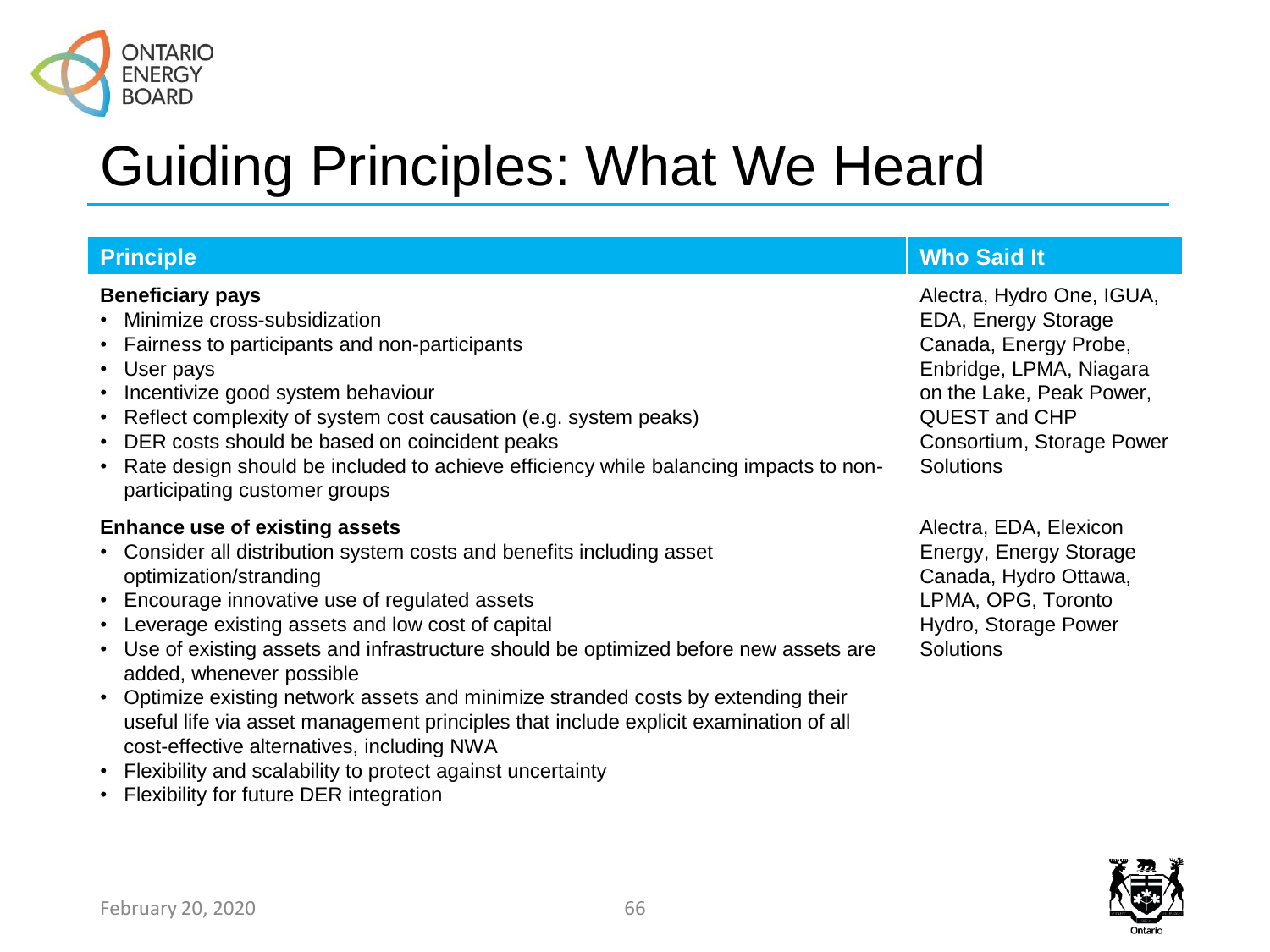

| <b>Principle</b>                                                                                                                                                                                                                                                                                                                                                                                                                                                                                                                                                         | <b>Who Said It</b>                                                                                                                                                                                 |
|--------------------------------------------------------------------------------------------------------------------------------------------------------------------------------------------------------------------------------------------------------------------------------------------------------------------------------------------------------------------------------------------------------------------------------------------------------------------------------------------------------------------------------------------------------------------------|----------------------------------------------------------------------------------------------------------------------------------------------------------------------------------------------------|
| <b>Beneficiary pays</b><br>• Minimize cross-subsidization<br>• Fairness to participants and non-participants<br>• User pays<br>• Incentivize good system behaviour<br>• Reflect complexity of system cost causation (e.g. system peaks)<br>• DER costs should be based on coincident peaks<br>• Rate design should be included to achieve efficiency while balancing impacts to non-<br>participating customer groups                                                                                                                                                    | Alectra, Hydro One, IGUA,<br>EDA, Energy Storage<br>Canada, Energy Probe,<br>Enbridge, LPMA, Niagara<br>on the Lake, Peak Power,<br>QUEST and CHP<br>Consortium, Storage Power<br><b>Solutions</b> |
| <b>Enhance use of existing assets</b><br>Consider all distribution system costs and benefits including asset<br>$\bullet$<br>optimization/stranding<br>• Encourage innovative use of regulated assets<br>• Leverage existing assets and low cost of capital<br>Use of existing assets and infrastructure should be optimized before new assets are<br>$\bullet$<br>added, whenever possible<br>• Optimize existing network assets and minimize stranded costs by extending their<br>useful life via asset management principles that include explicit examination of all | Alectra, EDA, Elexicon<br>Energy, Energy Storage<br>Canada, Hydro Ottawa,<br>LPMA, OPG, Toronto<br>Hydro, Storage Power<br><b>Solutions</b>                                                        |

- cost-effective alternatives, including NWA • Flexibility and scalability to protect against uncertainty
- Flexibility for future DER integration

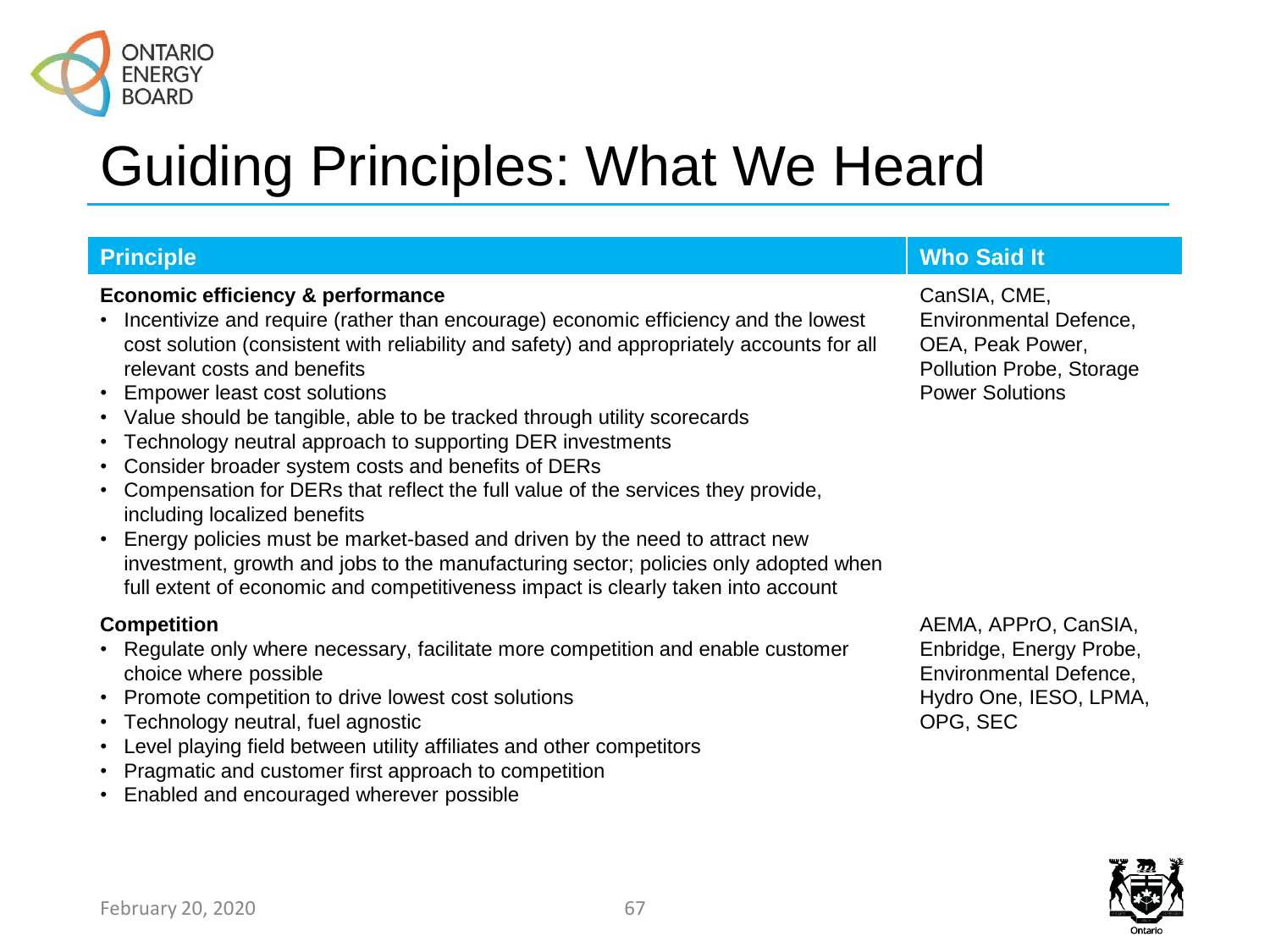

#### **Economic efficiency & performance**

- Incentivize and require (rather than encourage) economic efficiency and the lowest cost solution (consistent with reliability and safety) and appropriately accounts for all relevant costs and benefits
- Empower least cost solutions
- Value should be tangible, able to be tracked through utility scorecards
- Technology neutral approach to supporting DER investments
- Consider broader system costs and benefits of DERs
- Compensation for DERs that reflect the full value of the services they provide, including localized benefits
- Energy policies must be market-based and driven by the need to attract new investment, growth and jobs to the manufacturing sector; policies only adopted when full extent of economic and competitiveness impact is clearly taken into account

#### **Competition**

- Regulate only where necessary, facilitate more competition and enable customer choice where possible
- Promote competition to drive lowest cost solutions
- Technology neutral, fuel agnostic
- Level playing field between utility affiliates and other competitors
- Pragmatic and customer first approach to competition
- Enabled and encouraged wherever possible

#### **Principle Who Said It**

CanSIA, CME, Environmental Defence, OEA, Peak Power, Pollution Probe, Storage Power Solutions

AEMA, APPrO, CanSIA, Enbridge, Energy Probe, Environmental Defence, Hydro One, IESO, LPMA, OPG, SEC

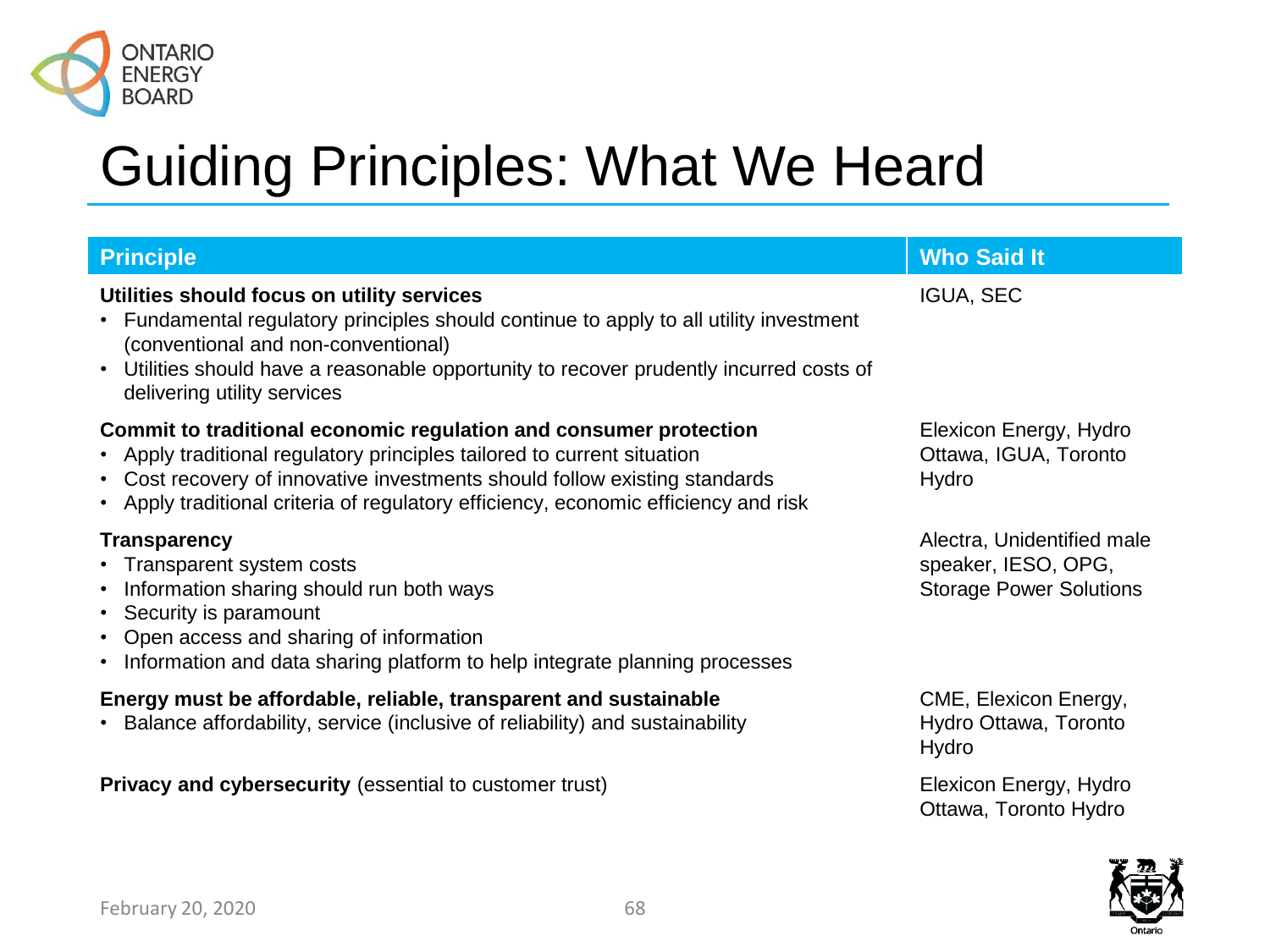

| <b>Principle</b>                                                                                                                                                                                                                                                                                               | <b>Who Said It</b>                                                                  |  |  |  |
|----------------------------------------------------------------------------------------------------------------------------------------------------------------------------------------------------------------------------------------------------------------------------------------------------------------|-------------------------------------------------------------------------------------|--|--|--|
| Utilities should focus on utility services<br>Fundamental regulatory principles should continue to apply to all utility investment<br>(conventional and non-conventional)<br>Utilities should have a reasonable opportunity to recover prudently incurred costs of<br>$\bullet$<br>delivering utility services | <b>IGUA, SEC</b>                                                                    |  |  |  |
| Commit to traditional economic regulation and consumer protection<br>• Apply traditional regulatory principles tailored to current situation<br>Cost recovery of innovative investments should follow existing standards<br>Apply traditional criteria of regulatory efficiency, economic efficiency and risk  | Elexicon Energy, Hydro<br>Ottawa, IGUA, Toronto<br>Hydro                            |  |  |  |
| <b>Transparency</b><br>• Transparent system costs<br>• Information sharing should run both ways<br>• Security is paramount<br>• Open access and sharing of information<br>Information and data sharing platform to help integrate planning processes                                                           | Alectra, Unidentified male<br>speaker, IESO, OPG,<br><b>Storage Power Solutions</b> |  |  |  |
| Energy must be affordable, reliable, transparent and sustainable<br>• Balance affordability, service (inclusive of reliability) and sustainability                                                                                                                                                             | CME, Elexicon Energy,<br>Hydro Ottawa, Toronto<br>Hydro                             |  |  |  |
| Privacy and cybersecurity (essential to customer trust)                                                                                                                                                                                                                                                        | Elexicon Energy, Hydro<br>Ottawa, Toronto Hydro                                     |  |  |  |

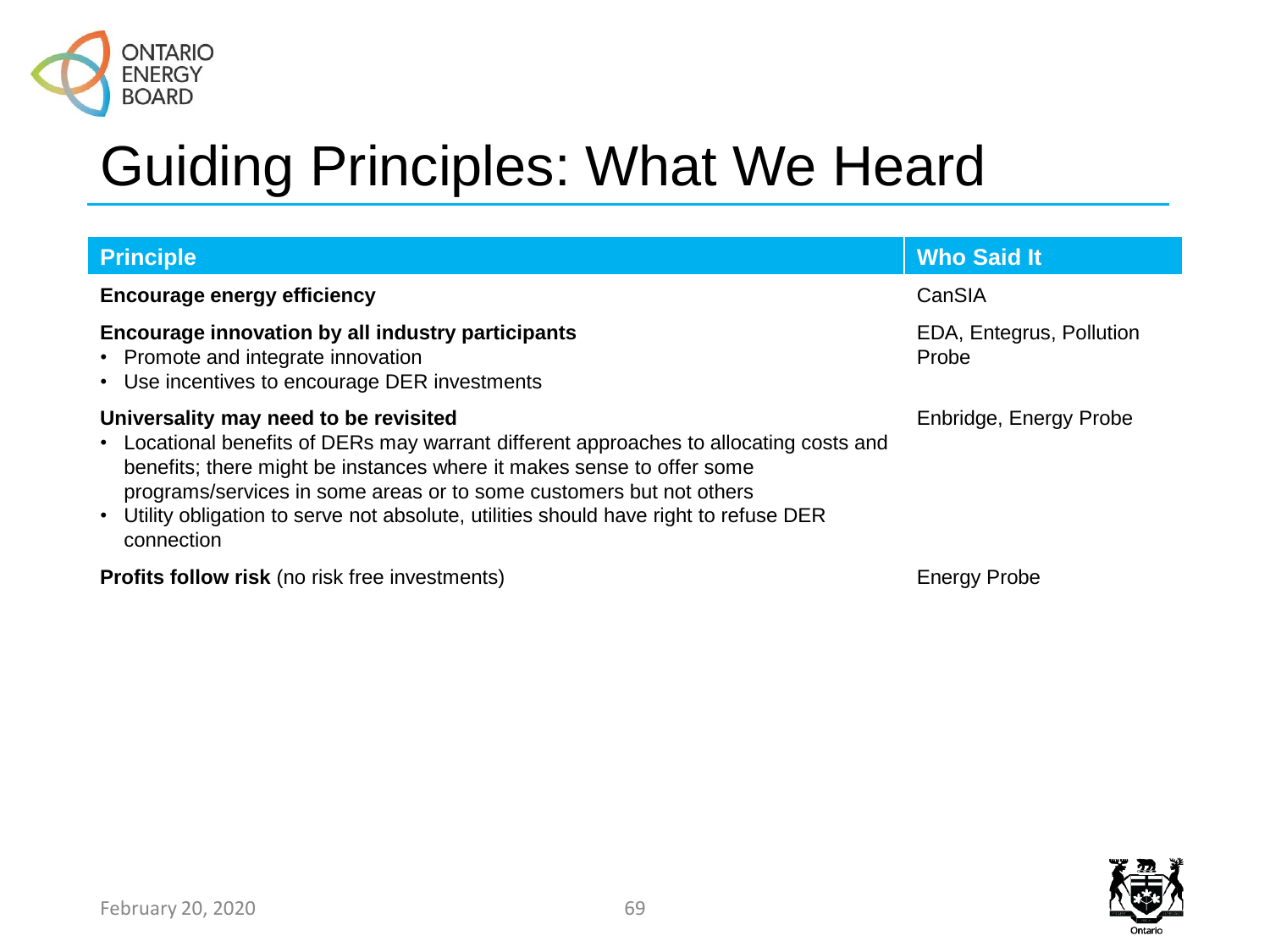

| <b>Principle</b>                                                                                                                                                                                                                                                                                                                                                                       | <b>Who Said It</b>                |  |  |
|----------------------------------------------------------------------------------------------------------------------------------------------------------------------------------------------------------------------------------------------------------------------------------------------------------------------------------------------------------------------------------------|-----------------------------------|--|--|
| <b>Encourage energy efficiency</b>                                                                                                                                                                                                                                                                                                                                                     | CanSIA                            |  |  |
| Encourage innovation by all industry participants<br>• Promote and integrate innovation<br>• Use incentives to encourage DER investments                                                                                                                                                                                                                                               | EDA, Entegrus, Pollution<br>Probe |  |  |
| Universality may need to be revisited<br>• Locational benefits of DERs may warrant different approaches to allocating costs and<br>benefits; there might be instances where it makes sense to offer some<br>programs/services in some areas or to some customers but not others<br>• Utility obligation to serve not absolute, utilities should have right to refuse DER<br>connection | Enbridge, Energy Probe            |  |  |
| <b>Profits follow risk</b> (no risk free investments)                                                                                                                                                                                                                                                                                                                                  | <b>Energy Probe</b>               |  |  |

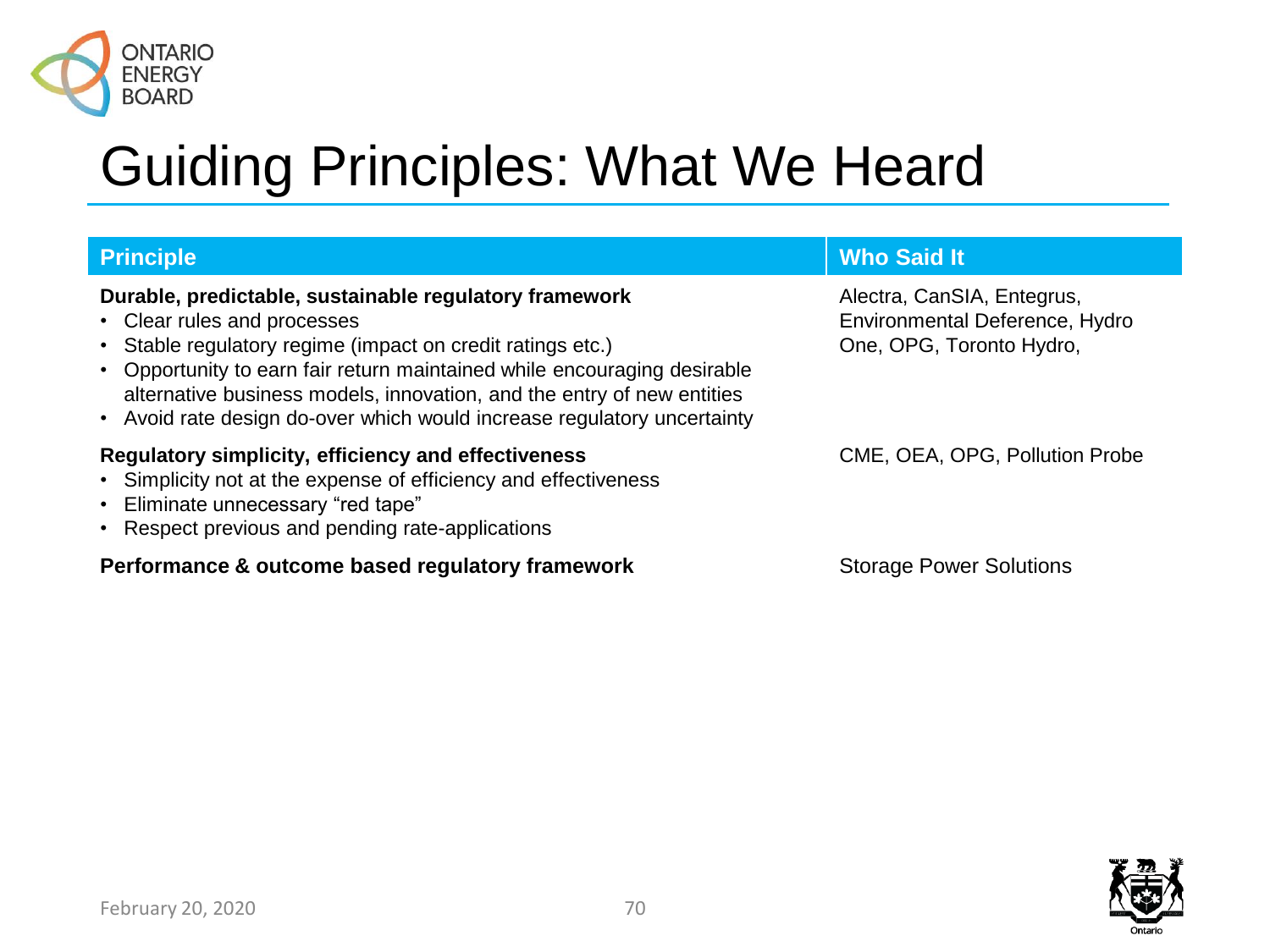

#### **Durable, predictable, sustainable regulatory framework**

- Clear rules and processes
- Stable regulatory regime (impact on credit ratings etc.)
- Opportunity to earn fair return maintained while encouraging desirable alternative business models, innovation, and the entry of new entities
- Avoid rate design do-over which would increase regulatory uncertainty

#### **Regulatory simplicity, efficiency and effectiveness**

- Simplicity not at the expense of efficiency and effectiveness
- Eliminate unnecessary "red tape"
- Respect previous and pending rate-applications

#### **Performance & outcome based regulatory framework Storage Power Solutions**

#### **Principle Who Said It**

Alectra, CanSIA, Entegrus, Environmental Deference, Hydro One, OPG, Toronto Hydro,

CME, OEA, OPG, Pollution Probe

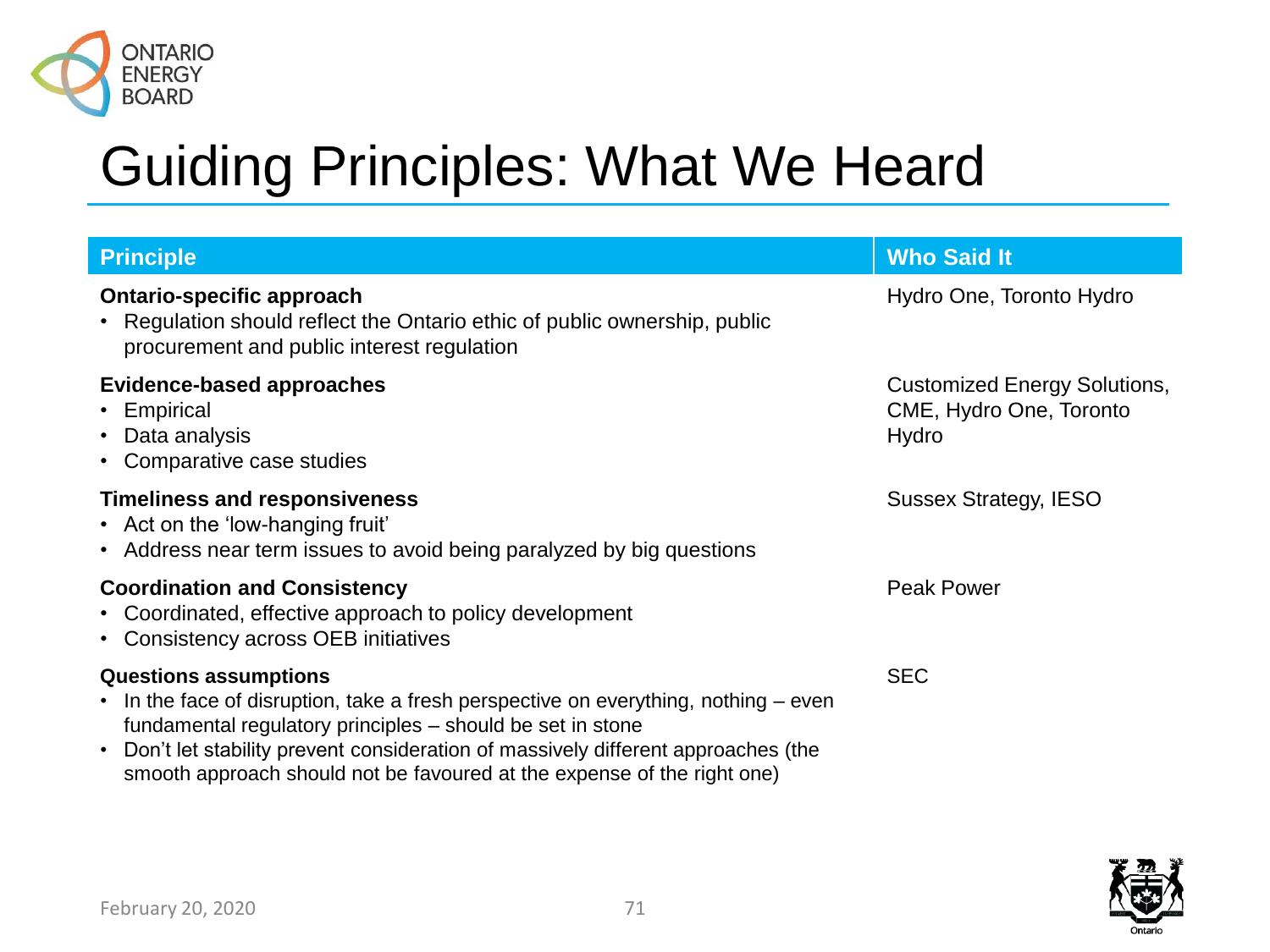

| <b>Principle</b>                                                                                                                                                                                                                                                                                                                                   | <b>Who Said It</b>                                                      |  |  |
|----------------------------------------------------------------------------------------------------------------------------------------------------------------------------------------------------------------------------------------------------------------------------------------------------------------------------------------------------|-------------------------------------------------------------------------|--|--|
| <b>Ontario-specific approach</b><br>• Regulation should reflect the Ontario ethic of public ownership, public<br>procurement and public interest regulation                                                                                                                                                                                        | Hydro One, Toronto Hydro                                                |  |  |
| <b>Evidence-based approaches</b><br>• Empirical<br>• Data analysis<br>• Comparative case studies                                                                                                                                                                                                                                                   | <b>Customized Energy Solutions,</b><br>CME, Hydro One, Toronto<br>Hydro |  |  |
| <b>Timeliness and responsiveness</b><br>• Act on the 'low-hanging fruit'<br>• Address near term issues to avoid being paralyzed by big questions                                                                                                                                                                                                   | <b>Sussex Strategy, IESO</b>                                            |  |  |
| <b>Coordination and Consistency</b><br>• Coordinated, effective approach to policy development<br>• Consistency across OEB initiatives                                                                                                                                                                                                             | <b>Peak Power</b>                                                       |  |  |
| <b>Questions assumptions</b><br>• In the face of disruption, take a fresh perspective on everything, nothing – even<br>fundamental regulatory principles – should be set in stone<br>• Don't let stability prevent consideration of massively different approaches (the<br>smooth approach should not be favoured at the expense of the right one) | <b>SEC</b>                                                              |  |  |

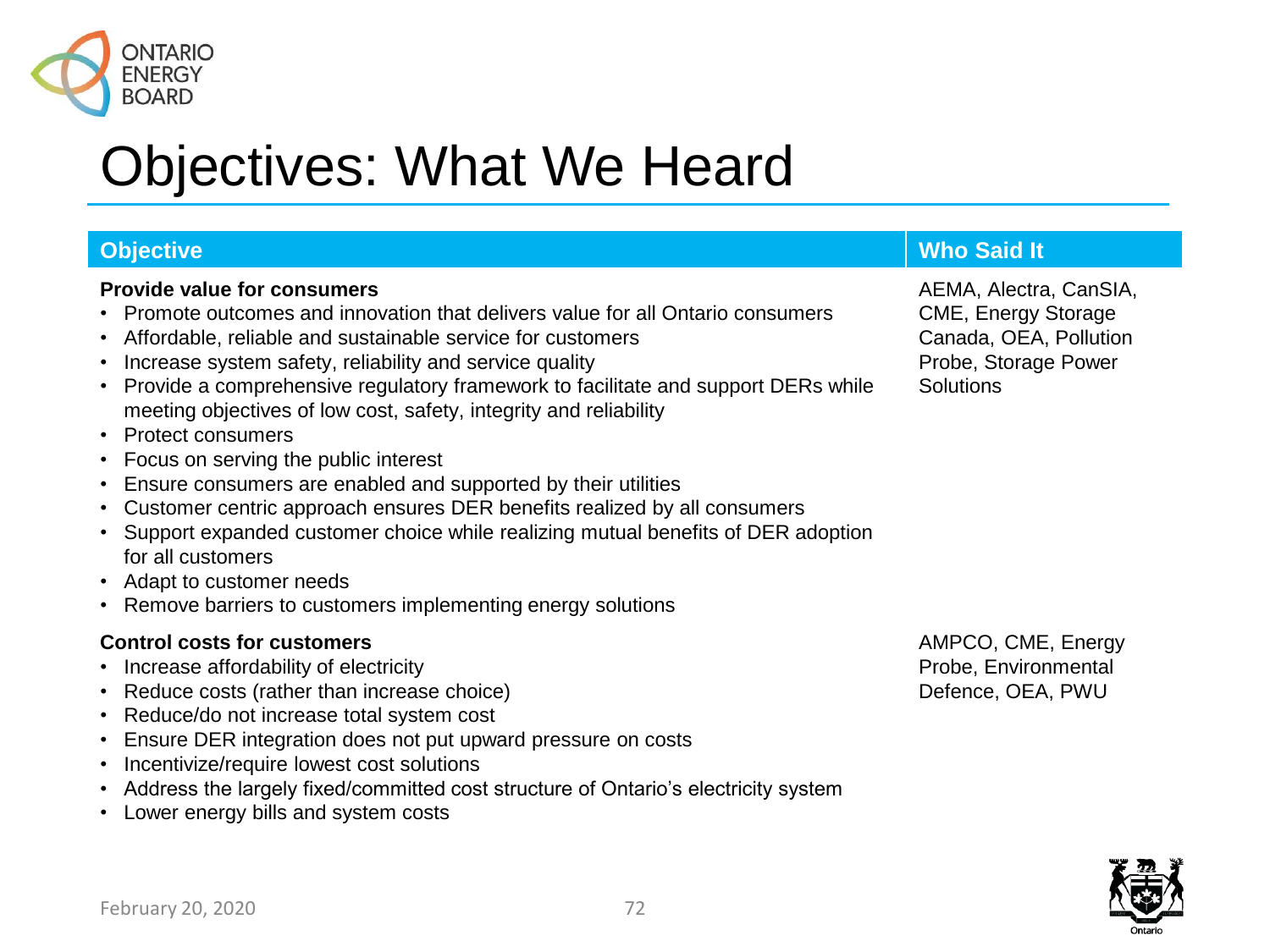

### Objectives: What We Heard

#### **Provide value for consumers**

- Promote outcomes and innovation that delivers value for all Ontario consumers
- Affordable, reliable and sustainable service for customers
- Increase system safety, reliability and service quality
- Provide a comprehensive regulatory framework to facilitate and support DERs while meeting objectives of low cost, safety, integrity and reliability
- Protect consumers
- Focus on serving the public interest
- Ensure consumers are enabled and supported by their utilities
- Customer centric approach ensures DER benefits realized by all consumers
- Support expanded customer choice while realizing mutual benefits of DER adoption for all customers
- Adapt to customer needs
- Remove barriers to customers implementing energy solutions

#### **Control costs for customers**

- Increase affordability of electricity
- Reduce costs (rather than increase choice)
- Reduce/do not increase total system cost
- Ensure DER integration does not put upward pressure on costs
- Incentivize/require lowest cost solutions
- Address the largely fixed/committed cost structure of Ontario's electricity system
- Lower energy bills and system costs

#### **Objective Company of the Company of the Company of the Company of the Company of the Company of the Company of the Company of the Company of the Company of the Company of the Company of the Company of the Company of the C**

AEMA, Alectra, CanSIA, CME, Energy Storage Canada, OEA, Pollution Probe, Storage Power **Solutions** 

AMPCO, CME, Energy Probe, Environmental Defence, OEA, PWU

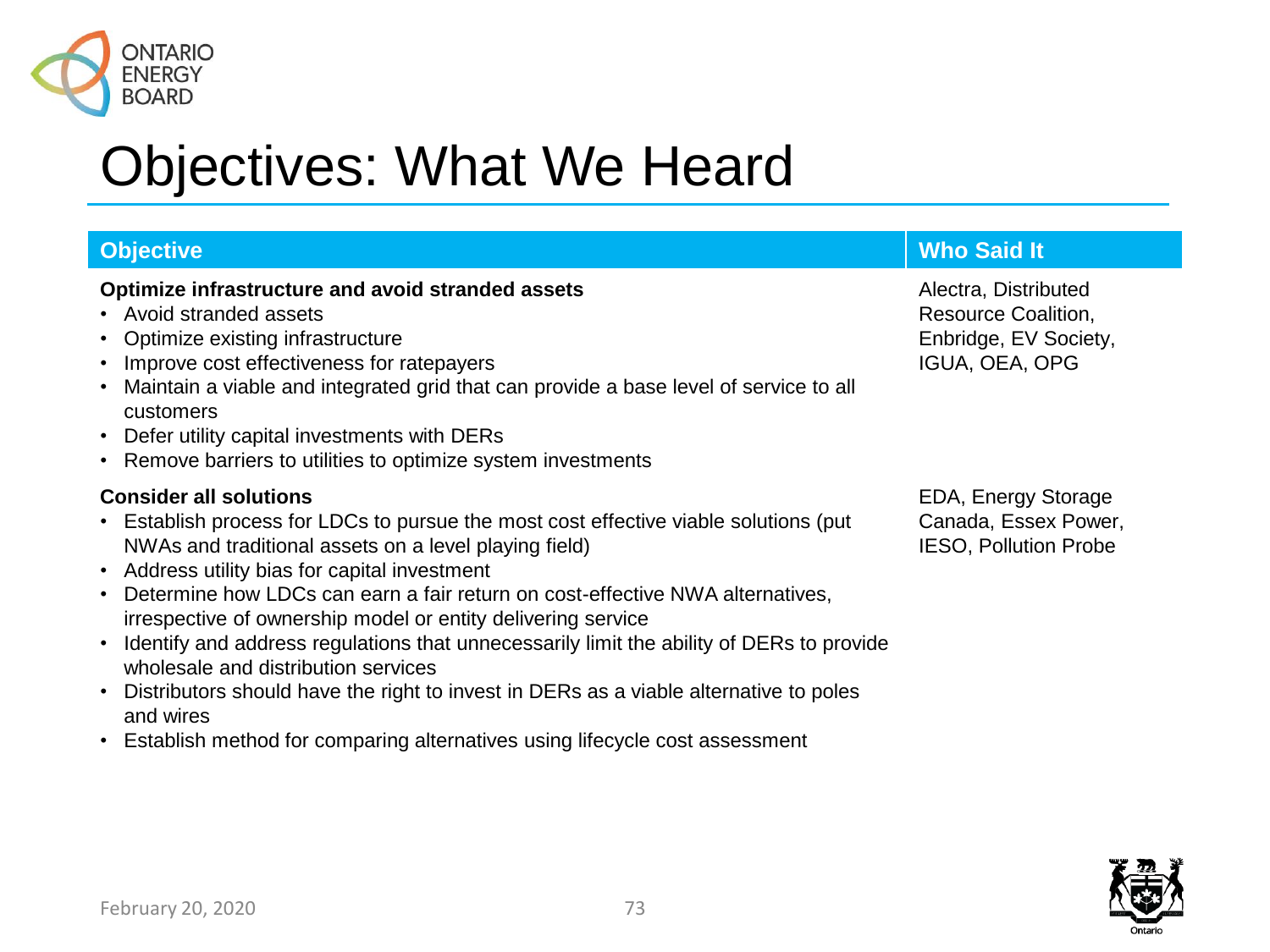

### **Optimize infrastructure and avoid stranded assets**

- Avoid stranded assets
- Optimize existing infrastructure
- Improve cost effectiveness for ratepayers
- Maintain a viable and integrated grid that can provide a base level of service to all customers
- Defer utility capital investments with DERs
- Remove barriers to utilities to optimize system investments

## **Consider all solutions**

- Establish process for LDCs to pursue the most cost effective viable solutions (put NWAs and traditional assets on a level playing field)
- Address utility bias for capital investment
- Determine how LDCs can earn a fair return on cost-effective NWA alternatives, irrespective of ownership model or entity delivering service
- Identify and address regulations that unnecessarily limit the ability of DERs to provide wholesale and distribution services
- Distributors should have the right to invest in DERs as a viable alternative to poles and wires
- Establish method for comparing alternatives using lifecycle cost assessment

# **Objective Company of the Company of the Company of the Company of the Company of the Company of the Company of the Company of the Company of the Company of the Company of the Company of the Company of the Company of the C**

Alectra, Distributed Resource Coalition, Enbridge, EV Society, IGUA, OEA, OPG

EDA, Energy Storage Canada, Essex Power, IESO, Pollution Probe

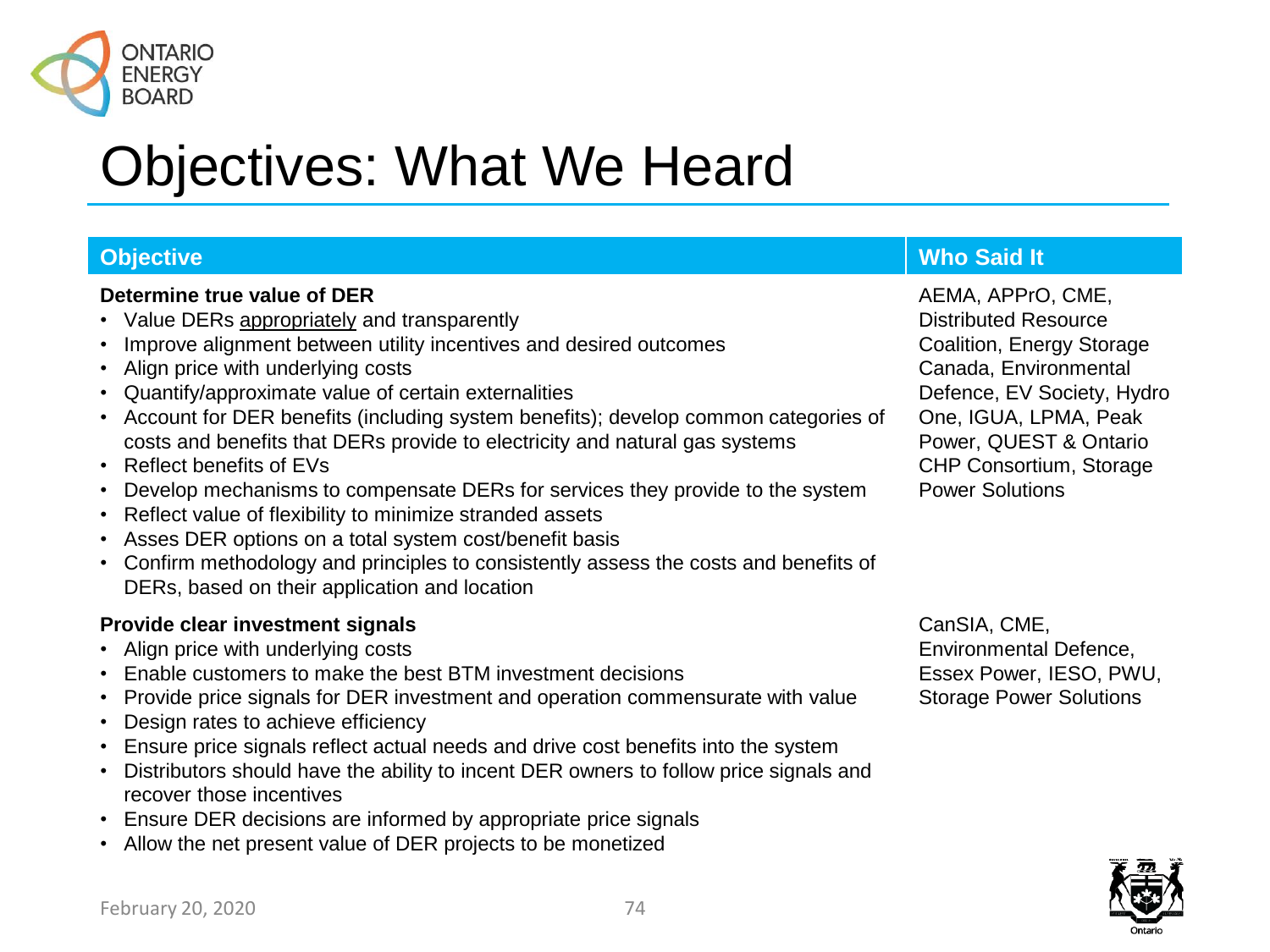

## **Determine true value of DER**

- Value DERs appropriately and transparently
- Improve alignment between utility incentives and desired outcomes
- Align price with underlying costs
- Quantify/approximate value of certain externalities
- Account for DER benefits (including system benefits); develop common categories of costs and benefits that DERs provide to electricity and natural gas systems
- Reflect benefits of EVs
- Develop mechanisms to compensate DERs for services they provide to the system
- Reflect value of flexibility to minimize stranded assets
- Asses DER options on a total system cost/benefit basis
- Confirm methodology and principles to consistently assess the costs and benefits of DERs, based on their application and location

# **Provide clear investment signals**

- Align price with underlying costs
- Enable customers to make the best BTM investment decisions
- Provide price signals for DER investment and operation commensurate with value
- Design rates to achieve efficiency
- Ensure price signals reflect actual needs and drive cost benefits into the system
- Distributors should have the ability to incent DER owners to follow price signals and recover those incentives
- Ensure DER decisions are informed by appropriate price signals
- Allow the net present value of DER projects to be monetized

# **Objective Who Said It**

AEMA, APPrO, CME, Distributed Resource Coalition, Energy Storage Canada, Environmental Defence, EV Society, Hydro One, IGUA, LPMA, Peak Power, QUEST & Ontario CHP Consortium, Storage Power Solutions

CanSIA, CME, Environmental Defence, Essex Power, IESO, PWU, Storage Power Solutions

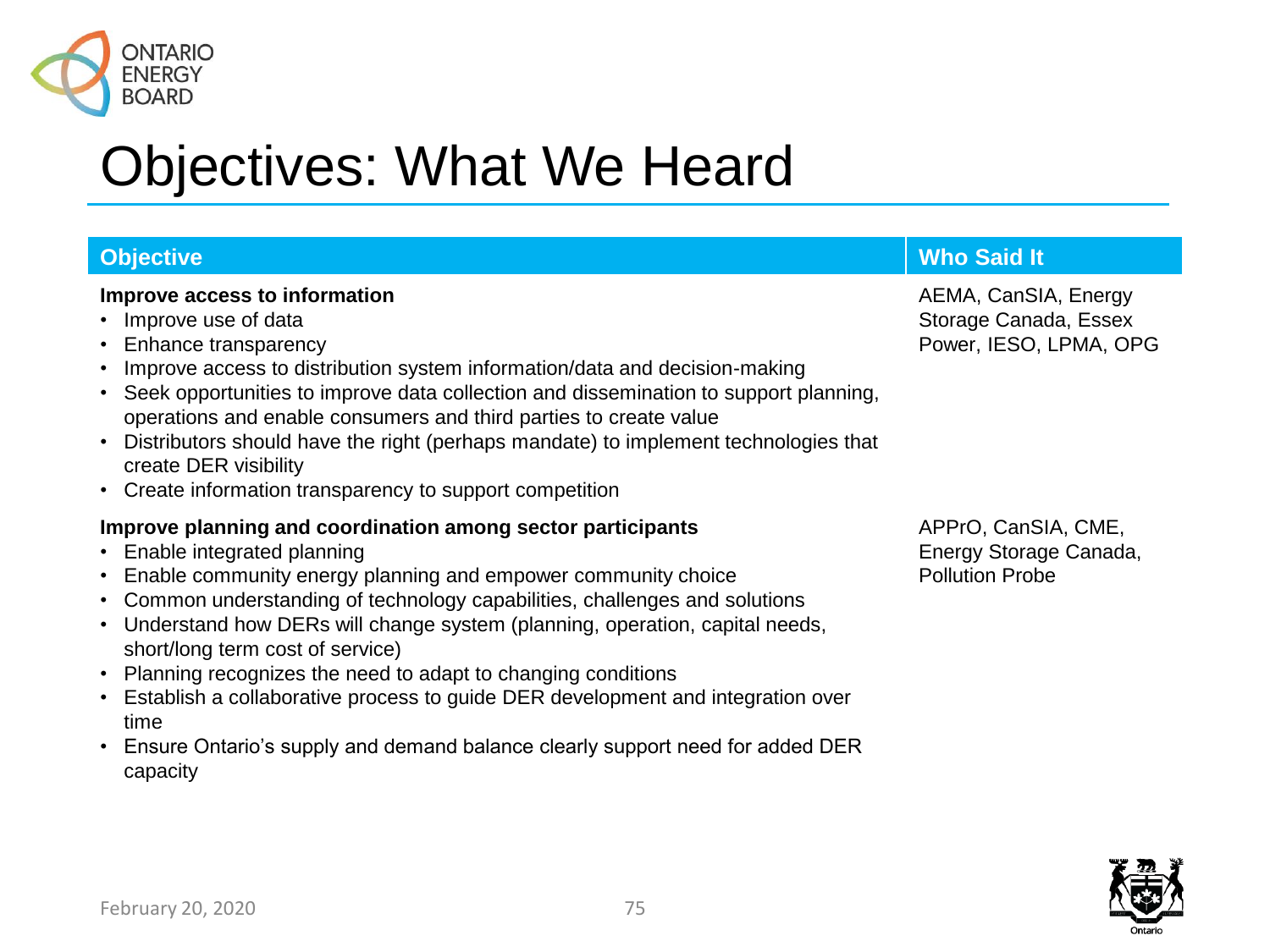

### **Improve access to information**

- Improve use of data
- Enhance transparency
- Improve access to distribution system information/data and decision-making
- Seek opportunities to improve data collection and dissemination to support planning, operations and enable consumers and third parties to create value
- Distributors should have the right (perhaps mandate) to implement technologies that create DER visibility
- Create information transparency to support competition

## **Improve planning and coordination among sector participants**

- Enable integrated planning
- Enable community energy planning and empower community choice
- Common understanding of technology capabilities, challenges and solutions
- Understand how DERs will change system (planning, operation, capital needs, short/long term cost of service)
- Planning recognizes the need to adapt to changing conditions
- Establish a collaborative process to guide DER development and integration over time
- Ensure Ontario's supply and demand balance clearly support need for added DER capacity

# **Objective Who Said It**

AEMA, CanSIA, Energy Storage Canada, Essex Power, IESO, LPMA, OPG

APPrO, CanSIA, CME, Energy Storage Canada, Pollution Probe

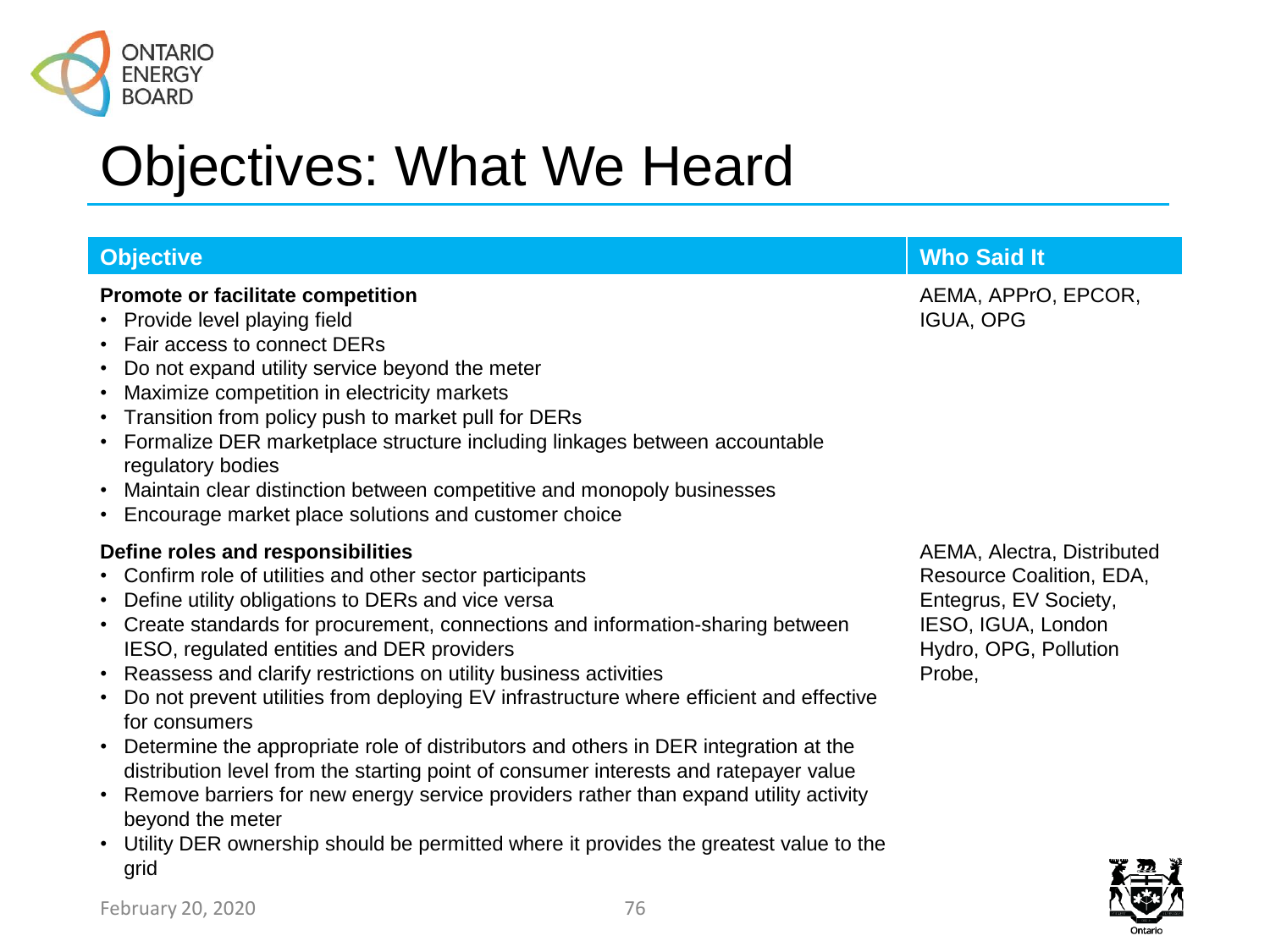

| <b>Objective</b>                                                                                                                                                                                                                                                                                                                                                                                                                                                                                                                                                                                                                                                                                                                                                                                                                                                   | <b>Who Said It</b>                                                                                                                       |
|--------------------------------------------------------------------------------------------------------------------------------------------------------------------------------------------------------------------------------------------------------------------------------------------------------------------------------------------------------------------------------------------------------------------------------------------------------------------------------------------------------------------------------------------------------------------------------------------------------------------------------------------------------------------------------------------------------------------------------------------------------------------------------------------------------------------------------------------------------------------|------------------------------------------------------------------------------------------------------------------------------------------|
| <b>Promote or facilitate competition</b><br>• Provide level playing field<br>• Fair access to connect DERs<br>• Do not expand utility service beyond the meter<br>• Maximize competition in electricity markets<br>• Transition from policy push to market pull for DERs<br>• Formalize DER marketplace structure including linkages between accountable<br>regulatory bodies<br>• Maintain clear distinction between competitive and monopoly businesses<br>• Encourage market place solutions and customer choice                                                                                                                                                                                                                                                                                                                                                | AEMA, APPrO, EPCOR,<br><b>IGUA, OPG</b>                                                                                                  |
| Define roles and responsibilities<br>• Confirm role of utilities and other sector participants<br>• Define utility obligations to DERs and vice versa<br>• Create standards for procurement, connections and information-sharing between<br>IESO, regulated entities and DER providers<br>• Reassess and clarify restrictions on utility business activities<br>Do not prevent utilities from deploying EV infrastructure where efficient and effective<br>for consumers<br>• Determine the appropriate role of distributors and others in DER integration at the<br>distribution level from the starting point of consumer interests and ratepayer value<br>• Remove barriers for new energy service providers rather than expand utility activity<br>beyond the meter<br>• Utility DER ownership should be permitted where it provides the greatest value to the | AEMA, Alectra, Distributed<br>Resource Coalition, EDA,<br>Entegrus, EV Society,<br>IESO, IGUA, London<br>Hydro, OPG, Pollution<br>Probe, |



grid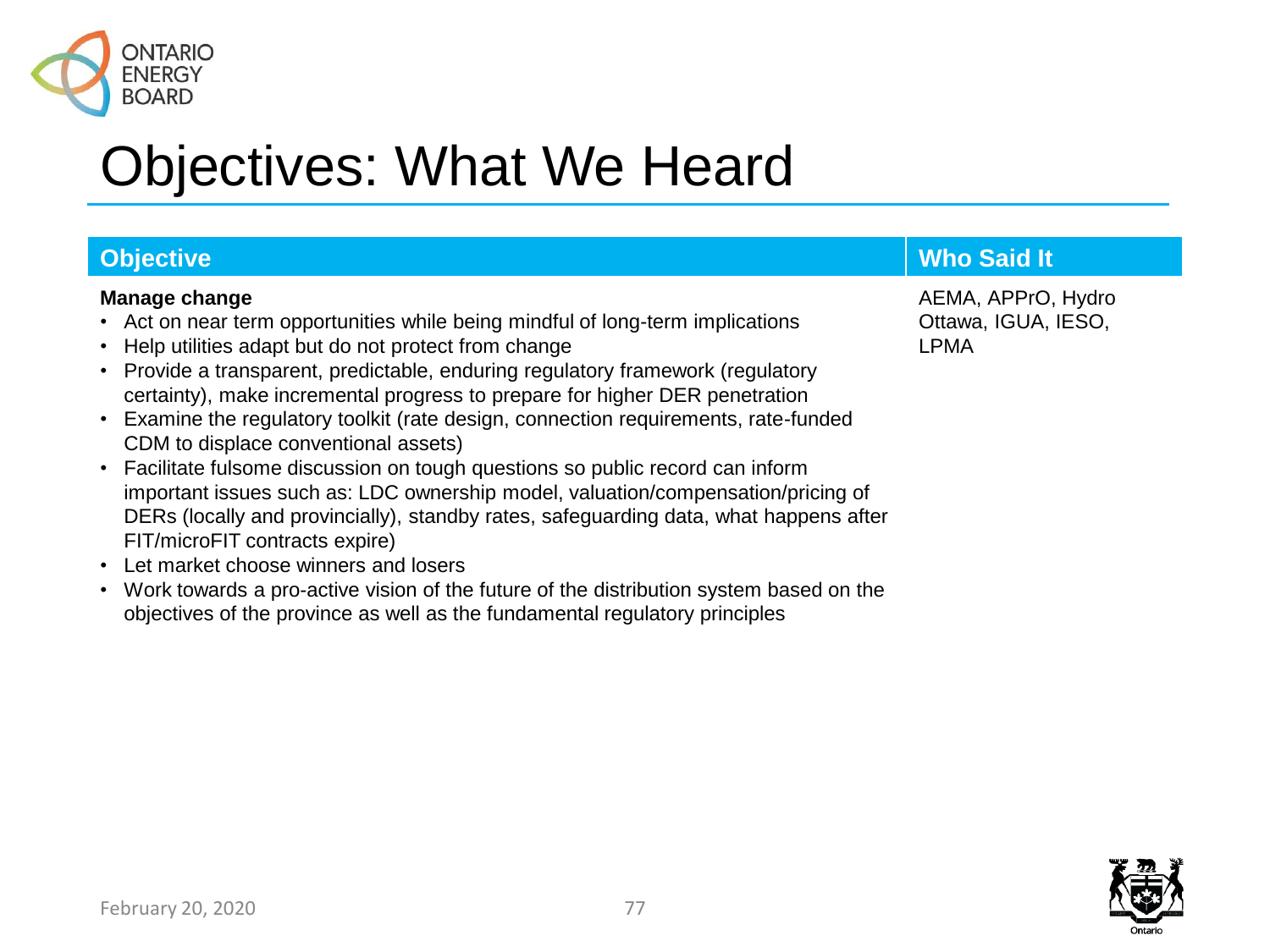

## **Manage change**

- Act on near term opportunities while being mindful of long-term implications
- Help utilities adapt but do not protect from change
- Provide a transparent, predictable, enduring regulatory framework (regulatory certainty), make incremental progress to prepare for higher DER penetration
- Examine the regulatory toolkit (rate design, connection requirements, rate-funded CDM to displace conventional assets)
- Facilitate fulsome discussion on tough questions so public record can inform important issues such as: LDC ownership model, valuation/compensation/pricing of DERs (locally and provincially), standby rates, safeguarding data, what happens after FIT/microFIT contracts expire)
- Let market choose winners and losers
- Work towards a pro-active vision of the future of the distribution system based on the objectives of the province as well as the fundamental regulatory principles

# **Objective Contract Contract Contract Contract Contract Contract Contract Contract Contract Contract Contract Contract Contract Contract Contract Contract Contract Contract Contract Contract Contract Contract Contract Cont**

AEMA, APPrO, Hydro Ottawa, IGUA, IESO, LPMA

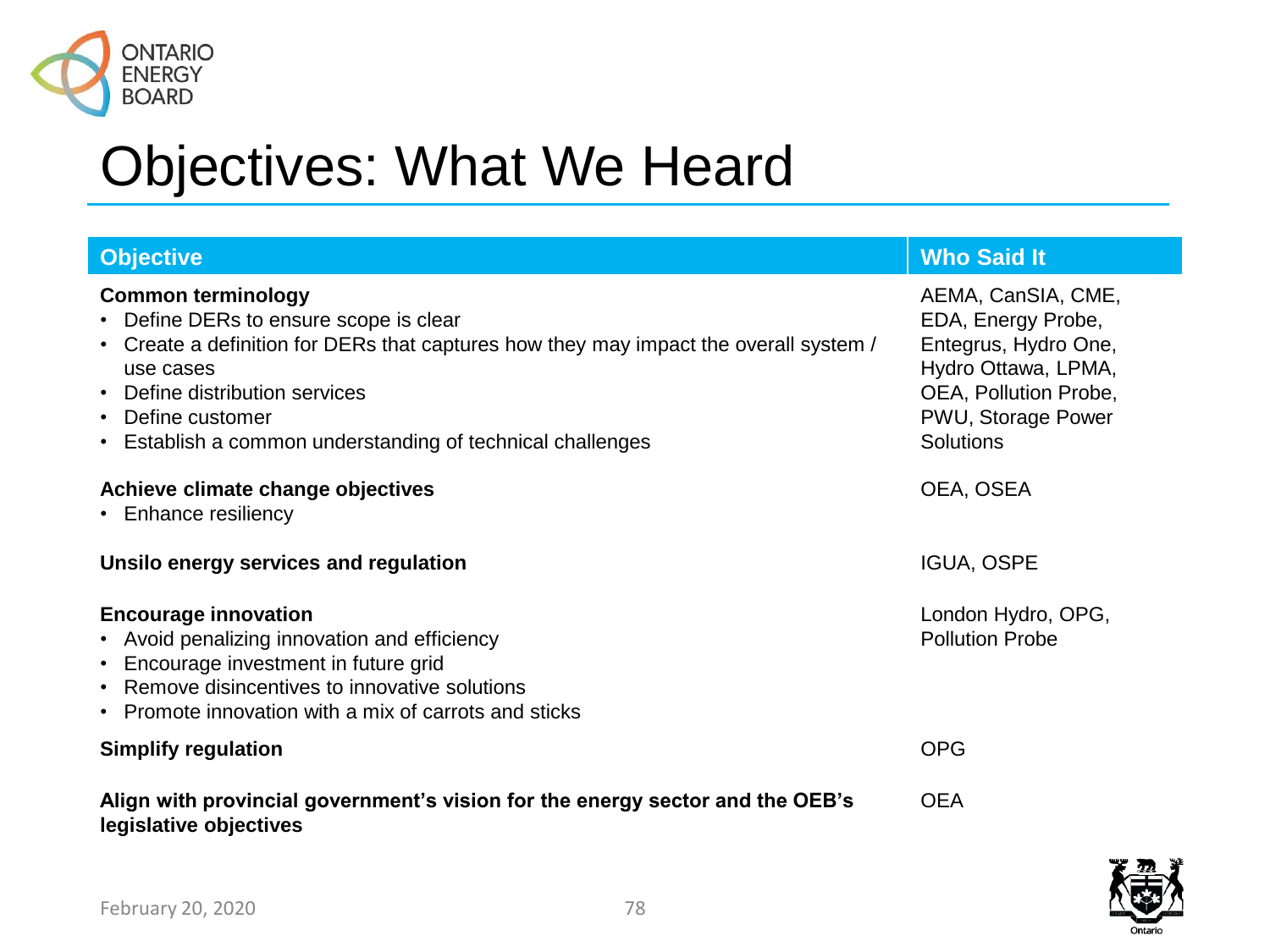

| <b>Objective</b>                                                                                                                                                                                                                                                                               | <b>Who Said It</b>                                                                                                                                         |
|------------------------------------------------------------------------------------------------------------------------------------------------------------------------------------------------------------------------------------------------------------------------------------------------|------------------------------------------------------------------------------------------------------------------------------------------------------------|
| <b>Common terminology</b><br>• Define DERs to ensure scope is clear<br>• Create a definition for DERs that captures how they may impact the overall system /<br>use cases<br>• Define distribution services<br>• Define customer<br>• Establish a common understanding of technical challenges | AEMA, CanSIA, CME,<br>EDA, Energy Probe,<br>Entegrus, Hydro One,<br>Hydro Ottawa, LPMA,<br>OEA, Pollution Probe,<br>PWU, Storage Power<br><b>Solutions</b> |
| Achieve climate change objectives<br>• Enhance resiliency                                                                                                                                                                                                                                      | OEA, OSEA                                                                                                                                                  |
| Unsilo energy services and regulation                                                                                                                                                                                                                                                          | <b>IGUA, OSPE</b>                                                                                                                                          |
| <b>Encourage innovation</b><br>• Avoid penalizing innovation and efficiency<br>• Encourage investment in future grid<br>• Remove disincentives to innovative solutions<br>• Promote innovation with a mix of carrots and sticks                                                                | London Hydro, OPG,<br><b>Pollution Probe</b>                                                                                                               |
| <b>Simplify regulation</b>                                                                                                                                                                                                                                                                     | <b>OPG</b>                                                                                                                                                 |
| Align with provincial government's vision for the energy sector and the OEB's<br>legislative objectives                                                                                                                                                                                        | <b>OEA</b>                                                                                                                                                 |